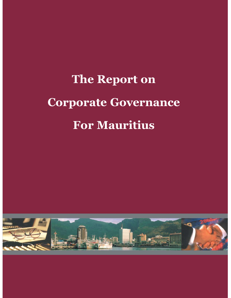# **The Report on Corporate Governance For Mauritius**

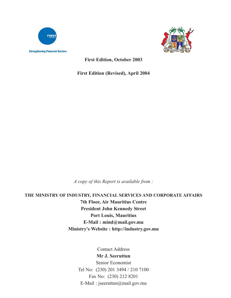



**First Edition, October 2003**

**First Edition (Revised), April 2004**

*A copy of this Report is available from :*

**THE MINISTRY OF INDUSTRY, FINANCIAL SERVICES AND CORPORATE AFFAIRS 7th Floor, Air Mauritius Centre President John Kennedy Street Port Louis, Mauritius E-Mail : mind@mail.gov.mu Ministry's Website : http://industry.gov.mu**

Contact Address

### **Mr J. Seeruttun**

Senior Economist Tel No: (230) 201 3494 / 210 7100 Fax No: (230) 212 8201 E-Mail : jseeruttun@mail.gov.mu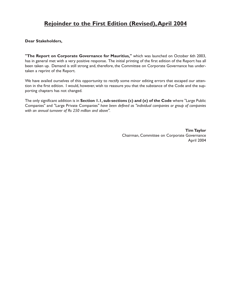# **Rejoinder to the First Edition (Revised),April 2004**

#### **Dear Stakeholders,**

**"The Report on Corporate Governance for Mauritius,"** which was launched on October 6th 2003, has in general met with a very positive response. The initial printing of the first edition of the Report has all been taken up. Demand is still strong and, therefore, the Committee on Corporate Governance has undertaken a reprint of the Report.

We have availed ourselves of this opportunity to rectify some minor editing errors that escaped our attention in the first edition. I would, however, wish to reassure you that the substance of the Code and the supporting chapters has not changed.

The only significant addition is in **Section 1.1, sub-sections (c) and (e) of the Code** where "Large Public Companies" and "Large Private Companies*" have been defined as "individual companies or group of companies with an annual turnover of Rs 250 million and above".*

> **Tim Taylor** Chairman, Committee on Corporate Governance April 2004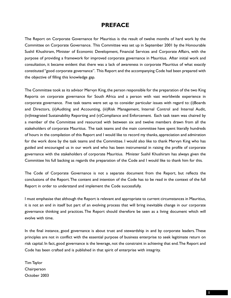# **PREFACE**

The Report on Corporate Governance for Mauritius is the result of twelve months of hard work by the Committee on Corporate Governance. This Committee was set up in September 2001 by the Honourable Sushil Khushiram, Minister of Economic Development, Financial Services and Corporate Affairs, with the purpose of providing a framework for improved corporate governance in Mauritius. After initial work and consultation, it became evident that there was a lack of awareness in corporate Mauritius of what exactly constituted "good corporate governance". This Report and the accompanying Code had been prepared with the objective of filling this knowledge gap.

The Committee took as its advisor Mervyn King, the person responsible for the preparation of the two King Reports on corporate governance for South Africa and a person with vast worldwide experience in corporate governance. Five task teams were set up to consider particular issues with regard to: (i)Boards and Directors, (ii)Auditing and Accounting, (iii)Risk Management, Internal Control and Internal Audit, (iv)Integrated Sustainability Reporting and (v)Compliance and Enforcement. Each task team was chaired by a member of the Committee and resourced with between six and twelve members drawn from all the stakeholders of corporate Mauritius. The task teams and the main committee have spent literally hundreds of hours in the compilation of this Report and I would like to record my thanks, appreciation and admiration for the work done by the task teams and the Committee. I would also like to thank Mervyn King who has guided and encouraged us in our work and who has been instrumental in raising the profile of corporate governance with the stakeholders of corporate Mauritius. Minister Sushil Khushiram has always given the Committee his full backing as regards the preparation of the Code and I would like to thank him for this.

The Code of Corporate Governance is not a separate document from the Report, but reflects the conclusions of the Report.The content and intention of the Code has to be read in the context of the full Report in order to understand and implement the Code successfully.

I must emphasise that although the Report is relevant and appropriate to current circumstances in Mauritius, it is not an end in itself but part of an evolving process that will bring inevitable change in our corporate governance thinking and practices. The Report should therefore be seen as a living document which will evolve with time.

In the final instance, good governance is about trust and stewardship in and by corporate leaders. These principles are not in conflict with the essential purpose of business enterprise to seek legitimate return on risk capital. In fact, good governance is the leverage, not the constraint in achieving that end.The Report and Code has been crafted and is published in that spirit of enterprise with integrity.

Tim Taylor **Chairperson** October 2003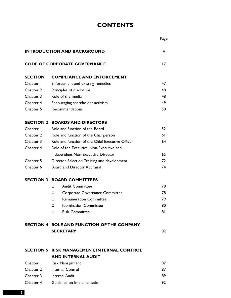# **CONTENTS**

|                  |                                                                                 | Page |
|------------------|---------------------------------------------------------------------------------|------|
|                  | <b>INTRODUCTION AND BACKGROUND</b>                                              | 4    |
|                  | <b>CODE OF CORPORATE GOVERNANCE</b>                                             | 17   |
| <b>SECTION I</b> | <b>COMPLIANCE AND ENFORCEMENT</b>                                               |      |
| Chapter I        | Enforcement and existing remedies                                               | 47   |
| Chapter 2        | Principles of disclosure                                                        | 48   |
| Chapter 3        | Role of the media                                                               | 48   |
| Chapter 4        | Encouraging shareholder activism                                                | 49   |
| Chapter 5        | Recommendations                                                                 | 50   |
| <b>SECTION 2</b> | <b>BOARDS AND DIRECTORS</b>                                                     |      |
| Chapter I        | Role and function of the Board                                                  | 52   |
| Chapter 2        | Role and function of the Chairperson                                            | 61   |
| Chapter 3        | Role and function of the Chief Executive Officer                                | 64   |
| Chapter 4        | Role of the Executive, Non-Executive and                                        |      |
|                  | Independent Non-Executive Director                                              | 65   |
| Chapter 5        | Director Selection, Training and development                                    | 72   |
| Chapter 6        | Board and Director Appraisal                                                    | 74   |
|                  | <b>SECTION 3 BOARD COMMITTEES</b>                                               |      |
|                  | <b>Audit Committee</b><br>□                                                     | 78   |
|                  | Corporate Governance Committee<br>□                                             | 78   |
|                  | <b>Remuneration Committee</b><br>□                                              | 79   |
|                  | <b>Nomination Committee</b><br>O                                                | 80   |
|                  | <b>Risk Committee</b><br>◻                                                      | 81   |
|                  | SECTION 4 ROLE AND FUNCTION OF THE COMPANY                                      |      |
|                  | <b>SECRETARY</b>                                                                | 82   |
|                  |                                                                                 |      |
|                  | <b>SECTION 5 RISK MANAGEMENT, INTERNAL CONTROL</b><br><b>AND INTERNAL AUDIT</b> |      |
| Chapter I        | <b>Risk Management</b>                                                          | 87   |
| Chapter 2        | <b>Internal Control</b>                                                         | 87   |
| Chapter 3        | <b>Internal Audit</b>                                                           | 89   |
| Chapter 4        | Guidance on Implementation                                                      | 92   |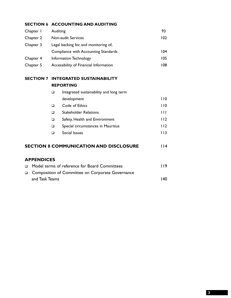#### **SECTION 6 ACCOUNTING AND AUDITING**

| Chapter I | Auditing                               | 93  |
|-----------|----------------------------------------|-----|
| Chapter 2 | Non-audit Services                     | 102 |
| Chapter 3 | Legal backing for, and monitoring of,  |     |
|           | Compliance with Accounting Standards   | 104 |
| Chapter 4 | Information Technology                 | 105 |
| Chapter 5 | Accessibility of Financial Information | 108 |

#### **SECTION 7 INTEGRATED SUSTAINABILITY REPORTING**

| □      | Integrated sustainability and long term |             |
|--------|-----------------------------------------|-------------|
|        | development                             | 1 I O       |
| $\Box$ | Code of Ethics                          | 110         |
| □      | <b>Stakeholder Relations</b>            | Ш           |
| $\Box$ | Safety, Health and Environment          | 112         |
| $\Box$ | Special circumstances in Mauritius      | <u> 112</u> |
|        | Social Issues                           |             |

#### **SECTION 8 COMMUNICATION AND DISCLOSURE** 114

#### **APPENDICES**

| □ Model terms of reference for Board Committees    | <u> 119</u> |
|----------------------------------------------------|-------------|
| □ Composition of Committee on Corporate Governance |             |
| and Task Teams                                     | 140         |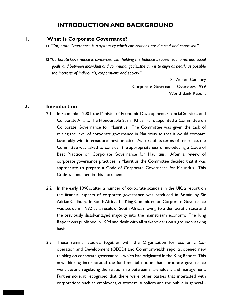# **INTRODUCTION AND BACKGROUND**

#### **1. What is Corporate Governance?**

*"Corporate Governance is a system by which corporations are directed and controlled."*

 *"Corporate Governance is concerned with holding the balance between economic and social goals, and between individual and communal goals...the aim is to align as nearly as possible the interests of individuals, corporations and society."*

> Sir Adrian Cadbury Corporate Governance Overview, 1999 World Bank Report

#### **2. Introduction**

- 2.1 In September 2001, the Minister of Economic Development, Financial Services and Corporate Affairs,The Honourable Sushil Khushiram, appointed a Committee on Corporate Governance for Mauritius. The Committee was given the task of raising the level of corporate governance in Mauritius so that it would compare favourably with international best practice. As part of its terms of reference, the Committee was asked to consider the appropriateness of introducing a Code of Best Practice on Corporate Governance for Mauritius. After a review of corporate governance practices in Mauritius, the Committee decided that it was appropriate to prepare a Code of Corporate Governance for Mauritius. This Code is contained in this document.
- 2.2 In the early 1990's, after a number of corporate scandals in the UK, a report on the financial aspects of corporate governance was produced in Britain by Sir Adrian Cadbury. In South Africa, the King Committee on Corporate Governance was set up in 1992 as a result of South Africa moving to a democratic state and the previously disadvantaged majority into the mainstream economy. The King Report was published in 1994 and dealt with all stakeholders on a groundbreaking basis.
- 2.3 These seminal studies, together with the Organisation for Economic Cooperation and Development (OECD) and Commonwealth reports, opened new thinking on corporate governance - which had originated in the King Report. This new thinking incorporated the fundamental notion that corporate governance went beyond regulating the relationship between shareholders and management. Furthermore, it recognised that there were other parties that interacted with corporations such as employees, customers, suppliers and the public in general -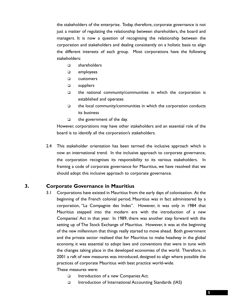the stakeholders of the enterprise. Today, therefore, corporate governance is not just a matter of regulating the relationship between shareholders, the board and managers. It is now a question of recognising the relationship between the corporation and stakeholders and dealing consistently on a holistic basis to align the different interests of each group. Most corporations have the following stakeholders:

- shareholders
- employees
- **Q** customers
- □ suppliers
- $\Box$  the national community/communities in which the corporation is established and operates
- $\Box$  the local community/communities in which the corporation conducts its business
- $\Box$  the government of the day.

However, corporations may have other stakeholders and an essential role of the board is to identify all the corporation's stakeholders.

2.4 This stakeholder orientation has been termed the inclusive approach which is now an international trend. In the inclusive approach to corporate governance, the corporation recognises its responsibility to its various stakeholders. In framing a code of corporate governance for Mauritius, we have resolved that we should adopt this inclusive approach to corporate governance.

#### **3. Corporate Governance in Mauritius**

3.1 Corporations have existed in Mauritius from the early days of colonisation. At the beginning of the French colonial period, Mauritius was in fact administered by a corporation, "La Compagnie des Indes". However, it was only in 1984 that Mauritius stepped into the modern era with the introduction of a new Companies' Act in that year. In 1989, there was another step forward with the setting up of The Stock Exchange of Mauritius. However, it was at the beginning of the new millennium that things really started to move ahead. Both government and the private sector realised that for Mauritius to make headway in the global economy, it was essential to adopt laws and conventions that were in tune with the changes taking place in the developed economies of the world. Therefore, in 2001 a raft of new measures was introduced, designed to align where possible the practices of corporate Mauritius with best practice world-wide. These measures were:

- Introduction of a new Companies Act.
- Introduction of International Accounting Standards (IAS)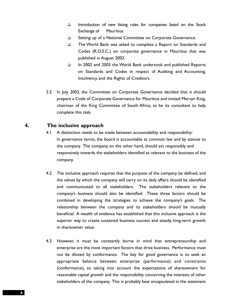- Introduction of new listing rules for companies listed on the Stock Exchange of Mauritius.
- □ Setting up of a National Committee on Corporate Governance.
- □ The World Bank was asked to complete a Report on Standards and Codes (R.O.S.C.) on corporate governance in Mauritius that was published in August 2002.
- □ In 2002 and 2003 the World Bank undertook and published Reports on Standards and Codes in respect of Auditing and Accounting, Insolvency, and the Rights of Creditors.
- 3.2 In July 2002, the Committee on Corporate Governance decided that it should prepare a Code of Corporate Governance for Mauritius and invited Mervyn King, chairman of the King Committee of South Africa, to be its consultant to help complete this task.

#### **4. The inclusive approach**

- 4.1 A distinction needs to be made between accountability and responsibility: In governance terms, the board is accountable at common law and by statute to the company. The company, on the other hand, should act responsibly and responsively towards the stakeholders identified as relevant to the business of the company.
- 4.2 The inclusive approach requires that the purpose of the company be defined, and the values by which the company will carry on its daily affairs should be identified and communicated to all stakeholders. The stakeholders relevant to the company's business should also be identified. These three factors should be combined in developing the strategies to achieve the company's goals. The relationship between the company and its stakeholders should be mutually beneficial. A wealth of evidence has established that this inclusive approach is the superior way to create sustained business success and steady, long-term growth in shareowner value.
- 4.3 However, it must be constantly borne in mind that entrepreneurship and enterprise are the most important factors that drive business. Performance must not be diluted by conformance. The key for good governance is to seek an appropriate balance between enterprise (performance) and constraints (conformance), so taking into account the expectations of shareowners for reasonable capital growth and the responsibility concerning the interests of other stakeholders of the company. This is probably best encapsulated in the statement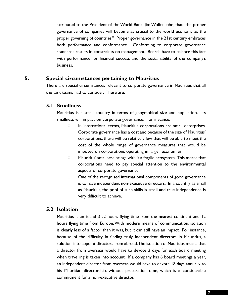attributed to the President of the World Bank, Jim Wolfensohn, that "the proper governance of companies will become as crucial to the world economy as the proper governing of countries." Proper governance in the 21st century embraces both performance and conformance. Conforming to corporate governance standards results in constraints on management. Boards have to balance this fact with performance for financial success and the sustainability of the company's business.

#### **5. Special circumstances pertaining to Mauritius**

There are special circumstances relevant to corporate governance in Mauritius that all the task teams had to consider. These are:

#### **5.1 Smallness**

Mauritius is a small country in terms of geographical size and population. Its smallness will impact on corporate governance. For instance:

- □ In international terms, Mauritius corporations are small enterprises. Corporate governance has a cost and because of the size of Mauritius' corporations, there will be relatively few that will be able to meet the cost of the whole range of governance measures that would be imposed on corporations operating in larger economies.
- $\Box$  Mauritius' smallness brings with it a fragile ecosystem. This means that corporations need to pay special attention to the environmental aspects of corporate governance.
- $\Box$  One of the recognised international components of good governance is to have independent non-executive directors. In a country as small as Mauritius, the pool of such skills is small and true independence is very difficult to achieve.

#### **5.2 Isolation**

Mauritius is an island 31/2 hours flying time from the nearest continent and 12 hours flying time from Europe.With modern means of communication, isolation is clearly less of a factor than it was, but it can still have an impact. For instance, because of the difficulty in finding truly independent directors in Mauritius, a solution is to appoint directors from abroad.The isolation of Mauritius means that a director from overseas would have to devote 3 days for each board meeting when travelling is taken into account. If a company has 6 board meetings a year, an independent director from overseas would have to devote 18 days annually to his Mauritian directorship, without preparation time, which is a considerable commitment for a non-executive director.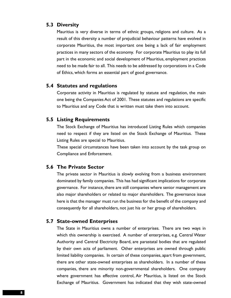#### **5.3 Diversity**

Mauritius is very diverse in terms of ethnic groups, religions and culture. As a result of this diversity a number of prejudicial behaviour patterns have evolved in corporate Mauritius, the most important one being a lack of fair employment practices in many sectors of the economy. For corporate Mauritius to play its full part in the economic and social development of Mauritius, employment practices need to be made fair to all. This needs to be addressed by corporations in a Code of Ethics, which forms an essential part of good governance.

#### **5.4 Statutes and regulations**

Corporate activity in Mauritius is regulated by statute and regulation, the main one being the Companies Act of 2001. These statutes and regulations are specific to Mauritius and any Code that is written must take them into account.

#### **5.5 Listing Requirements**

The Stock Exchange of Mauritius has introduced Listing Rules which companies need to respect if they are listed on the Stock Exchange of Mauritius. These Listing Rules are special to Mauritius.

These special circumstances have been taken into account by the task group on Compliance and Enforcement.

#### **5.6 The Private Sector**

The private sector in Mauritius is slowly evolving from a business environment dominated by family companies. This has had significant implications for corporate governance. For instance, there are still companies where senior management are also major shareholders or related to major shareholders. The governance issue here is that the manager must run the business for the benefit of the company and consequently for all shareholders, not just his or her group of shareholders.

#### **5.7 State-owned Enterprises**

The State in Mauritius owns a number of enterprises. There are two ways in which this ownership is exercised. A number of enterprises, e.g. Central Water Authority and Central Electricity Board, are parastatal bodies that are regulated by their own acts of parliament. Other enterprises are owned through public limited liability companies. In certain of these companies, apart from government, there are other state-owned enterprises as shareholders. In a number of these companies, there are minority non-governmental shareholders. One company where government has effective control, Air Mauritius, is listed on the Stock Exchange of Mauritius. Government has indicated that they wish state-owned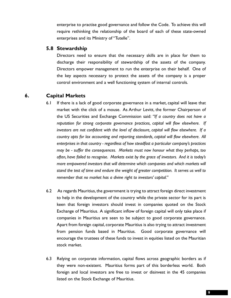enterprise to practise good governance and follow the Code. To achieve this will require rethinking the relationship of the board of each of these state-owned enterprises and its Ministry of "Tutelle".

#### **5.8 Stewardship**

Directors need to ensure that the necessary skills are in place for them to discharge their responsibility of stewardship of the assets of the company. Directors empower management to run the enterprise on their behalf. One of the key aspects necessary to protect the assets of the company is a proper control environment and a well functioning system of internal controls.

#### **6. Capital Markets**

- 6.1 If there is a lack of good corporate governance in a market, capital will leave that market with the click of a mouse. As Arthur Levitt, the former Chairperson of the US Securities and Exchange Commission said: *"If a country does not have a reputation for strong corporate governance practices, capital will flow elsewhere. If investors are not confident with the level of disclosure, capital will flow elsewhere. If a country opts for lax accounting and reporting standards, capital will flow elsewhere. All enterprises in that country - regardless of how steadfast a particular company's practices may be - suffer the consequences. Markets must now honour what they perhaps, too often, have failed to recognise. Markets exist by the grace of investors. And it is today's more empowered investors that will determine which companies and which markets will stand the test of time and endure the weight of greater competition. It serves us well to remember that no market has a divine right to investors' capital."*
- 6.2 As regards Mauritius, the government is trying to attract foreign direct investment to help in the development of the country while the private sector for its part is keen that foreign investors should invest in companies quoted on the Stock Exchange of Mauritius. A significant inflow of foreign capital will only take place if companies in Mauritius are seen to be subject to good corporate governance. Apart from foreign capital, corporate Mauritius is also trying to attract investment from pension funds based in Mauritius. Good corporate governance will encourage the trustees of these funds to invest in equities listed on the Mauritian stock market.
- 6.3 Relying on corporate information, capital flows across geographic borders as if they were non-existent. Mauritius forms part of this borderless world. Both foreign and local investors are free to invest or disinvest in the 45 companies listed on the Stock Exchange of Mauritius.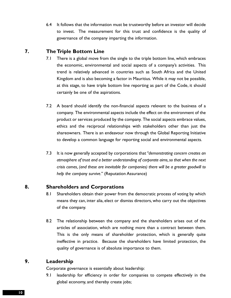6.4 It follows that the information must be trustworthy before an investor will decide to invest. The measurement for this trust and confidence is the quality of governance of the company imparting the information.

# **7. The Triple Bottom Line**

- 7.1 There is a global move from the single to the triple bottom line, which embraces the economic, environmental and social aspects of a company's activities. This trend is relatively advanced in countries such as South Africa and the United Kingdom and is also becoming a factor in Mauritius. While it may not be possible, at this stage, to have triple bottom line reporting as part of the Code, it should certainly be one of the aspirations.
- 7.2 A board should identify the non-financial aspects relevant to the business of a company. The environmental aspects include the effect on the environment of the product or services produced by the company. The social aspects embrace values, ethics and the reciprocal relationships with stakeholders other than just the shareowners. There is an endeavour now through the Global Reporting Initiative to develop a common language for reporting social and environmental aspects.
- 7.3 It is now generally accepted by corporations that *"demonstrating concern creates an atmosphere of trust and a better understanding of corporate aims, so that when the next crisis comes, (and these are inevitable for companies) there will be a greater goodwill to help the company survive."* (Reputation Assurance)

#### **8. Shareholders and Corporations**

- 8.1 Shareholders obtain their power from the democratic process of voting by which means they can, inter alia, elect or dismiss directors, who carry out the objectives of the company.
- 8.2 The relationship between the company and the shareholders arises out of the articles of association, which are nothing more than a contract between them. This is the only means of shareholder protection, which is generally quite ineffective in practice. Because the shareholders have limited protection, the quality of governance is of absolute importance to them.

## **9. Leadership**

Corporate governance is essentially about leadership:

9.1 leadership for efficiency in order for companies to compete effectively in the global economy, and thereby create jobs;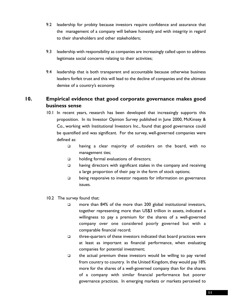- 9.2 leadership for probity because investors require confidence and assurance that the management of a company will behave honestly and with integrity in regard to their shareholders and other stakeholders;
- 9.3 leadership with responsibility as companies are increasingly called upon to address legitimate social concerns relating to their activities;
- 9.4 leadership that is both transparent and accountable because otherwise business leaders forfeit trust and this will lead to the decline of companies and the ultimate demise of a country's economy.

# **10. Empirical evidence that good corporate governance makes good business sense**

- 10.1 In recent years, research has been developed that increasingly supports this proposition. In its Investor Opinion Survey published in June 2000, McKinsey & Co., working with Institutional Investors Inc., found that good governance could be quantified and was significant. For the survey, well-governed companies were defined as:
	- having a clear majority of outsiders on the board, with no management ties;
	- □ holding formal evaluations of directors;
	- $\square$  having directors with significant stakes in the company and receiving a large proportion of their pay in the form of stock options;
	- $\Box$  being responsive to investor requests for information on governance issues.
- 10.2 The survey found that:
	- □ more than 84% of the more than 200 global institutional investors, together representing more than US\$3 trillion in assets, indicated a willingness to pay a premium for the shares of a well-governed company over one considered poorly governed but with a comparable financial record;
	- $\Box$  three-quarters of these investors indicated that board practices were at least as important as financial performance, when evaluating companies for potential investment;
	- $\Box$  the actual premium these investors would be willing to pay varied from country to country. In the United Kingdom, they would pay 18% more for the shares of a well-governed company than for the shares of a company with similar financial performance but poorer governance practices. In emerging markets or markets perceived to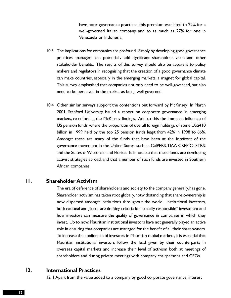have poor governance practices, this premium escalated to 22% for a well-governed Italian company and to as much as 27% for one in Venezuela or Indonesia.

- 10.3 The implications for companies are profound. Simply by developing good governance practices, managers can potentially add significant shareholder value and other stakeholder benefits. The results of this survey should also be apparent to policy makers and regulators in recognising that the creation of a good governance climate can make countries, especially in the emerging markets, a magnet for global capital. This survey emphasised that companies not only need to be well-governed, but also need to be perceived in the market as being well-governed.
- 10.4 Other similar surveys support the contentions put forward by McKinsey. In March 2001, Stanford University issued a report on corporate governance in emerging markets, re-enforcing the McKinsey findings. Add to this the immense influence of US pension funds, where the proportion of overall foreign holdings of some US\$410 billion in 1999 held by the top 25 pension funds leapt from 42% in 1998 to 66%. Amongst these are many of the funds that have been at the forefront of the governance movement in the United States, such as CalPERS,TIAA-CREF, CalSTRS, and the States of Wisconsin and Florida. It is notable that these funds are developing activist strategies abroad, and that a number of such funds are invested in Southern African companies.

#### **11. Shareholder Activism**

The era of deference of shareholders and society to the company generally, has gone. Shareholder activism has taken root globally,notwithstanding that share ownership is now dispersed amongst institutions throughout the world. Institutional investors, both national and global, are drafting criteria for "socially responsible" investment and how investors can measure the quality of governance in companies in which they invest. Up to now, Mauritian institutional investors have not generally played an active role in ensuring that companies are managed for the benefit of all their shareowners. To increase the confidence of investors in Mauritian capital markets,it is essential that Mauritian institutional investors follow the lead given by their counterparts in overseas capital markets and increase their level of activism both at meetings of shareholders and during private meetings with company chairpersons and CEOs.

#### **12. International Practices**

12. 1 Apart from the value added to a company by good corporate governance, interest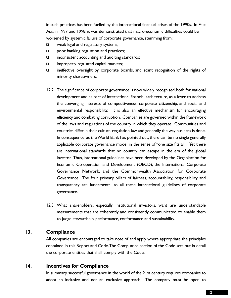in such practices has been fuelled by the international financial crises of the 1990s. In East Asia,in 1997 and 1998, it was demonstrated that macro-economic difficulties could be worsened by systemic failure of corporate governance, stemming from:

- $\Box$  weak legal and regulatory systems;
- □ poor banking regulation and practices;
- $\Box$  inconsistent accounting and auditing standards;
- $\Box$  improperly regulated capital markets;
- $\square$  ineffective oversight by corporate boards, and scant recognition of the rights of minority shareowners.
- 12.2 The significance of corporate governance is now widely recognised, both for national development and as part of international financial architecture, as a lever to address the converging interests of competitiveness, corporate citizenship, and social and environmental responsibility. It is also an effective mechanism for encouraging efficiency and combating corruption. Companies are governed within the framework of the laws and regulations of the country in which they operate. Communities and countries differ in their culture, regulation, law and generally the way business is done. In consequence, as the World Bank has pointed out, there can be no single generally applicable corporate governance model in the sense of "one size fits all". Yet there are international standards that no country can escape in the era of the global investor. Thus, international guidelines have been developed by the Organisation for Economic Co-operation and Development (OECD), the International Corporate Governance Network, and the Commonwealth Association for Corporate Governance. The four primary pillars of fairness, accountability, responsibility and transparency are fundamental to all these international guidelines of corporate governance.
- 12.3 What shareholders, especially institutional investors, want are understandable measurements that are coherently and consistently communicated, to enable them to judge stewardship, performance, conformance and sustainability.

#### **13. Compliance**

All companies are encouraged to take note of and apply where appropriate the principles contained in this Report and Code.The Compliance section of the Code sets out in detail the corporate entities that shall comply with the Code.

#### **14. Incentives for Compliance**

In summary, successful governance in the world of the 21st century requires companies to adopt an inclusive and not an exclusive approach. The company must be open to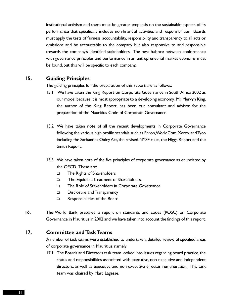institutional activism and there must be greater emphasis on the sustainable aspects of its performance that specifically includes non-financial activities and responsibilities. Boards must apply the tests of fairness, accountability, responsibility and transparency to all acts or omissions and be accountable to the company but also responsive to and responsible towards the company's identified stakeholders. The best balance between conformance with governance principles and performance in an entrepreneurial market economy must be found, but this will be specific to each company.

#### **15. Guiding Principles**

The guiding principles for the preparation of this report are as follows:

- 15.1 We have taken the King Report on Corporate Governance in South Africa 2002 as our model because it is most appropriate to a developing economy. Mr Mervyn King, the author of the King Report, has been our consultant and advisor for the preparation of the Mauritius Code of Corporate Governance.
- 15.2 We have taken note of all the recent developments in Corporate Governance following the various high profile scandals such as Enron,WorldCom,Xerox and Tyco including the Sarbannes Oxley Act, the revised NYSE rules, the Higgs Report and the Smith Report.
- 15.3 We have taken note of the five principles of corporate governance as enunciated by the OECD. These are:
	- □ The Rights of Shareholders
	- □ The Equitable Treatment of Shareholders
	- The Role of Stakeholders in Corporate Governance
	- Disclosure and Transparency
	- □ Responsibilities of the Board
- **16.** The World Bank prepared a report on standards and codes (ROSC) on Corporate Governance in Mauritius in 2002 and we have taken into account the findings of this report.

#### **17. Committee and Task Teams**

A number of task teams were established to undertake a detailed review of specified areas of corporate governance in Mauritius, namely:

17.1 The Boards and Directors task team looked into issues regarding board practice, the status and responsibilities associated with executive, non-executive and independent directors, as well as executive and non-executive director remuneration. This task team was chaired by Marc Lagesse.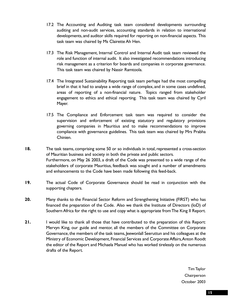- 17.2 The Accounting and Auditing task team considered developments surrounding auditing and non-audit services, accounting standards in relation to international developments, and auditor skills required for reporting on non-financial aspects. This task team was chaired by Ms Clairette Ah Hen.
- 17.3 The Risk Management, Internal Control and Internal Audit task team reviewed the role and function of internal audit. It also investigated recommendations introducing risk management as a criterion for boards and companies in corporate governance. This task team was chaired by Nassir Ramtoola.
- 17.4 The Integrated Sustainability Reporting task team perhaps had the most compelling brief in that it had to analyse a wide range of complex, and in some cases undefined, areas of reporting of a non-financial nature. Topics ranged from stakeholder engagement to ethics and ethical reporting. This task team was chaired by Cyril Mayer.
- 17.5 The Compliance and Enforcement task team was required to consider the supervision and enforcement of existing statutory and regulatory provisions governing companies in Mauritius and to make recommendations to improve compliance with governance guidelines. This task team was chaired by Mrs Prabha Chinien.
- **18.** The task teams, comprising some 50 or so individuals in total, represented a cross-section of Mauritian business and society in both the private and public sectors. Furthermore, on May 26 2003, a draft of the Code was presented to a wide range of the stakeholders of corporate Mauritius, feedback was sought and a number of amendments and enhancements to the Code have been made following this feed-back.
- **19.** The actual Code of Corporate Governance should be read in conjunction with the supporting chapters.
- **20.** Many thanks to the Financial Sector Reform and Strengthening Initiative (FIRST) who has financed the preparation of the Code. Also we thank the Institute of Directors (IoD) of Southern Africa for the right to use and copy what is appropriate from The King II Report.
- **21.** I would like to thank all those that have contributed to the preparation of this Report: Mervyn King, our guide and mentor, all the members of the Committee on Corporate Governance, the members of the task teams, Jeewonlall Seeruttun and his colleagues at the Ministry of Economic Development, Financial Services and Corporate Affairs,Anton Roodt the editor of the Report and Michaela Manuel who has worked tirelessly on the numerous drafts of the Report.

Tim Taylor Chairperson October 2003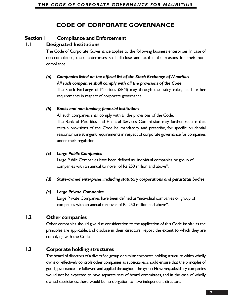# **CODE OF CORPORATE GOVERNANCE**

# **Section 1 Compliance and Enforcement**

## **1.1 Designated Institutions**

The Code of Corporate Governance applies to the following business enterprises. In case of non-compliance, these enterprises shall disclose and explain the reasons for their noncompliance.

# *(a) Companies listed on the official list of the Stock Exchange of Mauritius All such companies shall comply with all the provisions of the Code.*

The Stock Exchange of Mauritius (SEM) may, through the listing rules, add further requirements in respect of corporate governance.

#### *(b) Banks and non-banking financial institutions*

All such companies shall comply with all the provisions of the Code.

The Bank of Mauritius and Financial Services Commission may further require that certain provisions of the Code be mandatory, and prescribe, for specific prudential reasons,more stringent requirements in respect of corporate governance for companies under their regulation.

#### *(c) Large Public Companies*

Large Public Companies have been defined as "individual companies or group of companies with an annual turnover of Rs 250 million and above".

#### *(d) State-owned enterprises, including statutory corporations and parastatal bodies*

#### *(e) Large Private Companies*

Large Private Companies have been defined as "individual companies or group of companies with an annual turnover of Rs 250 million and above".

# **1.2 Other companies**

Other companies should give due consideration to the application of this Code insofar as the principles are applicable, and disclose in their directors' report the extent to which they are complying with the Code.

# **1.3 Corporate holding structures**

The board of directors of a diversified group or similar corporate holding structure which wholly owns or effectively controls other companies as subsidiaries,should ensure that the principles of good governance are followed and applied throughout the group.However,subsidiary companies would not be expected to have separate sets of board committees, and in the case of wholly owned subsidiaries, there would be no obligation to have independent directors.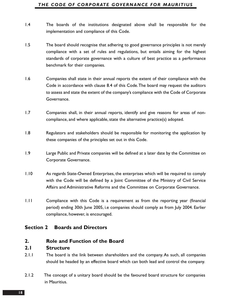#### *THE CODE OF CORPORATE GOVERNANCE FOR MAURITIUS*

- 1.4 The boards of the institutions designated above shall be responsible for the implementation and compliance of this Code.
- 1.5 The board should recognise that adhering to good governance principles is not merely compliance with a set of rules and regulations, but entails aiming for the highest standards of corporate governance with a culture of best practice as a performance benchmark for their companies.
- 1.6 Companies shall state in their annual reports the extent of their compliance with the Code in accordance with clause 8.4 of this Code.The board may request the auditors to assess and state the extent of the company's compliance with the Code of Corporate Governance.
- 1.7 Companies shall, in their annual reports, identify and give reasons for areas of noncompliance, and where applicable, state the alternative practice(s) adopted.
- 1.8 Regulators and stakeholders should be responsible for monitoring the application by these companies of the principles set out in this Code.
- 1.9 Large Public and Private companies will be defined at a later date by the Committee on Corporate Governance.
- 1.10 As regards State-Owned Enterprises, the enterprises which will be required to comply with the Code will be defined by a Joint Committee of the Ministry of Civil Service Affairs and Administrative Reforms and the Committee on Corporate Governance.
- 1.11 Compliance with this Code is a requirement as from the reporting year (financial period) ending 30th June 2005, i.e companies should comply as from July 2004. Earlier compliance, however, is encouraged.

#### **Section 2 Boards and Directors**

#### **2. Role and Function of the Board**

#### **2.1 Structure**

- 2.1.1 The board is the link between shareholders and the company. As such, all companies should be headed by an effective board which can both lead and control the company.
- 2.1.2 The concept of a unitary board should be the favoured board structure for companies in Mauritius.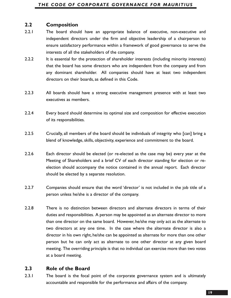# **2.2 Composition**

- 2.2.1 The board should have an appropriate balance of executive, non-executive and independent directors under the firm and objective leadership of a chairperson to ensure satisfactory performance within a framework of good governance to serve the interests of all the stakeholders of the company.
- 2.2.2 It is essential for the protection of shareholder interests (including minority interests) that the board has some directors who are independent from the company and from any dominant shareholder. All companies should have at least two independent directors on their boards, as defined in this Code.
- 2.2.3 All boards should have a strong executive management presence with at least two executives as members.
- 2.2.4 Every board should determine its optimal size and composition for effective execution of its responsibilities.
- 2.2.5 Crucially, all members of the board should be individuals of integrity who [can] bring a blend of knowledge, skills, objectivity, experience and commitment to the board.
- 2.2.6 Each director should be elected (or re-elected as the case may be) every year at the Meeting of Shareholders and a brief CV of each director standing for election or reelection should accompany the notice contained in the annual report. Each director should be elected by a separate resolution.
- 2.2.7 Companies should ensure that the word 'director' is not included in the job title of a person unless he/she is a director of the company.
- 2.2.8 There is no distinction between directors and alternate directors in terms of their duties and responsibilities. A person may be appointed as an alternate director to more than one director on the same board. However, he/she may only act as the alternate to two directors at any one time. In the case where the alternate director is also a director in his own right, he/she can be appointed as alternate for more than one other person but he can only act as alternate to one other director at any given board meeting. The overriding principle is that no individual can exercise more than two votes at a board meeting.

# **2.3 Role of the Board**

2.3.1 The board is the focal point of the corporate governance system and is ultimately accountable and responsible for the performance and affairs of the company.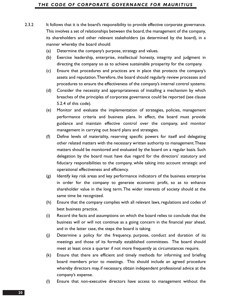- 2.3.2 It follows that it is the board's responsibility to provide effective corporate governance. This involves a set of relationships between the board, the management of the company, its shareholders and other relevant stakeholders (as determined by the board), in a manner whereby the board should:
	- (a) Determine the company's purpose, strategy and values.
	- (b) Exercise leadership, enterprise, intellectual honesty, integrity and judgment in directing the company so as to achieve sustainable prosperity for the company.
	- (c) Ensure that procedures and practices are in place that protects the company's assets and reputation.Therefore, the board should regularly review processes and procedures to ensure the effectiveness of the company's internal control systems.
	- (d) Consider the necessity and appropriateness of installing a mechanism by which breaches of the principles of corporate governance could be reported (see clause 5.2.4 of this code).
	- (e) Monitor and evaluate the implementation of strategies, policies, management performance criteria and business plans. In effect, the board must provide guidance and maintain effective control over the company, and monitor management in carrying out board plans and strategies.
	- (f) Define levels of materiality, reserving specific powers for itself and delegating other related matters with the necessary written authority to management.These matters should be monitored and evaluated by the board on a regular basis. Such delegation by the board must have due regard for the directors' statutory and fiduciary responsibilities to the company, while taking into account strategic and operational effectiveness and efficiency.
	- (g) Identify key risk areas and key performance indicators of the business enterprise in order for the company to generate economic profit, so as to enhance shareholder value in the long term.The wider interests of society should at the same time be recognized.
	- (h) Ensure that the company complies with all relevant laws, regulations and codes of best business practice.
	- (i) Record the facts and assumptions on which the board relies to conclude that the business will or will not continue as a going concern in the financial year ahead, and in the latter case, the steps the board is taking.
	- (j) Determine a policy for the frequency, purpose, conduct and duration of its meetings and those of its formally established committees. The board should meet at least once a quarter if not more frequently as circumstances require.
	- (k) Ensure that there are efficient and timely methods for informing and briefing board members prior to meetings. This should include an agreed procedure whereby directors may, if necessary, obtain independent professional advice at the company's expense.
	- (l) Ensure that non-executive directors have access to management without the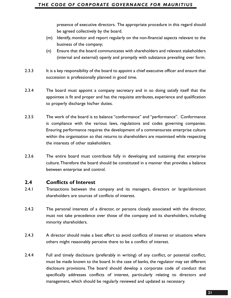presence of executive directors. The appropriate procedure in this regard should be agreed collectively by the board.

- (m) Identify, monitor and report regularly on the non-financial aspects relevant to the business of the company;
- (n) Ensure that the board communicates with shareholders and relevant stakeholders (internal and external) openly and promptly with substance prevailing over form.
- 2.3.3 It is a key responsibility of the board to appoint a chief executive officer and ensure that succession is professionally planned in good time.
- 2.3.4 The board must appoint a company secretary and in so doing satisfy itself that the appointee is fit and proper and has the requisite attributes, experience and qualification to properly discharge his/her duties.
- 2.3.5 The work of the board is to balance "conformance" and "performance". Conformance is compliance with the various laws, regulations and codes governing companies. Ensuring performance requires the development of a commensurate enterprise culture within the organisation so that returns to shareholders are maximised while respecting the interests of other stakeholders.
- 2.3.6 The entire board must contribute fully in developing and sustaining that enterprise culture.Therefore the board should be constituted in a manner that provides a balance between enterprise and control.

#### **2.4 Conflicts of Interest**

- 2.4.1 Transactions between the company and its managers, directors or large/dominant shareholders are sources of conflicts of interest.
- 2.4.2 The personal interests of a director, or persons closely associated with the director, must not take precedence over those of the company and its shareholders, including minority shareholders.
- 2.4.3 A director should make a best effort to avoid conflicts of interest or situations where others might reasonably perceive there to be a conflict of interest.
- 2.4.4 Full and timely disclosure (preferably in writing) of any conflict, or potential conflict, must be made known to the board. In the case of banks, the regulator may set different disclosure provisions. The board should develop a corporate code of conduct that specifically addresses conflicts of interest, particularly relating to directors and management, which should be regularly reviewed and updated as necessary.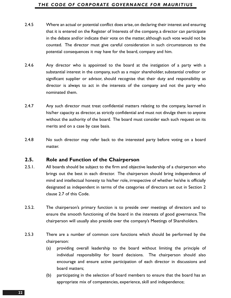#### *THE CODE OF CORPORATE GOVERNANCE FOR MAURITIUS*

- 2.4.5 Where an actual or potential conflict does arise, on declaring their interest and ensuring that it is entered on the Register of Interests of the company, a director can participate in the debate and/or indicate their vote on the matter, although such vote would not be counted. The director must give careful consideration in such circumstances to the potential consequences it may have for the board, company and him.
- 2.4.6 Any director who is appointed to the board at the instigation of a party with a substantial interest in the company, such as a major shareholder, substantial creditor or significant supplier or advisor, should recognise that their duty and responsibility as director is always to act in the interests of the company and not the party who nominated them.
- 2.4.7 Any such director must treat confidential matters relating to the company, learned in his/her capacity as director, as strictly confidential and must not divulge them to anyone without the authority of the board. The board must consider each such request on its merits and on a case by case basis.
- 2.4.8 No such director may refer back to the interested party before voting on a board matter.

#### **2.5. Role and Function of the Chairperson**

- 2.5.1. All boards should be subject to the firm and objective leadership of a chairperson who brings out the best in each director. The chairperson should bring independence of mind and intellectual honesty to his/her role, irrespective of whether he/she is officially designated as independent in terms of the categories of directors set out in Section 2 clause 2.7 of this Code.
- 2.5.2. The chairperson's primary function is to preside over meetings of directors and to ensure the smooth functioning of the board in the interests of good governance.The chairperson will usually also preside over the company's Meetings of Shareholders.
- 2.5.3 There are a number of common core functions which should be performed by the chairperson:
	- (a) providing overall leadership to the board without limiting the principle of individual responsibility for board decisions. The chairperson should also encourage and ensure active participation of each director in discussions and board matters;
	- (b) participating in the selection of board members to ensure that the board has an appropriate mix of competencies, experience, skill and independence;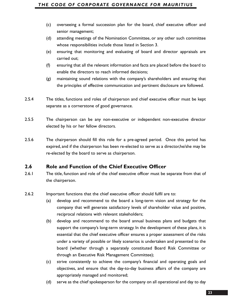#### *THE CODE OF CORPORATE GOVERNANCE FOR MAURITIUS*

- (c) overseeing a formal succession plan for the board, chief executive officer and senior management;
- (d) attending meetings of the Nomination Committee, or any other such committee whose responsibilities include those listed in Section 3.
- (e) ensuring that monitoring and evaluating of board and director appraisals are carried out;
- (f) ensuring that all the relevant information and facts are placed before the board to enable the directors to reach informed decisions;
- (g) maintaining sound relations with the company's shareholders and ensuring that the principles of effective communication and pertinent disclosure are followed.
- 2.5.4 The titles, functions and roles of chairperson and chief executive officer must be kept separate as a cornerstone of good governance.
- 2.5.5 The chairperson can be any non-executive or independent non-executive director elected by his or her fellow directors.
- 2.5.6 The chairperson should fill this role for a pre-agreed period. Once this period has expired, and if the chairperson has been re-elected to serve as a director,he/she may be re-elected by the board to serve as chairperson.

#### **2.6 Role and Function of the Chief Executive Officer**

- 2.6.1 The title, function and role of the chief executive officer must be separate from that of the chairperson.
- 2.6.2 Important functions that the chief executive officer should fulfil are to:
	- (a) develop and recommend to the board a long-term vision and strategy for the company that will generate satisfactory levels of shareholder value and positive, reciprocal relations with relevant stakeholders;
	- (b) develop and recommend to the board annual business plans and budgets that support the company's long-term strategy. In the development of these plans, it is essential that the chief executive officer ensures a proper assessment of the risks under a variety of possible or likely scenarios is undertaken and presented to the board (whether through a separately constituted Board Risk Committee or through an Executive Risk Management Committee);
	- (c) strive consistently to achieve the company's financial and operating goals and objectives, and ensure that the day-to-day business affairs of the company are appropriately managed and monitored;
	- (d) serve as the chief spokesperson for the company on all operational and day to day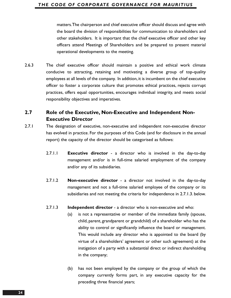matters.The chairperson and chief executive officer should discuss and agree with the board the division of responsibilities for communication to shareholders and other stakeholders. It is important that the chief executive officer and other key officers attend Meetings of Shareholders and be prepared to present material operational developments to the meeting.

2.6.3 The chief executive officer should maintain a positive and ethical work climate conducive to attracting, retaining and motivating a diverse group of top-quality employees at all levels of the company. In addition, it is incumbent on the chief executive officer to foster a corporate culture that promotes ethical practices, rejects corrupt practices, offers equal opportunities, encourages individual integrity, and meets social responsibility objectives and imperatives.

# **2.7 Role of the Executive, Non-Executive and Independent Non-Executive Director**

- 2.7.1 The designation of executive, non-executive and independent non-executive director has evolved in practice. For the purposes of this Code (and for disclosure in the annual report) the capacity of the director should be categorised as follows:
	- 2.7.1.1 **Executive director** a director who is involved in the day-to-day management and/or is in full-time salaried employment of the company and/or any of its subsidiaries.
	- 2.7.1.2 **Non-executive director** a director not involved in the day-to-day management and not a full-time salaried employee of the company or its subsidiaries and not meeting the criteria for independence in 2.7.1.3. below.
	- 2.7.1.3 **Independent director** a director who is non-executive and who:
		- (a) is not a representative or member of the immediate family (spouse, child, parent, grandparent or grandchild) of a shareholder who has the ability to control or significantly influence the board or management. This would include any director who is appointed to the board (by virtue of a shareholders' agreement or other such agreement) at the instigation of a party with a substantial direct or indirect shareholding in the company;
		- (b) has not been employed by the company or the group of which the company currently forms part, in any executive capacity for the preceding three financial years;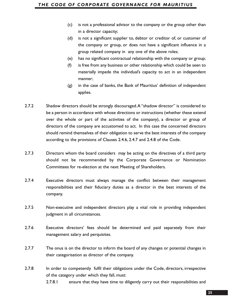- (c) is not a professional advisor to the company or the group other than in a director capacity;
- (d) is not a significant supplier to, debtor or creditor of, or customer of the company or group, or does not have a significant influence in a group related company in any one of the above roles;
- (e) has no significant contractual relationship with the company or group;
- (f) is free from any business or other relationship which could be seen to materially impede the individual's capacity to act in an independent manner;
- (g) in the case of banks, the Bank of Mauritius' definition of independent applies.
- 2.7.2 Shadow directors should be strongly discouraged.A "shadow director" is considered to be a person in accordance with whose directions or instructions (whether these extend over the whole or part of the activities of the company), a director or group of directors of the company are accustomed to act. In this case the concerned directors should remind themselves of their obligation to serve the best interests of the company according to the provisions of Clauses 2.4.6, 2.4.7 and 2.4.8 of the Code.
- 2.7.3 Directors whom the board considers may be acting on the directives of a third party should not be recommended by the Corporate Governance or Nomination Committees for re-election at the next Meeting of Shareholders.
- 2.7.4 Executive directors must always manage the conflict between their management responsibilities and their fiduciary duties as a director in the best interests of the company.
- 2.7.5 Non-executive and independent directors play a vital role in providing independent judgment in all circumstances.
- 2.7.6 Executive directors' fees should be determined and paid separately from their management salary and perquisites.
- 2.7.7 The onus is on the director to inform the board of any changes or potential changes in their categorisation as director of the company.
- 2.7.8 In order to competently fulfil their obligations under the Code, directors, irrespective of the category under which they fall, must:
	- 2.7.8.1 ensure that they have time to diligently carry out their responsibilities and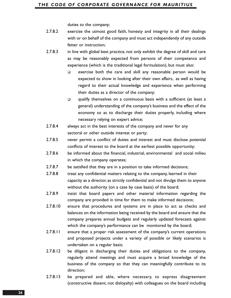duties to the company;

- 2.7.8.2 exercise the utmost good faith, honesty and integrity in all their dealings with or on behalf of the company and must act independently of any outside fetter or instruction;
- 2.7.8.3 in line with global best practice, not only exhibit the degree of skill and care as may be reasonably expected from persons of their competence and experience (which is the traditional legal formulation), but must also:
	- $\Box$  exercise both the care and skill any reasonable person would be expected to show in looking after their own affairs, as well as having regard to their actual knowledge and experience when performing their duties as a director of the company;
	- $\Box$  qualify themselves on a continuous basis with a sufficient (at least a general) understanding of the company's business and the effect of the economy so as to discharge their duties properly, including where necessary relying on expert advice;
- 2.7.8.4 always act in the best interests of the company and never for any sectoral or other outside interest or party;
- 2.7.8.5 never permit a conflict of duties and interest and must disclose potential conflicts of interest to the board at the earliest possible opportunity;
- 2.7.8.6 be informed about the financial, industrial, environmental and social milieu in which the company operates;
- 2.7.8.7 be satisfied that they are in a position to take informed decisions;
- 2.7.8.8 treat any confidential matters relating to the company, learned in their capacity as a director, as strictly confidential and not divulge them to anyone without the authority (on a case by case basis) of the board;
- 2.7.8.9 insist that board papers and other material information regarding the company are provided in time for them to make informed decisions;
- 2.7.8.10 ensure that procedures and systems are in place to act as checks and balances on the information being received by the board and ensure that the company prepares annual budgets and regularly updated forecasts against which the company's performance can be monitored by the board;
- 2.7.8.11 ensure that a proper risk assessment of the company's current operations and proposed projects under a variety of possible or likely scenarios is undertaken on a regular basis;
- 2.7.8.12 be diligent in discharging their duties and obligations to the company, regularly attend meetings and must acquire a broad knowledge of the business of the company so that they can meaningfully contribute to its direction;
- 2.7.8.13 be prepared and able, where necessary, to express disagreement (constructive dissent, not disloyalty) with colleagues on the board including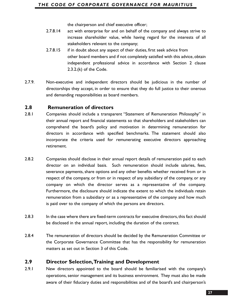the chairperson and chief executive officer;

- 2.7.8.14 act with enterprise for and on behalf of the company and always strive to increase shareholder value, while having regard for the interests of all stakeholders relevant to the company;
- 2.7.8.15 if in doubt about any aspect of their duties, first seek advice from other board members and if not completely satisfied with this advice, obtain independent professional advice in accordance with Section 2 clause 2.3.2.(k) of the Code.
- 2.7.9. Non-executive and independent directors should be judicious in the number of directorships they accept, in order to ensure that they do full justice to their onerous and demanding responsibilities as board members.

#### **2.8 Remuneration of directors**

- 2.8.1 Companies should include a transparent "Statement of Remuneration Philosophy" in their annual report and financial statements so that shareholders and stakeholders can comprehend the board's policy and motivation in determining remuneration for directors in accordance with specified benchmarks. The statement should also incorporate the criteria used for remunerating executive directors approaching retirement.
- 2.8.2 Companies should disclose in their annual report details of remuneration paid to each director on an individual basis. Such remuneration should include salaries, fees, severance payments, share options and any other benefits whether received from or in respect of the company, or from or in respect of any subsidiary of the company, or any company on which the director serves as a representative of the company. Furthermore, the disclosure should indicate the extent to which the individuals retain remuneration from a subsidiary or as a representative of the company and how much is paid over to the company of which the persons are directors.
- 2.8.3 In the case where there are fixed-term contracts for executive directors, this fact should be disclosed in the annual report, including the duration of the contract.
- 2.8.4 The remuneration of directors should be decided by the Remuneration Committee or the Corporate Governance Committee that has the responsibility for remuneration matters as set out in Section 3 of this Code.

#### **2.9 Director Selection,Training and Development**

2.9.1 New directors appointed to the board should be familiarised with the company's operations, senior management and its business environment. They must also be made aware of their fiduciary duties and responsibilities and of the board's and chairperson's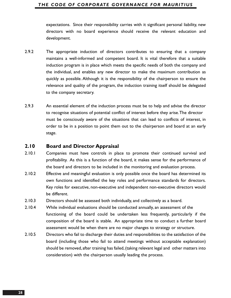#### *THE CODE OF CORPORATE GOVERNANCE FOR MAURITIUS*

expectations. Since their responsibility carries with it significant personal liability, new directors with no board experience should receive the relevant education and development.

- 2.9.2 The appropriate induction of directors contributes to ensuring that a company maintains a well-informed and competent board. It is vital therefore that a suitable induction program is in place which meets the specific needs of both the company and the individual, and enables any new director to make the maximum contribution as quickly as possible. Although it is the responsibility of the chairperson to ensure the relevance and quality of the program, the induction training itself should be delegated to the company secretary.
- 2.9.3 An essential element of the induction process must be to help and advise the director to recognise situations of potential conflict of interest before they arise.The director must be consciously aware of the situations that can lead to conflicts of interest, in order to be in a position to point them out to the chairperson and board at an early stage.

#### **2.10 Board and Director Appraisal**

- 2.10.1 Companies must have controls in place to promote their continued survival and profitability. As this is a function of the board, it makes sense for the performance of the board and directors to be included in the monitoring and evaluation process.
- 2.10.2 Effective and meaningful evaluation is only possible once the board has determined its own functions and identified the key roles and performance standards for directors. Key roles for executive, non-executive and independent non-executive directors would be different.
- 2.10.3 Directors should be assessed both individually, and collectively as a board.
- 2.10.4 While individual evaluations should be conducted annually, an assessment of the functioning of the board could be undertaken less frequently, particularly if the composition of the board is stable. An appropriate time to conduct a further board assessment would be when there are no major changes to strategy or structure.
- 2.10.5 Directors who fail to discharge their duties and responsibilities to the satisfaction of the board (including those who fail to attend meetings without acceptable explanation) should be removed, after training has failed, (taking relevant legal and other matters into consideration) with the chairperson usually leading the process.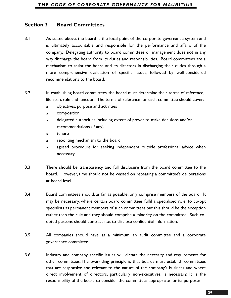# **Section 3 Board Committees**

- 3.1 As stated above, the board is the focal point of the corporate governance system and is ultimately accountable and responsible for the performance and affairs of the company. Delegating authority to board committees or management does not in any way discharge the board from its duties and responsibilities. Board committees are a mechanism to assist the board and its directors in discharging their duties through a more comprehensive evaluation of specific issues, followed by well-considered recommendations to the board.
- 3.2 In establishing board committees, the board must determine their terms of reference, life span, role and function. The terms of reference for each committee should cover:
	- objectives, purpose and activities
	- **a** composition
	- delegated authorities including extent of power to make decisions and/or recommendations (if any)
	- a tenure
	- **netable 1 are reporting mechanism to the board**
	- a agreed procedure for seeking independent outside professional advice when necessary.
- 3.3 There should be transparency and full disclosure from the board committee to the board. However, time should not be wasted on repeating a committee's deliberations at board level.
- 3.4 Board committees should, as far as possible, only comprise members of the board. It may be necessary, where certain board committees fulfil a specialised role, to co-opt specialists as permanent members of such committees but this should be the exception rather than the rule and they should comprise a minority on the committee. Such coopted persons should contract not to disclose confidential information.
- 3.5 All companies should have, at a minimum, an audit committee and a corporate governance committee.
- 3.6 Industry and company specific issues will dictate the necessity and requirements for other committees. The overriding principle is that boards must establish committees that are responsive and relevant to the nature of the company's business and where direct involvement of directors, particularly non-executives, is necessary. It is the responsibility of the board to consider the committees appropriate for its purposes.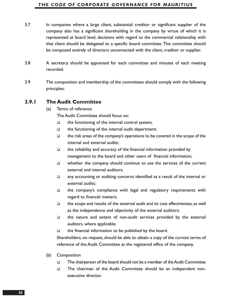#### *THE CODE OF CORPORATE GOVERNANCE FOR MAURITIUS*

- 3.7 In companies where a large client, substantial creditor or significant supplier of the company also has a significant shareholding in the company by virtue of which it is represented at board level, decisions with regard to the commercial relationship with that client should be delegated to a specific board committee.This committee should be composed entirely of directors unconnected with the client, creditor or supplier.
- 3.8 A secretary should be appointed for each committee and minutes of each meeting recorded.
- 3.9 The composition and membership of the committees should comply with the following principles:

#### **3.9.1 The Audit Committee**

(a) Terms of reference

The Audit Committee should focus on:

- $\Box$  the functioning of the internal control system;
- $\Box$  the functioning of the internal audit department;
- $\Box$  the risk areas of the company's operations to be covered in the scope of the internal and external audits;
- $\Box$  the reliability and accuracy of the financial information provided by management to the board and other users of financial information;
- $\Box$  whether the company should continue to use the services of the current external and internal auditors;
- any accounting or auditing concerns identified as a result of the internal or external audits;
- the company's compliance with legal and regulatory requirements with regard to financial matters;
- $\Box$  the scope and results of the external audit and its cost effectiveness, as well as the independence and objectivity of the external auditors;
- $\Box$  the nature and extent of non-audit services provided by the external auditors, where applicable;
- $\Box$  the financial information to be published by the board.

Shareholders, on request, should be able to obtain a copy of the current terms of reference of the Audit Committee at the registered office of the company.

- (b) Composition
	- The chairperson of the board should not be a member of the Audit Committee
	- The chairman of the Audit Committee should be an independent nonexecutive director.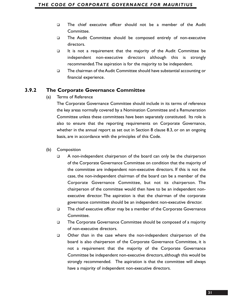- The chief executive officer should not be a member of the Audit Committee.
- The Audit Committee should be composed entirely of non-executive directors.
- It is not a requirement that the majority of the Audit Committee be independent non-executive directors although this is strongly recommended.The aspiration is for the majority to be independent.
- The chairman of the Audit Committee should have substantial accounting or financial experience.

## **3.9.2 The Corporate Governance Committee**

(a) Terms of Reference

The Corporate Governance Committee should include in its terms of reference the key areas normally covered by a Nomination Committee and a Remuneration Committee unless these committees have been separately constituted. Its role is also to ensure that the reporting requirements on Corporate Governance, whether in the annual report as set out in Section 8 clause 8.3, or on an ongoing basis, are in accordance with the principles of this Code.

- (b) Composition
	- $\Box$  A non-independent chairperson of the board can only be the chairperson of the Corporate Governance Committee on condition that the majority of the committee are independent non-executive directors. If this is not the case, the non-independent chairman of the board can be a member of the Corporate Governance Committee, but not its chairperson. The chairperson of the committee would then have to be an independent nonexecutive director. The aspiration is that the chairman of the corporate governance committee should be an independent non-executive director.
	- □ The chief executive officer may be a member of the Corporate Governance Committee.
	- The Corporate Governance Committee should be composed of a majority of non-executive directors.
	- Other than in the case where the non-independent chairperson of the board is also chairperson of the Corporate Governance Committee, it is not a requirement that the majority of the Corporate Governance Committee be independent non-executive directors, although this would be strongly recommended. The aspiration is that the committee will always have a majority of independent non-executive directors.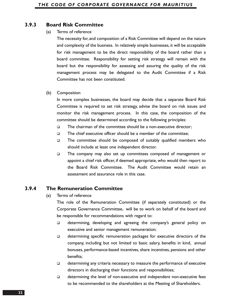## **3.9.3 Board Risk Committee**

#### (a) Terms of reference

The necessity for, and composition of a Risk Committee will depend on the nature and complexity of the business. In relatively simple businesses, it will be acceptable for risk management to be the direct responsibility of the board rather than a board committee. Responsibility for setting risk strategy will remain with the board but the responsibility for assessing and assuring the quality of the risk management process may be delegated to the Audit Committee if a Risk Committee has not been constituted.

#### (b) Composition

In more complex businesses, the board may decide that a separate Board Risk Committee is required to set risk strategy, advise the board on risk issues and monitor the risk management process. In this case, the composition of the committee should be determined according to the following principles:

- $\Box$  The chairman of the committee should be a non-executive director;
- $\Box$  The chief executive officer should be a member of the committee:
- The committee should be composed of suitably qualified members who should include at least one independent director.
- The company may also set up committees composed of management or appoint a chief risk officer, if deemed appropriate, who would then report to the Board Risk Committee. The Audit Committee would retain an assessment and assurance role in this case.

# **3.9.4 The Remuneration Committee**

(a) Terms of reference

The role of the Remuneration Committee (if separately constituted) or the Corporate Governance Committee, will be to work on behalf of the board and be responsible for recommendations with regard to:

- determining, developing and agreeing the company's general policy on executive and senior management remuneration;
- determining specific remuneration packages for executive directors of the company, including but not limited to basic salary, benefits in kind, annual bonuses, performance-based incentives, share incentives, pensions and other benefits;
- determining any criteria necessary to measure the performance of executive directors in discharging their functions and responsibilities;
- determining the level of non-executive and independent non-executive fees to be recommended to the shareholders at the Meeting of Shareholders.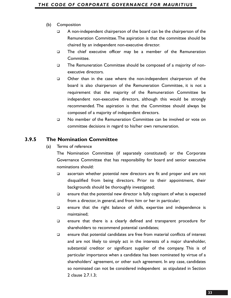#### (b) Composition

- A non-independent chairperson of the board can be the chairperson of the Remuneration Committee.The aspiration is that the committee should be chaired by an independent non-executive director.
- The chief executive officer may be a member of the Remuneration Committee.
- The Remuneration Committee should be composed of a majority of nonexecutive directors.
- Other than in the case where the non-independent chairperson of the board is also chairperson of the Remuneration Committee, it is not a requirement that the majority of the Remuneration Committee be independent non-executive directors, although this would be strongly recommended. The aspiration is that the Committee should always be composed of a majority of independent directors.
- No member of the Remuneration Committee can be involved or vote on committee decisions in regard to his/her own remuneration.

# **3.9.5 The Nomination Committee**

(a) Terms of reference

The Nomination Committee (if separately constituted) or the Corporate Governance Committee that has responsibility for board and senior executive nominations should:

- $\Box$  ascertain whether potential new directors are fit and proper and are not disqualified from being directors. Prior to their appointment, their backgrounds should be thoroughly investigated;
- $\Box$  ensure that the potential new director is fully cognisant of what is expected from a director, in general, and from him or her in particular;
- $\Box$  ensure that the right balance of skills, expertise and independence is maintained;
- ensure that there is a clearly defined and transparent procedure for shareholders to recommend potential candidates;
- ensure that potential candidates are free from material conflicts of interest and are not likely to simply act in the interests of a major shareholder, substantial creditor or significant supplier of the company. This is of particular importance when a candidate has been nominated by virtue of a shareholders' agreement, or other such agreement. In any case, candidates so nominated can not be considered independent as stipulated in Section 2 clause 2.7.1.3;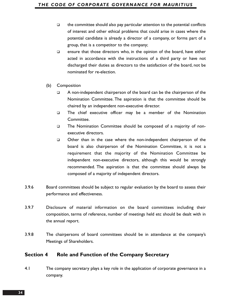- $\Box$  the committee should also pay particular attention to the potential conflicts of interest and other ethical problems that could arise in cases where the potential candidate is already a director of a company, or forms part of a group, that is a competitor to the company;
- $\square$  ensure that those directors who, in the opinion of the board, have either acted in accordance with the instructions of a third party or have not discharged their duties as directors to the satisfaction of the board, not be nominated for re-election.
- (b) Composition
	- A non-independent chairperson of the board can be the chairperson of the Nomination Committee. The aspiration is that the committee should be chaired by an independent non-executive director.
	- The chief executive officer may be a member of the Nomination Committee.
	- The Nomination Committee should be composed of a majority of nonexecutive directors.
	- Other than in the case where the non-independent chairperson of the board is also chairperson of the Nomination Committee, it is not a requirement that the majority of the Nomination Committee be independent non-executive directors, although this would be strongly recommended. The aspiration is that the committee should always be composed of a majority of independent directors.
- 3.9.6 Board committees should be subject to regular evaluation by the board to assess their performance and effectiveness.
- 3.9.7 Disclosure of material information on the board committees including their composition, terms of reference, number of meetings held etc should be dealt with in the annual report.
- 3.9.8 The chairpersons of board committees should be in attendance at the company's Meetings of Shareholders.

#### **Section 4 Role and Function of the Company Secretary**

4.1 The company secretary plays a key role in the application of corporate governance in a company.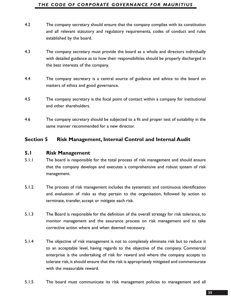#### *THE CODE OF CORPORATE GOVERNANCE FOR MAURITIUS*

- 4.2 The company secretary should ensure that the company complies with its constitution and all relevant statutory and regulatory requirements, codes of conduct and rules established by the board.
- 4.3 The company secretary must provide the board as a whole and directors individually with detailed guidance as to how their responsibilities should be properly discharged in the best interests of the company.
- 4.4 The company secretary is a central source of guidance and advice to the board on matters of ethics and good governance.
- 4.5 The company secretary is the focal point of contact within a company for institutional and other shareholders.
- 4.6 The company secretary should be subjected to a fit and proper test of suitability in the same manner recommended for a new director.

# **Section 5 Risk Management, Internal Control and Internal Audit**

#### **5.1 Risk Management**

- 5.1.1 The board is responsible for the total process of risk management and should ensure that the company develops and executes a comprehensive and robust system of risk management.
- 5.1.2 The process of risk management includes the systematic and continuous identification and evaluation of risks as they pertain to the organisation, followed by action to terminate, transfer, accept or mitigate each risk.
- 5.1.3 The Board is responsible for the definition of the overall strategy for risk tolerance, to monitor management and the assurance process on risk management and to take corrective action where and when deemed necessary.
- 5.1.4 The objective of risk management is not to completely eliminate risk but to reduce it to an acceptable level, having regards to the objective of the company. Commercial enterprise is the undertaking of risk for reward and where the company accepts to tolerate risk, it should ensure that the risk is appropriately mitigated and commensurate with the measurable reward.
- 5.1.5 The board must communicate its risk management policies to management and all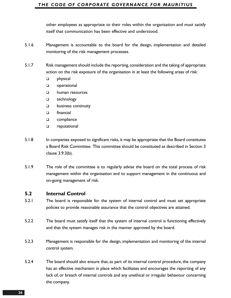#### *THE CODE OF CORPORATE GOVERNANCE FOR MAURITIUS*

other employees as appropriate to their roles within the organisation and must satisfy itself that communication has been effective and understood.

- 5.1.6 Management is accountable to the board for the design, implementation and detailed monitoring of the risk management processes.
- 5.1.7 Risk management should include the reporting,consideration and the taking of appropriate action on the risk exposure of the organisation in at least the following areas of risk:
	- physical
	- **Q** operational
	- human resources
	- □ technology
	- **D** business continuity
	- financial
	- □ compliance
	- **Q** reputational
- 5.1.8 In companies exposed to significant risks, it may be appropriate that the Board constitutes a Board Risk Committee. This committee should be constituted as described in Section 3 clause 3.9.3(b).
- 5.1.9 The role of the committee is to regularly advise the board on the total process of risk management within the organisation and to support management in the continuous and on-going management of risk.

### **5.2 Internal Control**

- 5.2.1 The board is responsible for the system of internal control and must set appropriate policies to provide reasonable assurance that the control objectives are attained.
- 5.2.2 The board must satisfy itself that the system of internal control is functioning effectively and that the system manages risk in the manner approved by the board.
- 5.2.3 Management is responsible for the design, implementation and monitoring of the internal control system.
- 5.2.4 The board should also ensure that, as part of its internal control procedure, the company has an effective mechanism in place which facilitates and encourages the reporting of any lack of, or breach of internal controls and any unethical or irregular behaviour concerning the company.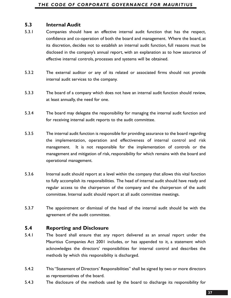### **5.3 Internal Audit**

- 5.3.1 Companies should have an effective internal audit function that has the respect, confidence and co-operation of both the board and management. Where the board, at its discretion, decides not to establish an internal audit function, full reasons must be disclosed in the company's annual report, with an explanation as to how assurance of effective internal controls, processes and systems will be obtained.
- 5.3.2 The external auditor or any of its related or associated firms should not provide internal audit services to the company.
- 5.3.3 The board of a company which does not have an internal audit function should review, at least annually, the need for one.
- 5.3.4 The board may delegate the responsibility for managing the internal audit function and for receiving internal audit reports to the audit committee.
- 5.3.5 The internal audit function is responsible for providing assurance to the board regarding the implementation, operation and effectiveness of internal control and risk management. It is not responsible for the implementation of controls or the management and mitigation of risk, responsibility for which remains with the board and operational management.
- 5.3.6 Internal audit should report at a level within the company that allows this vital function to fully accomplish its responsibilities. The head of internal audit should have ready and regular access to the chairperson of the company and the chairperson of the audit committee. Internal audit should report at all audit committee meetings.
- 5.3.7 The appointment or dismissal of the head of the internal audit should be with the agreement of the audit committee.

# **5.4 Reporting and Disclosure**

- 5.4.1 The board shall ensure that any report delivered as an annual report under the Mauritius Companies Act 2001 includes, or has appended to it, a statement which acknowledges the directors' responsibilities for internal control and describes the methods by which this responsibility is discharged.
- 5.4.2 This "Statement of Directors' Responsibilities" shall be signed by two or more directors as representatives of the board.
- 5.4.3 The disclosure of the methods used by the board to discharge its responsibility for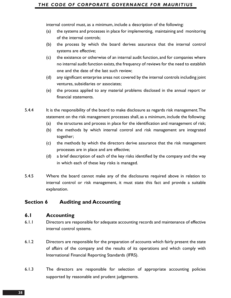internal control must, as a minimum, include a description of the following:

- (a) the systems and processes in place for implementing, maintaining and monitoring of the internal controls;
- (b) the process by which the board derives assurance that the internal control systems are effective;
- (c) the existence or otherwise of an internal audit function, and for companies where no internal audit function exists, the frequency of reviews for the need to establish one and the date of the last such review;
- (d) any significant enterprise areas not covered by the internal controls including joint ventures, subsidiaries or associates;
- (e) the process applied to any material problems disclosed in the annual report or financial statements.
- 5.4.4 It is the responsibility of the board to make disclosure as regards risk management. The statement on the risk management processes shall, as a minimum, include the following:
	- (a) the structures and process in place for the identification and management of risk;
	- (b) the methods by which internal control and risk management are integrated together;
	- (c) the methods by which the directors derive assurance that the risk management processes are in place and are effective;
	- (d) a brief description of each of the key risks identified by the company and the way in which each of these key risks is managed.
- 5.4.5 Where the board cannot make any of the disclosures required above in relation to internal control or risk management, it must state this fact and provide a suitable explanation.

# **Section 6 Auditing and Accounting**

### **6.1 Accounting**

- 6.1.1 Directors are responsible for adequate accounting records and maintenance of effective internal control systems.
- 6.1.2 Directors are responsible for the preparation of accounts which fairly present the state of affairs of the company and the results of its operations and which comply with International Financial Reporting Standards (IFRS).
- 6.1.3 The directors are responsible for selection of appropriate accounting policies supported by reasonable and prudent judgements.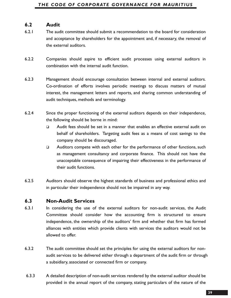### **6.2 Audit**

- 6.2.1 The audit committee should submit a recommendation to the board for consideration and acceptance by shareholders for the appointment and, if necessary, the removal of the external auditors.
- 6.2.2 Companies should aspire to efficient audit processes using external auditors in combination with the internal audit function.
- 6.2.3 Management should encourage consultation between internal and external auditors. Co-ordination of efforts involves periodic meetings to discuss matters of mutual interest, the management letters and reports, and sharing common understanding of audit techniques, methods and terminology.
- 6.2.4 Since the proper functioning of the external auditors depends on their independence, the following should be borne in mind:
	- Audit fees should be set in a manner that enables an effective external audit on behalf of shareholders. Targeting audit fees as a means of cost savings to the company should be discouraged.
	- □ Auditors compete with each other for the performance of other functions, such as management consultancy and corporate finance. This should not have the unacceptable consequence of impairing their effectiveness in the performance of their audit functions.
- 6.2.5 Auditors should observe the highest standards of business and professional ethics and in particular their independence should not be impaired in any way.

#### **6.3 Non-Audit Services**

- 6.3.1 In considering the use of the external auditors for non-audit services, the Audit Committee should consider how the accounting firm is structured to ensure independence, the ownership of the auditors' firm and whether that firm has formed alliances with entities which provide clients with services the auditors would not be allowed to offer.
- 6.3.2 The audit committee should set the principles for using the external auditors for nonaudit services to be delivered either through a department of the audit firm or through a subsidiary, associated or connected firm or company.
- 6.3.3 A detailed description of non-audit services rendered by the external auditor should be provided in the annual report of the company, stating particulars of the nature of the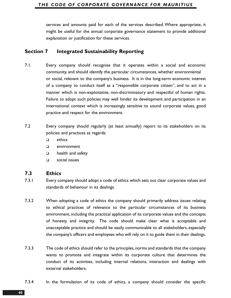#### *THE CODE OF CORPORATE GOVERNANCE FOR MAURITIUS*

services and amounts paid for each of the services described. Where appropriate, it might be useful for the annual corporate governance statement to provide additional explanation or justification for these services.

### **Section 7 Integrated Sustainability Reporting**

- 7.1. Every company should recognise that it operates within a social and economic community, and should identify the particular circumstances, whether environmental or social, relevant to the company's business. It is in the long-term economic interest of a company to conduct itself as a "responsible corporate citizen", and to act in a manner which is non-exploitative, non-discriminatory and respectful of human rights. Failure to adopt such policies may well hinder its development and participation in an international context which is increasingly sensitive to sound corporate values, good practice and respect for the environment.
- 7.2 Every company should regularly (at least annually) report to its stakeholders on its policies and practices as regards:
	- $\Box$  ethics
	- environment
	- **health and safety**
	- social issues

#### **7.3 Ethics**

- 7.3.1 Every company should adopt a code of ethics which sets out clear corporate values and standards of behaviour in its dealings.
- 7.3.2 When adopting a code of ethics the company should primarily address issues relating to ethical practices of relevance to the particular circumstances of its business environment, including the practical application of its corporate values and the concepts of honesty and integrity. The code should make clear what is acceptable and unacceptable practice and should be easily communicable to all stakeholders, especially the company's officers and employees who will rely on it to guide them in their dealings.
- 7.3.3 The code of ethics should refer to the principles, norms and standards that the company wants to promote and integrate within its corporate culture that determines the conduct of its activities, including internal relations, interaction and dealings with external stakeholders.
- 7.3.4 In the formulation of its code of ethics, a company should consider the specific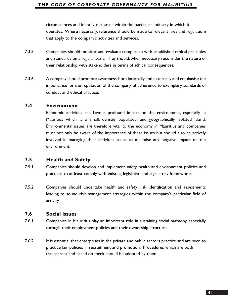#### *THE CODE OF CORPORATE GOVERNANCE FOR MAURITIUS*

circumstances and identify risk areas within the particular industry in which it operates. Where necessary, reference should be made to relevant laws and regulations that apply to the company's activities and services.

- 7.3.5 Companies should monitor and evaluate compliance with established ethical principles and standards on a regular basis. They should, when necessary, reconsider the nature of their relationship with stakeholders in terms of ethical consequences.
- 7.3.6 A company should promote awareness, both internally and externally and emphasise the importance for the reputation of the company of adherence to exemplary standards of conduct and ethical practice.

### **7.4 Environment**

Economic activities can have a profound impact on the environment, especially in Mauritius which is a small, densely populated, and geographically isolated island. Environmental issues are therefore vital to the economy in Mauritius and companies must not only be aware of the importance of these issues but should also be actively involved in managing their activities so as to minimise any negative impact on the environment.

### **7.5 Health and Safety**

- 7.5.1 Companies should develop and implement safety, health and environment policies and practices to at least comply with existing legislative and regulatory frameworks.
- 7.5.2 Companies should undertake health and safety risk identification and assessments leading to sound risk management strategies within the company's particular field of activity.

### **7.6 Social issues**

- 7.6.1 Companies in Mauritius play an important role in sustaining social harmony, especially through their employment policies and their ownership structure.
- 7.6.2 It is essential that enterprises in the private and public sectors practice and are seen to practice fair policies in recruitment and promotion. Procedures which are both transparent and based on merit should be adopted by them.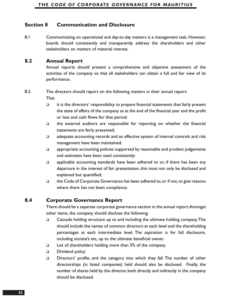# **Section 8 Communication and Disclosure**

8.1 Communicating on operational and day-to-day matters is a management task. However, boards should consistently and transparently address the shareholders and other stakeholders on matters of material interest.

### **8.2 Annual Report**

Annual reports should present a comprehensive and objective assessment of the activities of the company so that all stakeholders can obtain a full and fair view of its performance.

#### 8.3. The directors should report on the following matters in their annual report:

**That** 

- $\Box$  it is the directors' responsibility to prepare financial statements that fairly present the state of affairs of the company as at the end of the financial year and the profit or loss and cash flows for that period;
- $\Box$  the external auditors are responsible for reporting on whether the financial statements are fairly presented;
- $\Box$  adequate accounting records and an effective system of internal controls and risk management have been maintained;
- $\Box$  appropriate accounting policies supported by reasonable and prudent judgements and estimates have been used consistently;
- $\Box$  applicable accounting standards have been adhered to or, if there has been any departure in the interest of fair presentation, this must not only be disclosed and explained but quantified;
- $\Box$  the Code of Corporate Governance has been adhered to, or if not, to give reasons where there has not been compliance.

# **8.4 Corporate Governance Report**

There should be a separate corporate governance section in the annual report.Amongst other items, the company should disclose the following:

- □ Cascade holding structure up to and including the ultimate holding company. This should include the names of common directors at each level and the shareholding percentages at each intermediate level. The aspiration is for full disclosure, including societe's etc, up to the ultimate beneficial owner.
- List of shareholders holding more than 5% of the company.
- Dividend policy
- Directors' profile, and the category into which they fall. The number of other directorships (in listed companies) held should also be disclosed. Finally, the number of shares held by the director, both directly and indirectly in the company should be disclosed.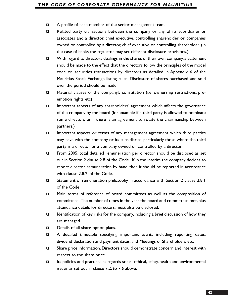- A profile of each member of the senior management team.
- □ Related party transactions between the company or any of its subsidiaries or associates and a director, chief executive, controlling shareholder or companies owned or controlled by a director, chief executive or controlling shareholder. (In the case of banks the regulator may set different disclosure provisions.)
- $\Box$  With regard to directors dealings in the shares of their own company, a statement should be made to the effect that the directors follow the principles of the model code on securities transactions by directors as detailed in Appendix 6 of the Mauritius Stock Exchange listing rules. Disclosure of shares purchased and sold over the period should be made.
- Material clauses of the company's constitution (i.e. ownership restrictions, preemption rights etc)
- $\Box$  Important aspects of any shareholders' agreement which affects the governance of the company by the board (for example if a third party is allowed to nominate some directors or if there is an agreement to rotate the chairmanship between partners.)
- Important aspects or terms of any management agreement which third parties may have with the company or its subsidiaries, particularly those where the third party is a director or a company owned or controlled by a director.
- □ From 2005, total detailed remuneration per director should be disclosed as set out in Section 2 clause 2.8 of the Code. If in the interim the company decides to report director remuneration by band, then it should be reported in accordance with clause 2.8.2. of the Code.
- □ Statement of remuneration philosophy in accordance with Section 2 clause 2.8.1 of the Code.
- Main terms of reference of board committees as well as the composition of committees. The number of times in the year the board and committees met, plus attendance details for directors, must also be disclosed.
- **IDENTIFY** Identification of key risks for the company, including a brief discussion of how they are managed.
- Details of all share option plans.
- A detailed timetable specifying important events including reporting dates, dividend declaration and payment dates, and Meetings of Shareholders etc.
- □ Share price information. Directors should demonstrate concern and interest with respect to the share price.
- $\Box$  Its policies and practices as regards social, ethical, safety, health and environmental issues as set out in clause 7.2. to 7.6 above.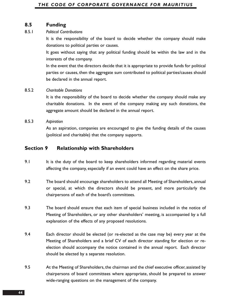### **8.5 Funding**

#### 8.5.1 *Political Contributions*

It is the responsibility of the board to decide whether the company should make donations to political parties or causes.

It goes without saying that any political funding should be within the law and in the interests of the company.

In the event that the directors decide that it is appropriate to provide funds for political parties or causes, then the aggregate sum contributed to political parties/causes should be declared in the annual report.

#### 8.5.2 *Charitable Donations*

It is the responsibility of the board to decide whether the company should make any charitable donations. In the event of the company making any such donations, the aggregate amount should be declared in the annual report.

#### 8.5.3 *Aspiration*

As an aspiration, companies are encouraged to give the funding details of the causes (political and charitable) that the company supports.

### **Section 9 Relationship with Shareholders**

- 9.1 It is the duty of the board to keep shareholders informed regarding material events affecting the company, especially if an event could have an effect on the share price.
- 9.2 The board should encourage shareholders to attend all Meeting of Shareholders, annual or special, at which the directors should be present, and more particularly the chairpersons of each of the board's committees.
- 9.3 The board should ensure that each item of special business included in the notice of Meeting of Shareholders, or any other shareholders' meeting, is accompanied by a full explanation of the effects of any proposed resolutions.
- 9.4 Each director should be elected (or re-elected as the case may be) every year at the Meeting of Shareholders and a brief CV of each director standing for election or reelection should accompany the notice contained in the annual report. Each director should be elected by a separate resolution.
- 9.5 At the Meeting of Shareholders, the chairman and the chief executive officer, assisted by chairpersons of board committees where appropriate, should be prepared to answer wide-ranging questions on the management of the company.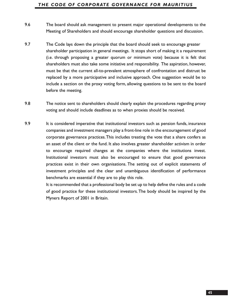#### *THE CODE OF CORPORATE GOVERNANCE FOR MAURITIUS*

- 9.6 The board should ask management to present major operational developments to the Meeting of Shareholders and should encourage shareholder questions and discussion.
- 9.7 The Code lays down the principle that the board should seek to encourage greater shareholder participation in general meetings. It stops short of making it a requirement (i.e. through proposing a greater quorum or minimum vote) because it is felt that shareholders must also take some initiative and responsibility. The aspiration, however, must be that the current all-to-prevalent atmosphere of confrontation and distrust be replaced by a more participative and inclusive approach. One suggestion would be to include a section on the proxy voting form, allowing questions to be sent to the board before the meeting.
- 9.8 The notice sent to shareholders should clearly explain the procedures regarding proxy voting and should include deadlines as to when proxies should be received.
- 9.9 It is considered imperative that institutional investors such as pension funds, insurance companies and investment managers play a front-line role in the encouragement of good corporate governance practices.This includes treating the vote that a share confers as an asset of the client or the fund. It also involves greater shareholder activism in order to encourage required changes at the companies where the institutions invest. Institutional investors must also be encouraged to ensure that good governance practices exist in their own organisations. The setting out of explicit statements of investment principles and the clear and unambiguous identification of performance benchmarks are essential if they are to play this role.

It is recommended that a professional body be set up to help define the rules and a code of good practice for these institutional investors. The body should be inspired by the Myners Report of 2001 in Britain.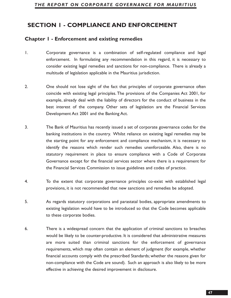# **SECTION 1 - COMPLIANCE AND ENFORCEMENT**

### **Chapter 1 - Enforcement and existing remedies**

- 1. Corporate governance is a combination of self-regulated compliance and legal enforcement. In formulating any recommendation in this regard, it is necessary to consider existing legal remedies and sanctions for non-compliance. There is already a multitude of legislation applicable in the Mauritius jurisdiction.
- 2. One should not lose sight of the fact that principles of corporate governance often coincide with existing legal principles. The provisions of the Companies Act 2001, for example, already deal with the liability of directors for the conduct of business in the best interest of the company. Other sets of legislation are the Financial Services Development Act 2001 and the Banking Act.
- 3. The Bank of Mauritius has recently issued a set of corporate governance codes for the banking institutions in the country. Whilst reliance on existing legal remedies may be the starting point for any enforcement and compliance mechanism, it is necessary to identify the reasons which render such remedies unenforceable. Also, there is no statutory requirement in place to ensure compliance with a Code of Corporate Governance except for the financial services sector where there is a requirement for the Financial Services Commission to issue guidelines and codes of practice.
- 4. To the extent that corporate governance principles co-exist with established legal provisions, it is not recommended that new sanctions and remedies be adopted.
- 5. As regards statutory corporations and parastatal bodies, appropriate amendments to existing legislation would have to be introduced so that the Code becomes applicable to these corporate bodies.
- 6. There is a widespread concern that the application of criminal sanctions to breaches would be likely to be counter-productive. It is considered that administrative measures are more suited than criminal sanctions for the enforcement of governance requirements, which may often contain an element of judgment (for example, whether financial accounts comply with the prescribed Standards; whether the reasons given for non-compliance with the Code are sound). Such an approach is also likely to be more effective in achieving the desired improvement in disclosure.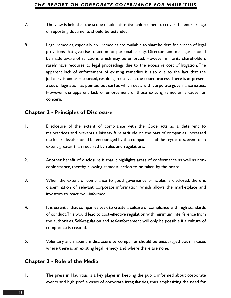- 7. The view is held that the scope of administrative enforcement to cover the entire range of reporting documents should be extended.
- 8. Legal remedies, especially civil remedies are available to shareholders for breach of legal provisions that give rise to action for personal liability. Directors and managers should be made aware of sanctions which may be enforced. However, minority shareholders rarely have recourse to legal proceedings due to the excessive cost of litigation. The apparent lack of enforcement of existing remedies is also due to the fact that the judiciary is under-resourced, resulting in delays in the court process.There is at present a set of legislation, as pointed out earlier, which deals with corporate governance issues. However, the apparent lack of enforcement of those existing remedies is cause for concern.

### **Chapter 2 - Principles of Disclosure**

- 1. Disclosure of the extent of compliance with the Code acts as a deterrent to malpractices and prevents a laissez- faire attitude on the part of companies. Increased disclosure levels should be encouraged by the companies and the regulators, even to an extent greater than required by rules and regulations.
- 2. Another benefit of disclosure is that it highlights areas of conformance as well as nonconformance, thereby allowing remedial action to be taken by the board.
- 3. When the extent of compliance to good governance principles is disclosed, there is dissemination of relevant corporate information, which allows the marketplace and investors to react well-informed.
- 4. It is essential that companies seek to create a culture of compliance with high standards of conduct.This would lead to cost-effective regulation with minimum interference from the authorities. Self-regulation and self-enforcement will only be possible if a culture of compliance is created.
- 5. Voluntary and maximum disclosure by companies should be encouraged both in cases where there is an existing legal remedy and where there are none.

### **Chapter 3 - Role of the Media**

1. The press in Mauritius is a key player in keeping the public informed about corporate events and high profile cases of corporate irregularities, thus emphasizing the need for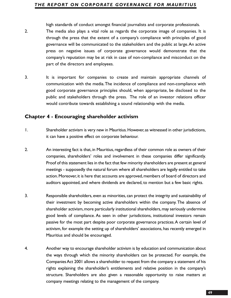high standards of conduct amongst financial journalists and corporate professionals.

- 2. The media also plays a vital role as regards the corporate image of companies. It is through the press that the extent of a company's compliance with principles of good governance will be communicated to the stakeholders and the public at large.An active press on negative issues of corporate governance would demonstrate that the company's reputation may be at risk in case of non-compliance and misconduct on the part of the directors and employees.
- 3. It is important for companies to create and maintain appropriate channels of communication with the media.The incidence of compliance and non-compliance with good corporate governance principles should, when appropriate, be disclosed to the public and stakeholders through the press. The role of an investor relations officer would contribute towards establishing a sound relationship with the media.

### **Chapter 4 - Encouraging shareholder activism**

- 1. Shareholder activism is very new in Mauritius.However,as witnessed in other jurisdictions, it can have a positive effect on corporate behaviour.
- 2. An interesting fact is that, in Mauritius, regardless of their common role as owners of their companies, shareholders' roles and involvement in these companies differ significantly. Proof of this statement lies in the fact that few minority shareholders are present at general meetings - supposedly the natural forum where all shareholders are legally entitled to take action. Moreover, it is here that accounts are approved, members of board of directors and auditors appointed, and where dividends are declared, to mention but a few basic rights.
- 3. Responsible shareholders, even as minorities, can protect the integrity and sustainability of their investment by becoming active shareholders within the company. The absence of shareholder activism,more particularly institutional shareholders,may seriously undermine good levels of compliance. As seen in other jurisdictions, institutional investors remain passive for the most part despite poor corporate governance practices.A certain level of activism, for example the setting up of shareholders' associations, has recently emerged in Mauritius and should be encouraged.
- 4. Another way to encourage shareholder activism is by education and communication about the ways through which the minority shareholders can be protected. For example, the Companies Act 2001 allows a shareholder to request from the company a statement of his rights explaining the shareholder's entitlements and relative position in the company's structure. Shareholders are also given a reasonable opportunity to raise matters at company meetings relating to the management of the company.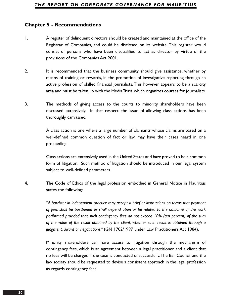### **Chapter 5 - Recommendations**

- 1. A register of delinquent directors should be created and maintained at the office of the Registrar of Companies, and could be disclosed on its website. This register would consist of persons who have been disqualified to act as director by virtue of the provisions of the Companies Act 2001.
- 2. It is recommended that the business community should give assistance, whether by means of training or rewards, in the promotion of investigative reporting through an active profession of skilled financial journalists. This however appears to be a scarcity area and must be taken up with the Media Trust, which organizes courses for journalists.
- 3. The methods of giving access to the courts to minority shareholders have been discussed extensively. In that respect, the issue of allowing class actions has been thoroughly canvassed.

A class action is one where a large number of claimants whose claims are based on a well-defined common question of fact or law, may have their cases heard in one proceeding.

Class actions are extensively used in the United States and have proved to be a common form of litigation. Such method of litigation should be introduced in our legal system subject to well-defined parameters.

4. The Code of Ethics of the legal profession embodied in General Notice in Mauritius states the following:

> *"A barrister in independent practice may accept a brief or instructions on terms that payment of fees shall be postponed or shall depend upon or be related to the outcome of the work performed provided that such contingency fees do not exceed 10% (ten percent) of the sum of the value of the result obtained by the client, whether such result is obtained through a judgment, award or negotiations."* (GN 1702/1997 under Law Practitioners Act 1984).

> Minority shareholders can have access to litigation through the mechanism of contingency fees, which is an agreement between a legal practitioner and a client that no fees will be charged if the case is conducted unsuccessfully.The Bar Council and the law society should be requested to devise a consistent approach in the legal profession as regards contingency fees.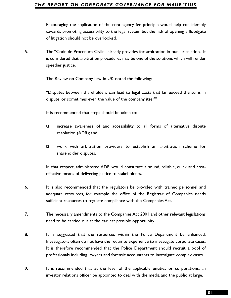towards promoting accessibility to the legal system but the risk of opening a floodgate of litigation should not be overlooked.

5. The "Code de Procedure Civile" already provides for arbitration in our jurisdiction. It is considered that arbitration procedures may be one of the solutions which will render speedier justice.

The Review on Company Law in UK noted the following:

"Disputes between shareholders can lead to legal costs that far exceed the sums in dispute, or sometimes even the value of the company itself."

It is recommended that steps should be taken to:

- $\Box$  increase awareness of and accessibility to all forms of alternative dispute resolution (ADR); and
- work with arbitration providers to establish an arbitration scheme for shareholder disputes.

In that respect, administered ADR would constitute a sound, reliable, quick and costeffective means of delivering justice to stakeholders.

- 6. It is also recommended that the regulators be provided with trained personnel and adequate resources, for example the office of the Registrar of Companies needs sufficient resources to regulate compliance with the Companies Act.
- 7. The necessary amendments to the Companies Act 2001 and other relevant legislations need to be carried out at the earliest possible opportunity.
- Encouraging the application of the contingency fee principle would help considerably<br>
Encouraging the application of the contingency fee principle would help considerably<br>
The "Code de Procedure Civile" already provides fo 8. It is suggested that the resources within the Police Department be enhanced. Investigators often do not have the requisite experience to investigate corporate cases. It is therefore recommended that the Police Department should recruit a pool of professionals including lawyers and forensic accountants to investigate complex cases.
- 9. It is recommended that at the level of the applicable entities or corporations, an investor relations officer be appointed to deal with the media and the public at large.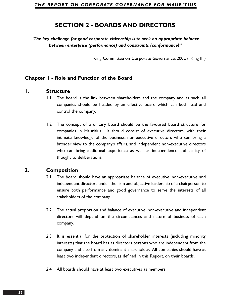# **SECTION 2 - BOARDS AND DIRECTORS**

*"The key challenge for good corporate citizenship is to seek an appropriate balance between enterprise (performance) and constraints (conformance)"*

King Committee on Corporate Governance, 2002 ("King II")

### **Chapter 1 - Role and Function of the Board**

#### **1. Structure**

- 1.1 The board is the link between shareholders and the company and as such, all companies should be headed by an effective board which can both lead and control the company.
- 1.2 The concept of a unitary board should be the favoured board structure for companies in Mauritius. It should consist of executive directors, with their intimate knowledge of the business, non-executive directors who can bring a broader view to the company's affairs, and independent non-executive directors who can bring additional experience as well as independence and clarity of thought to deliberations.

### **2. Composition**

- 2.1 The board should have an appropriate balance of executive, non-executive and independent directors under the firm and objective leadership of a chairperson to ensure both performance and good governance to serve the interests of all stakeholders of the company.
- 2.2 The actual proportion and balance of executive, non-executive and independent directors will depend on the circumstances and nature of business of each company.
- 2.3 It is essential for the protection of shareholder interests (including minority interests) that the board has as directors persons who are independent from the company and also from any dominant shareholder. All companies should have at least two independent directors, as defined in this Report, on their boards.
- 2.4 All boards should have at least two executives as members.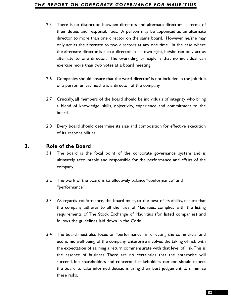- their duties and responsibilities. A person may be appointed as an alternate director to more than one director on the same board. However, he/she may only act as the alternate to two directors at any one time. In the case where the alternate director is also a director in his own right, he/she can only act as alternate to one director. The overriding principle is that no individual can exercise more than two votes at a board meeting.
- 2.6 Companies should ensure that the word 'director' is not included in the job title of a person unless he/she is a director of the company.
- 2.7 Crucially, all members of the board should be individuals of integrity who bring a blend of knowledge, skills, objectivity, experience and commitment to the board.
- 2.8 Every board should determine its size and composition for effective execution of its responsibilities.

# **3. Role of the Board**

- 3.1 The board is the focal point of the corporate governance system and is ultimately accountable and responsible for the performance and affairs of the company.
- 3.2 The work of the board is to effectively balance "conformance" and "performance".
- 3.3 As regards conformance, the board must, to the best of its ability, ensure that the company adheres to all the laws of Mauritius, complies with the listing requirements of The Stock Exchange of Mauritius (for listed companies) and follows the guidelines laid down in the Code.
- **53** The is no distinction between directors and alternate directors in terms of the payerbot and alternate director is above a homology complex and the mean to move the step and the directors and the directors and one dir 3.4 The board must also focus on "performance" in directing the commercial and economic well-being of the company. Enterprise involves the taking of risk with the expectation of earning a return commensurate with that level of risk.This is the essence of business. There are no certainties that the enterprise will succeed, but shareholders and concerned stakeholders can and should expect the board to take informed decisions using their best judgement to minimize these risks.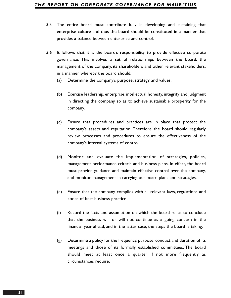- 3.5 The entire board must contribute fully in developing and sustaining that enterprise culture and thus the board should be constituted in a manner that provides a balance between enterprise and control.
- 3.6 It follows that it is the board's responsibility to provide effective corporate governance. This involves a set of relationships between the board, the management of the company, its shareholders and other relevant stakeholders, in a manner whereby the board should:
	- (a) Determine the company's purpose, strategy and values.
	- (b) Exercise leadership, enterprise, intellectual honesty, integrity and judgment in directing the company so as to achieve sustainable prosperity for the company.
	- (c) Ensure that procedures and practices are in place that protect the company's assets and reputation. Therefore the board should regularly review processes and procedures to ensure the effectiveness of the company's internal systems of control.
	- (d) Monitor and evaluate the implementation of strategies, policies, management performance criteria and business plans. In effect, the board must provide guidance and maintain effective control over the company, and monitor management in carrying out board plans and strategies.
	- (e) Ensure that the company complies with all relevant laws, regulations and codes of best business practice.
	- (f) Record the facts and assumption on which the board relies to conclude that the business will or will not continue as a going concern in the financial year ahead, and in the latter case, the steps the board is taking.
	- (g) Determine a policy for the frequency, purpose, conduct and duration of its meetings and those of its formally established committees. The board should meet at least once a quarter if not more frequently as circumstances require.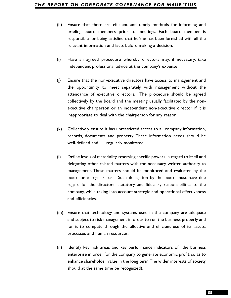- briefing board members prior to meetings. Each board member is responsible for being satisfied that he/she has been furnished with all the relevant information and facts before making a decision.
- (i) Have an agreed procedure whereby directors may, if necessary, take independent professional advice at the company's expense.
- (j) Ensure that the non-executive directors have access to management and the opportunity to meet separately with management without the attendance of executive directors. The procedure should be agreed collectively by the board and the meeting usually facilitated by the nonexecutive chairperson or an independent non-executive director if it is inappropriate to deal with the chairperson for any reason.
- (k) Collectively ensure it has unrestricted access to all company information, records, documents and property. These information needs should be well-defined and regularly monitored.
- (h) Ensure that there are efficient and timely methods for informing and<br>
briefing board members prior to meetings. Each board member is<br>
responsible for being satisfied that helshe has been furnished with all the<br>
relevan (l) Define levels of materiality, reserving specific powers in regard to itself and delegating other related matters with the necessary written authority to management. These matters should be monitored and evaluated by the board on a regular basis. Such delegation by the board must have due regard for the directors' statutory and fiduciary responsibilities to the company, while taking into account strategic and operational effectiveness and efficiencies.
- (m) Ensure that technology and systems used in the company are adequate and subject to risk management in order to run the business properly and for it to compete through the effective and efficient use of its assets, processes and human resources.
- (n) Identify key risk areas and key performance indicators of the business enterprise in order for the company to generate economic profit, so as to enhance shareholder value in the long term.The wider interests of society should at the same time be recognized).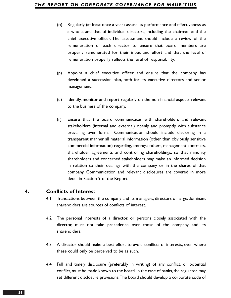- (o) Regularly (at least once a year) assess its performance and effectiveness as a whole, and that of individual directors, including the chairman and the chief executive officer. The assessment should include a review of the remuneration of each director to ensure that board members are properly remunerated for their input and effort and that the level of remuneration properly reflects the level of responsibility.
- (p) Appoint a chief executive officer and ensure that the company has developed a succession plan, both for its executive directors and senior management;
- (q) Identify, monitor and report regularly on the non-financial aspects relevant to the business of the company.
- (r) Ensure that the board communicates with shareholders and relevant stakeholders (internal and external) openly and promptly with substance prevailing over form. Communication should include disclosing in a transparent manner all material information (other than obviously sensitive commercial information) regarding, amongst others, management contracts, shareholder agreements and controlling shareholdings, so that minority shareholders and concerned stakeholders may make an informed decision in relation to their dealings with the company or in the shares of that company. Communication and relevant disclosures are covered in more detail in Section 9 of the Report.

### **4. Conflicts of Interest**

- 4.1 Transactions between the company and its managers, directors or large/dominant shareholders are sources of conflicts of interest.
- 4.2 The personal interests of a director, or persons closely associated with the director, must not take precedence over those of the company and its shareholders.
- 4.3 A director should make a best effort to avoid conflicts of interests, even where these could only be perceived to be as such.
- 4.4 Full and timely disclosure (preferably in writing) of any conflict, or potential conflict, must be made known to the board. In the case of banks, the regulator may set different disclosure provisions.The board should develop a corporate code of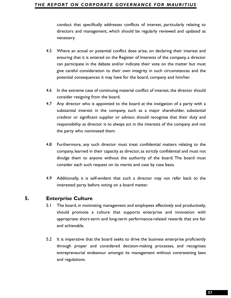directors and management, which should be regularly reviewed and updated as necessary.

- 4.5 Where an actual or potential conflict does arise, on declaring their interest and ensuring that it is entered on the Register of Interests of the company, a director can participate in the debate and/or indicate their vote on the matter but must give careful consideration to their own integrity in such circumstances and the potential consequences it may have for the board, company and him/her.
- 4.6 In the extreme case of continuing material conflict of interest, the director should consider resigning from the board.
- conduct that specifically addresses conflicts of interest, particularly relating to conduct the specifically recisioned and management, which should be regularly reviewed and updated as necessary.<br>
Where an actual or poten 4.7 Any director who is appointed to the board at the instigation of a party with a substantial interest in the company, such as a major shareholder, substantial creditor or significant supplier or advisor, should recognize that their duty and responsibility as director is to always act in the interests of the company and not the party who nominated them.
- 4.8 Furthermore, any such director must treat confidential matters relating to the company, learned in their capacity as director, as strictly confidential and must not divulge them to anyone without the authority of the board. The board must consider each such request on its merits and case by case basis.
- 4.9 Additionally, it is self-evident that such a director may not refer back to the interested party before voting on a board matter.

### **5. Enterprise Culture**

- 5.1 The board, in motivating management and employees effectively and productively, should promote a culture that supports enterprise and innovation with appropriate short-term and long-term performance-related rewards that are fair and achievable.
- 5.2 It is imperative that the board seeks to drive the business enterprise proficiently through proper and considered decision-making processes, and recognises entrepreneurial endeavour amongst its management without contravening laws and regulations.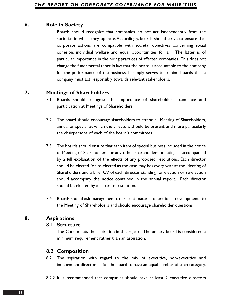### **6. Role in Society**

Boards should recognize that companies do not act independently from the societies in which they operate. Accordingly, boards should strive to ensure that corporate actions are compatible with societal objectives concerning social cohesion, individual welfare and equal opportunities for all. The latter is of particular importance in the hiring practices of affected companies. This does not change the fundamental tenet in law that the board is accountable to the company for the performance of the business. It simply serves to remind boards that a company must act responsibly towards relevant stakeholders.

# **7. Meetings of Shareholders**

- 7.1 Boards should recognise the importance of shareholder attendance and participation at Meetings of Shareholders.
- 7.2 The board should encourage shareholders to attend all Meeting of Shareholders, annual or special, at which the directors should be present, and more particularly the chairpersons of each of the board's committees.
- 7.3 The boards should ensure that each item of special business included in the notice of Meeting of Shareholders, or any other shareholders' meeting, is accompanied by a full explanation of the effects of any proposed resolutions. Each director should be elected (or re-elected as the case may be) every year at the Meeting of Shareholders and a brief CV of each director standing for election or re-election should accompany the notice contained in the annual report. Each director should be elected by a separate resolution.
- 7.4 Boards should ask management to present material operational developments to the Meeting of Shareholders and should encourage shareholder questions

# **8. Aspirations**

#### **8.1 Structure**

The Code meets the aspiration in this regard. The unitary board is considered a minimum requirement rather than an aspiration.

### **8.2 Composition**

8.2.1 The aspiration with regard to the mix of executive, non-executive and independent directors is for the board to have an equal number of each category.

8.2.2 It is recommended that companies should have at least 2 executive directors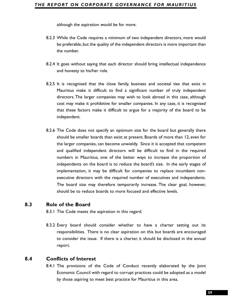- 8.2.3 While the Code requires a minimum of two independent directors, more would be preferable, but the quality of the independent directors is more important than the number.
- 8.2.4 It goes without saying that each director should bring intellectual independence and honesty to his/her role.
- 8.2.5 It is recognised that the close family, business and societal ties that exist in Mauritius make it difficult to find a significant number of truly independent directors. The larger companies may wish to look abroad in this case, although cost may make it prohibitive for smaller companies. In any case, it is recognised that these factors make it difficult to argue for a majority of the board to be independent.
- ablough the aspiration would be for more.<br> **59**While the Code requires a minimum of two independent directors, more would<br> **Show From Book, but the quality of the independent directors is more important than<br>
the number.<br>** 8.2.6 The Code does not specify an optimum size for the board but generally there should be smaller boards than exist at present. Boards of more than 12, even for the larger companies, can become unwieldy. Since it is accepted that competent and qualified independent directors will be difficult to find in the required numbers in Mauritius, one of the better ways to increase the proportion of independents on the board is to reduce the board's size. In the early stages of implementation, it may be difficult for companies to replace incumbent nonexecutive directors with the required number of executives and independents. The board size may therefore temporarily increase. The clear goal, however, should be to reduce boards to more focused and effective levels.

# **8.3 Role of the Board**

8.3.1 The Code meets the aspiration in this regard.

8.3.2 Every board should consider whether to have a charter setting out its responsibilities. There is no clear aspiration on this but boards are encouraged to consider the issue. If there is a charter, it should be disclosed in the annual report.

### **8.4 Conflicts of Interest**

8.4.1 The provisions of the Code of Conduct recently elaborated by the Joint Economic Council with regard to corrupt practices could be adopted as a model by those aspiring to meet best practice for Mauritius in this area.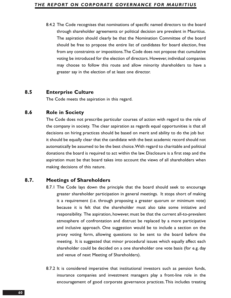8.4.2 The Code recognises that nominations of specific named directors to the board through shareholder agreements or political decision are prevalent in Mauritius. The aspiration should clearly be that the Nomination Committee of the board should be free to propose the entire list of candidates for board election, free from any constraints or impositions.The Code does not propose that cumulative voting be introduced for the election of directors. However, individual companies may choose to follow this route and allow minority shareholders to have a greater say in the election of at least one director.

### **8.5 Enterprise Culture**

The Code meets the aspiration in this regard.

### **8.6 Role in Society**

The Code does not prescribe particular courses of action with regard to the role of the company in society. The clear aspiration as regards equal opportunities is that all decisions on hiring practices should be based on merit and ability to do the job but it should be equally clear that the candidate with the best academic record should not automatically be assumed to be the best choice.With regard to charitable and political donations the board is required to act within the law. Disclosure is a first step and the aspiration must be that board takes into account the views of all shareholders when making decisions of this nature.

### **8.7. Meetings of Shareholders**

- 8.7.1 The Code lays down the principle that the board should seek to encourage greater shareholder participation in general meetings. It stops short of making it a requirement (i.e. through proposing a greater quorum or minimum vote) because it is felt that the shareholder must also take some initiative and responsibility. The aspiration, however, must be that the current all-to-prevalent atmosphere of confrontation and distrust be replaced by a more participative and inclusive approach. One suggestion would be to include a section on the proxy voting form, allowing questions to be sent to the board before the meeting. It is suggested that minor procedural issues which equally affect each shareholder could be decided on a one shareholder one vote basis (for e.g. day and venue of next Meeting of Shareholders).
- 8.7.2 It is considered imperative that institutional investors such as pension funds, insurance companies and investment managers play a front-line role in the encouragement of good corporate governance practices.This includes treating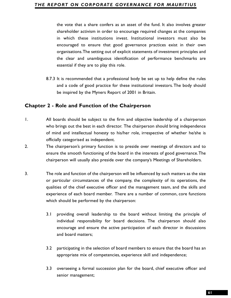the vote that a share confers as an asset of the fund. It also involves greater<br>shareholder activism in order to encourage required changes at the companies<br>in which these institutions invest. Institutional investors must shareholder activism in order to encourage required changes at the companies in which these institutions invest. Institutional investors must also be encouraged to ensure that good governance practices exist in their own organisations.The setting out of explicit statements of investment principles and the clear and unambiguous identification of performance benchmarks are essential if they are to play this role.

8.7.3 It is recommended that a professional body be set up to help define the rules and a code of good practice for these institutional investors. The body should be inspired by the Myners Report of 2001 in Britain.

### **Chapter 2 - Role and Function of the Chairperson**

- 1. All boards should be subject to the firm and objective leadership of a chairperson who brings out the best in each director. The chairperson should bring independence of mind and intellectual honesty to his/her role, irrespective of whether he/she is officially categorised as independent.
- 2. The chairperson's primary function is to preside over meetings of directors and to ensure the smooth functioning of the board in the interests of good governance.The chairperson will usually also preside over the company's Meetings of Shareholders.
- 3. The role and function of the chairperson will be influenced by such matters as the size or particular circumstances of the company, the complexity of its operations, the qualities of the chief executive officer and the management team, and the skills and experience of each board member. There are a number of common, core functions which should be performed by the chairperson:
	- 3.1 providing overall leadership to the board without limiting the principle of individual responsibility for board decisions. The chairperson should also encourage and ensure the active participation of each director in discussions and board matters;
	- 3.2 participating in the selection of board members to ensure that the board has an appropriate mix of competencies, experience skill and independence;
	- 3.3 overseeing a formal succession plan for the board, chief executive officer and senior management;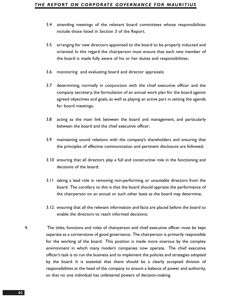- 3.4 attending meetings of the relevant board committees whose responsibilities include those listed in Section 3 of the Report.
- 3.5 arranging for new directors appointed to the board to be properly inducted and oriented. In this regard the chairperson must ensure that each new member of the board is made fully aware of his or her duties and responsibilities;
- 3.6 monitoring and evaluating board and director appraisals;
- 3.7 determining, normally in conjunction with the chief executive officer and the company secretary, the formulation of an annual work plan for the board against agreed objectives and goals, as well as playing an active part in setting the agenda for board meetings;
- 3.8 acting as the main link between the board and management, and particularly between the board and the chief executive officer;
- 3.9 maintaining sound relations with the company's shareholders and ensuring that the principles of effective communication and pertinent disclosure are followed;
- 3.10 ensuring that all directors play a full and constructive role in the functioning and decisions of the board;
- 3.11 taking a lead role in removing non-performing or unsuitable directors from the board. The corollary to this is that the board should appraise the performance of the chairperson on an annual or such other basis as the board may determine;
- 3.12 ensuring that all the relevant information and facts are placed before the board to enable the directors to reach informed decisions;
- 4. The titles, functions and roles of chairperson and chief executive officer must be kept separate as a cornerstone of good governance. The chairperson is primarily responsible for the working of the board. This position is made more onerous by the complex environment in which many modern companies now operate. The chief executive officer's task is to run the business and to implement the policies and strategies adopted by the board. It is essential that there should be a clearly accepted division of responsibilities at the head of the company to ensure a balance of power and authority, so that no one individual has unfettered powers of decision-making.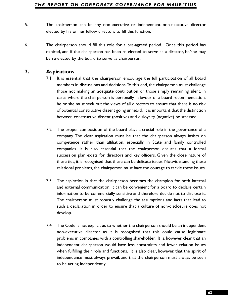- elected by his or her fellow directors to fill this function.
- 6. The chairperson should fill this role for a pre-agreed period. Once this period has expired, and if the chairperson has been re-elected to serve as a director, he/she may be re-elected by the board to serve as chairperson.

# **7. Aspirations**

- 7.1 It is essential that the chairperson encourage the full participation of all board members in discussions and decisions.To this end, the chairperson must challenge those not making an adequate contribution or those simply remaining silent. In cases where the chairperson is personally in favour of a board recommendation, he or she must seek out the views of all directors to ensure that there is no risk of potential constructive dissent going unheard. It is important that the distinction between constructive dissent (positive) and disloyalty (negative) be stressed.
- 7.2 The proper composition of the board plays a crucial role in the governance of a company. The clear aspiration must be that the chairperson always insists on competence rather than affiliation, especially in State and family controlled companies. It is also essential that the chairperson ensures that a formal succession plan exists for directors and key officers. Given the close nature of these ties, it is recognised that these can be delicate issues. Notwithstanding these relational problems, the chairperson must have the courage to tackle these issues.
- 7.3 The aspiration is that the chairperson becomes the champion for both internal and external communication. It can be convenient for a board to declare certain information to be commercially sensitive and therefore decide not to disclose it. The chairperson must robustly challenge the assumptions and facts that lead to such a declaration in order to ensure that a culture of non-disclosure does not develop.
- **53.** The chair paramon and be any non-executive or independent non-executive director<br> **64.** The chairperson should fill this role for a pre-sypeed period. Once this period has<br>
expired, and if the chairperson has been re 7.4 The Code is not explicit as to whether the chairperson should be an independent non-executive director as it is recognised that this could cause legitimate problems in companies with a controlling shareholder. It is, however, clear that an independent chairperson would have less constraints and fewer relation issues when fulfilling their role and functions. It is also clear, however, that the spirit of independence must always prevail, and that the chairperson must always be seen to be acting independently.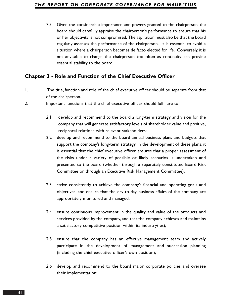7.5 Given the considerable importance and powers granted to the chairperson, the board should carefully appraise the chairperson's performance to ensure that his or her objectivity is not compromised. The aspiration must also be that the board regularly assesses the performance of the chairperson. It is essential to avoid a situation where a chairperson becomes de facto elected for life. Conversely, it is not advisable to change the chairperson too often as continuity can provide essential stability to the board.

# **Chapter 3 - Role and Function of the Chief Executive Officer**

- 1. The title, function and role of the chief executive officer should be separate from that of the chairperson.
- 2. Important functions that the chief executive officer should fulfil are to:
	- 2.1 develop and recommend to the board a long-term strategy and vision for the company that will generate satisfactory levels of shareholder value and positive, reciprocal relations with relevant stakeholders;
	- 2.2 develop and recommend to the board annual business plans and budgets that support the company's long-term strategy. In the development of these plans, it is essential that the chief executive officer ensures that a proper assessment of the risks under a variety of possible or likely scenarios is undertaken and presented to the board (whether through a separately constituted Board Risk Committee or through an Executive Risk Management Committee);
	- 2.3 strive consistently to achieve the company's financial and operating goals and objectives, and ensure that the day-to-day business affairs of the company are appropriately monitored and managed;
	- 2.4 ensure continuous improvement in the quality and value of the products and services provided by the company, and that the company achieves and maintains a satisfactory competitive position within its industry(ies);
	- 2.5 ensure that the company has an effective management team and actively participate in the development of management and succession planning (including the chief executive officer's own position);
	- 2.6 develop and recommend to the board major corporate policies and oversee their implementation;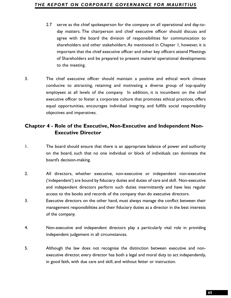- 2.7 serve as the chief spokesperson for the company on all operational and day-to-<br>day matters. The chairperson and thief spokesitive efficer should discuss and<br>agree with the based the division of responsibilities for com day matters. The chairperson and chief executive officer should discuss and agree with the board the division of responsibilities for communication to shareholders and other stakeholders.As mentioned in Chapter 1, however, it is important that the chief executive officer and other key officers attend Meetings of Shareholders and be prepared to present material operational developments to the meeting.
- 3. The chief executive officer should maintain a positive and ethical work climate conducive to attracting, retaining and motivating a diverse group of top-quality employees at all levels of the company. In addition, it is incumbent on the chief executive officer to foster a corporate culture that promotes ethical practices, offers equal opportunities, encourages individual integrity, and fulfills social responsibility objectives and imperatives.

# **Chapter 4 - Role of the Executive, Non-Executive and Independent Non-Executive Director**

- 1. The board should ensure that there is an appropriate balance of power and authority on the board, such that no one individual or block of individuals can dominate the board's decision-making.
- 2. All directors, whether executive, non-executive or independent non-executive ('independent') are bound by fiduciary duties and duties of care and skill. Non-executive and independent directors perform such duties intermittently and have less regular access to the books and records of the company than do executive directors.
- 3. Executive directors on the other hand, must always manage the conflict between their management responsibilities and their fiduciary duties as a director in the best interests of the company.
- 4. Non-executive and independent directors play a particularly vital role in providing independent judgement in all circumstances.
- 5. Although the law does not recognise the distinction between executive and nonexecutive director, every director has both a legal and moral duty to act independently, in good faith, with due care and skill, and without fetter or instruction.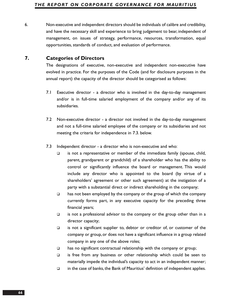6. Non-executive and independent directors should be individuals of calibre and credibility, and have the necessary skill and experience to bring judgement to bear, independent of management, on issues of strategy, performance, resources, transformation, equal opportunities, standards of conduct, and evaluation of performance.

### **7. Categories of Directors**

The designations of executive, non-executive and independent non-executive have evolved in practice. For the purposes of the Code (and for disclosure purposes in the annual report) the capacity of the director should be categorised as follows:

- 7.1 Executive director a director who is involved in the day-to-day management and/or is in full-time salaried employment of the company and/or any of its subsidiaries.
- 7.2 Non-executive director a director not involved in the day-to-day management and not a full-time salaried employee of the company or its subsidiaries and not meeting the criteria for independence in 7.3. below.
- 7.3 Independent director a director who is non-executive and who:
	- $\Box$  is not a representative or member of the immediate family (spouse, child, parent, grandparent or grandchild) of a shareholder who has the ability to control or significantly influence the board or management. This would include any director who is appointed to the board (by virtue of a shareholders' agreement or other such agreement) at the instigation of a party with a substantial direct or indirect shareholding in the company;
	- $\Box$  has not been employed by the company or the group of which the company currently forms part, in any executive capacity for the preceding three financial years;
	- $\Box$  is not a professional advisor to the company or the group other than in a director capacity;
	- $\Box$  is not a significant supplier to, debtor or creditor of, or customer of the company or group, or does not have a significant influence in a group related company in any one of the above roles;
	- $\Box$  has no significant contractual relationship with the company or group;
	- $\Box$  is free from any business or other relationship which could be seen to materially impede the individual's capacity to act in an independent manner;
	- $\Box$  in the case of banks, the Bank of Mauritius' definition of independent applies.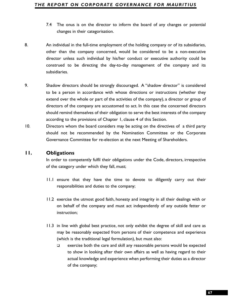- changes in their categorisation.
- 8. An individual in the full-time employment of the holding company or of its subsidiaries, other than the company concerned, would be considered to be a non-executive director unless such individual by his/her conduct or executive authority could be construed to be directing the day-to-day management of the company and its subsidiaries.
- 74 The onus is on the director to inform the board of any changes or potential<br>
changes in their categorisation.<br>
An individual in the full-time employment of the holding company or of its subsidiaries,<br>
other than the com 9. Shadow directors should be strongly discouraged. A "shadow director" is considered to be a person in accordance with whose directions or instructions (whether they extend over the whole or part of the activities of the company), a director or group of directors of the company are accustomed to act. In this case the concerned directors should remind themselves of their obligation to serve the best interests of the company according to the provisions of Chapter 1, clause 4 of this Section.
- 10. Directors whom the board considers may be acting on the directives of a third party should not be recommended by the Nomination Committee or the Corporate Governance Committee for re-election at the next Meeting of Shareholders.

#### **11. Obligations**

In order to competently fulfil their obligations under the Code, directors, irrespective of the category under which they fall, must;

- 11.1 ensure that they have the time to devote to diligently carry out their responsibilities and duties to the company;
- 11.2 exercise the utmost good faith, honesty and integrity in all their dealings with or on behalf of the company and must act independently of any outside fetter or instruction;
- 11.3 in line with global best practice, not only exhibit the degree of skill and care as may be reasonably expected from persons of their competence and experience (which is the traditional legal formulation), but must also:
	- $\Box$  exercise both the care and skill any reasonable persons would be expected to show in looking after their own affairs as well as having regard to their actual knowledge and experience when performing their duties as a director of the company;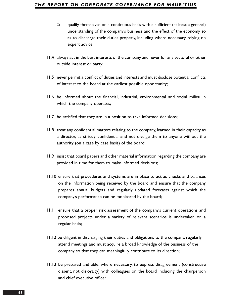- qualify themselves on a continuous basis with a sufficient (at least a general) understanding of the company's business and the effect of the economy so as to discharge their duties properly, including where necessary relying on expert advice;
- 11.4 always act in the best interests of the company and never for any sectoral or other outside interest or party;
- 11.5 never permit a conflict of duties and interests and must disclose potential conflicts of interest to the board at the earliest possible opportunity;
- 11.6 be informed about the financial, industrial, environmental and social milieu in which the company operates;
- 11.7 be satisfied that they are in a position to take informed decisions;
- 11.8 treat any confidential matters relating to the company, learned in their capacity as a director, as strictly confidential and not divulge them to anyone without the authority (on a case by case basis) of the board;
- 11.9 insist that board papers and other material information regarding the company are provided in time for them to make informed decisions;
- 11.10 ensure that procedures and systems are in place to act as checks and balances on the information being received by the board and ensure that the company prepares annual budgets and regularly updated forecasts against which the company's performance can be monitored by the board;
- 11.11 ensure that a proper risk assessment of the company's current operations and proposed projects under a variety of relevant scenarios is undertaken on a regular basis;
- 11.12 be diligent in discharging their duties and obligations to the company, regularly attend meetings and must acquire a broad knowledge of the business of the company so that they can meaningfully contribute to its direction;
- 11.13 be prepared and able, where necessary, to express disagreement (constructive dissent, not disloyalty) with colleagues on the board including the chairperson and chief executive officer;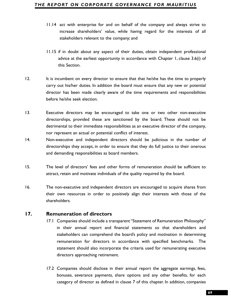- increase shareholders' value, while having regard for the interests of all stakeholders relevant to the company; and
- 11.15 if in doubt about any aspect of their duties, obtain independent professional advice at the earliest opportunity in accordance with Chapter 1, clause 3.6(i) of this Section.
- 12. It is incumbent on every director to ensure that that he/she has the time to properly carry out his/her duties. In addition the board must ensure that any new or potential director has been made clearly aware of the time requirements and responsibilities before he/she seek election.
- 13. Executive directors may be encouraged to take one or two other non-executive directorships, provided these are sanctioned by the board. These should not be detrimental to their immediate responsibilities as an executive director of the company, nor represent an actual or potential conflict of interest.
- 14. Non-executive and independent directors should be judicious in the number of directorships they accept, in order to ensure that they do full justice to their onerous and demanding responsibilities as board members.
- 15. The level of directors' fees and other forms of remuneration should be sufficient to attract, retain and motivate individuals of the quality required by the board.
- 16. The non-executive and independent directors are encouraged to acquire shares from their own resources in order to positively align their interests with those of the shareholders.

### **17. Remuneration of directors**

- **F1.14** act with emergrise for and on behalf of the company and always strive to increase shareholders' value, while having regard for the increases of all stateholders releant to the company and<br>always strive to increase 17.1 Companies should include a transparent "Statement of Remuneration Philosophy" in their annual report and financial statements so that shareholders and stakeholders can comprehend the board's policy and motivation in determining remuneration for directors in accordance with specified benchmarks. The statement should also incorporate the criteria used for remunerating executive directors approaching retirement.
- 17.2 Companies should disclose in their annual report the aggregate earnings, fees, bonuses, severance payments, share options and any other benefits, for each category of director as defined in clause 7 of this chapter. In addition, companies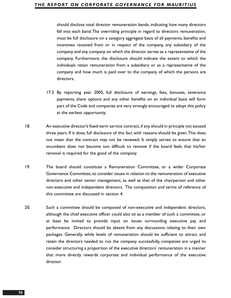should disclose total director remuneration bands, indicating how many directors fall into each band.The overriding principle in regard to directors remuneration, must be full disclosure on a category aggregate basis of all payments, benefits and incentives received from or in respect of the company, any subsidiary of the company and any company on which the director serves as a representative of the company. Furthermore, the disclosure should indicate the extent to which the individuals retain remuneration from a subsidiary or as a representative of the company and how much is paid over to the company of which the persons are directors.

- 17.3 By reporting year 2005, full disclosure of earnings, fees, bonuses, severance payments, share options and any other benefits on an individual basis will form part of the Code and companies are very strongly encouraged to adopt this policy at the earliest opportunity.
- 18. An executive director's fixed-term service contract, if any, should in principle not exceed three years. If it does, full disclosure of this fact with reasons should be given.This does not mean that the contract may not be renewed. It simply serves to ensure that an incumbent does not become too difficult to remove if the board feels that his/her removal is required for the good of the company.
- 19. The board should constitute a Remuneration Committee, or a wider Corporate Governance Committee, to consider issues in relation to the remuneration of executive directors and other senior management, as well as that of the chairperson and other non-executive and independent directors. The composition and terms of reference of this committee are discussed in section 4.
- 20. Such a committee should be composed of non-executive and independent directors, although the chief executive officer could also sit as a member of such a committee, or at least be invited to provide input on issues surrounding executive pay and performance. Directors should be absent from any discussions relating to their own packages. Generally, while levels of remuneration should be sufficient to attract and retain the directors needed to run the company successfully, companies are urged to consider structuring a proportion of the executive directors' remuneration in a manner that more directly rewards corporate and individual performance of the executive director.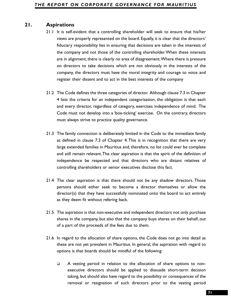- **21.** Aspirations<br>
21. It is self-evident that a controlling shareholder will seek to ensure that his<br>
21.1 It is self-evident that a controlling shareholder will seek to ensure that the directors'<br>
fluctuary responsibilit 21.1 It is self-evident that a controlling shareholder will seek to ensure that his/her views are properly represented on the board. Equally, it is clear that the directors' fiduciary responsibility lies in ensuring that decisions are taken in the interests of the company and not those of the controlling shareholder.When these interests are in alignment, there is clearly no area of disagreement.Where there is pressure on directors to take decisions which are not obviously in the interests of the company, the directors must have the moral integrity and courage to voice and register their dissent and to act in the best interests of the company
	- 21.2 The Code defines the three categories of director. Although clause 7.3 in Chapter 4 lists the criteria for an independent categorisation, the obligation is that each and every director, regardless of category, exercises independence of mind. The Code must not develop into a 'box-ticking' exercise. On the contrary, directors must always strive to practice quality governance.
	- 21.3 The family connection is deliberately limited in the Code to the immediate family as defined in clause 7.3 of Chapter 4. This is in recognition that there are very large extended families in Mauritius and, therefore, no list could ever be complete and still remain relevant.The clear aspiration is that the spirit of the definition of independence be respected and that directors who are distant relatives of controlling shareholders or senior executives disclose this fact.
	- 21.4 The clear aspiration is that there should not be any shadow directors. Those persons should either seek to become a director themselves or allow the director(s) that they have successfully nominated onto the board to act entirely as they deem fit without refering back.
	- 21.5 The aspiration is that non-executive and independent directors not only purchase shares in the company, but also that the company buys shares on their behalf, out of a part of the proceeds of the fees due to them.
	- 21.6 In regard to the allocation of share options, the Code does not go into detail as these are not yet prevalent in Mauritius. In general, the aspiration with regard to options is that boards should be mindful of the following:
		- A vesting period in relation to the allocation of share options to nonexecutive directors should be applied to dissuade short-term decision taking, but should also have regard to the possibility or consequences of the removal or resignation of such directors prior to the vesting period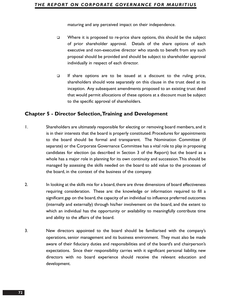maturing and any perceived impact on their independence.

- $\Box$  Where it is proposed to re-price share options, this should be the subject of prior shareholder approval. Details of the share options of each executive and non-executive director who stands to benefit from any such proposal should be provided and should be subject to shareholder approval individually in respect of each director.
- $\Box$  If share options are to be issued at a discount to the ruling price, shareholders should vote separately on this clause in the trust deed at its inception. Any subsequent amendments proposed to an existing trust deed that would permit allocations of these options at a discount must be subject to the specific approval of shareholders.

# **Chapter 5 - Director Selection,Training and Development**

- 1. Shareholders are ultimately responsible for electing or removing board members, and it is in their interests that the board is properly constituted. Procedures for appointments to the board should be formal and transparent. The Nomination Committee (if separate) or the Corporate Governance Committee has a vital role to play in proposing candidates for election (as described in Section 3 of the Report) but the board as a whole has a major role in planning for its own continuity and succession.This should be managed by assessing the skills needed on the board to add value to the processes of the board, in the context of the business of the company.
- 2. In looking at the skills mix for a board, there are three dimensions of board effectiveness requiring consideration. These are: the knowledge or information required to fill a significant gap on the board, the capacity of an individual to influence preferred outcomes (internally and externally) through his/her involvement on the board, and the extent to which an individual has the opportunity or availability to meaningfully contribute time and ability to the affairs of the board.
- 3. New directors appointed to the board should be familiarised with the company's operations, senior management and its business environment. They must also be made aware of their fiduciary duties and responsibilities and of the board's and chairperson's expectations. Since their responsibility carries with it significant personal liability, new directors with no board experience should receive the relevant education and development.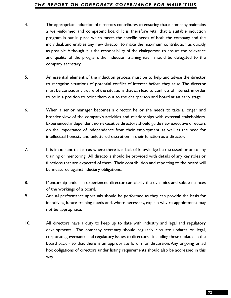- **734.** The appropriate induction of directors controllusts to entailing that a company maintains program is put in pluce which meets the specific needs of both the company and the pluction individual, and enables any new d a well-informed and competent board. It is therefore vital that a suitable induction program is put in place which meets the specific needs of both the company and the individual, and enables any new director to make the maximum contribution as quickly as possible.Although it is the responsibility of the chairperson to ensure the relevance and quality of the program, the induction training itself should be delegated to the company secretary.
- 5. An essential element of the induction process must be to help and advise the director to recognise situations of potential conflict of interest before they arise. The director must be consciously aware of the situations that can lead to conflicts of interest, in order to be in a position to point them out to the chairperson and board at an early stage.
- 6. When a senior manager becomes a director, he or she needs to take a longer and broader view of the company's activities and relationships with external stakeholders. Experienced, independent non-executive directors should guide new executive directors on the importance of independence from their employment, as well as the need for intellectual honesty and unfettered discretion in their function as a director.
- 7. It is important that areas where there is a lack of knowledge be discussed prior to any training or mentoring. All directors should be provided with details of any key roles or functions that are expected of them. Their contribution and reporting to the board will be measured against fiduciary obligations.
- 8. Mentorship under an experienced director can clarify the dynamics and subtle nuances of the workings of a board.
- 9. Annual performance appraisals should be performed as they can provide the basis for identifying future training needs and, where necessary, explain why re-appointment may not be appropriate.
- 10. All directors have a duty to keep up to date with industry and legal and regulatory developments. The company secretary should regularly circulate updates on legal, corporate governance and regulatory issues to directors - including these updates in the board pack - so that there is an appropriate forum for discussion. Any ongoing or ad hoc obligations of directors under listing requirements should also be addressed in this way.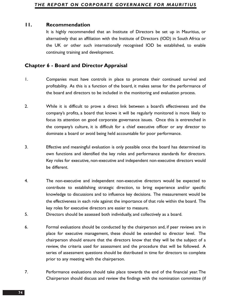## **11. Recommendation**

It is highly recommended that an Institute of Directors be set up in Mauritius, or alternatively that an affiliation with the Institute of Directors (IOD) in South Africa or the UK or other such internationally recognised IOD be established, to enable continuing training and development.

# **Chapter 6 - Board and Director Appraisal**

- 1. Companies must have controls in place to promote their continued survival and profitability. As this is a function of the board, it makes sense for the performance of the board and directors to be included in the monitoring and evaluation process.
- 2. While it is difficult to prove a direct link between a board's effectiveness and the company's profits, a board that knows it will be regularly monitored is more likely to focus its attention on good corporate governance issues. Once this is entrenched in the company's culture, it is difficult for a chief executive officer or any director to dominate a board or avoid being held accountable for poor performance.
- 3. Effective and meaningful evaluation is only possible once the board has determined its own functions and identified the key roles and performance standards for directors. Key roles for executive, non-executive and independent non-executive directors would be different.
- 4. The non-executive and independent non-executive directors would be expected to contribute to establishing strategic direction, to bring experience and/or specific knowledge to discussions and to influence key decisions. The measurement would be the effectiveness in each role against the importance of that role within the board. The key roles for executive directors are easier to measure.
- 5. Directors should be assessed both individually, and collectively as a board.
- 6. Formal evaluations should be conducted by the chairperson and, if peer reviews are in place for executive management, these should be extended to director level. The chairperson should ensure that the directors know that they will be the subject of a review, the criteria used for assessment and the procedure that will be followed. A series of assessment questions should be distributed in time for directors to complete prior to any meeting with the chairperson.
- 7. Performance evaluations should take place towards the end of the financial year. The Chairperson should discuss and review the findings with the nomination committee (if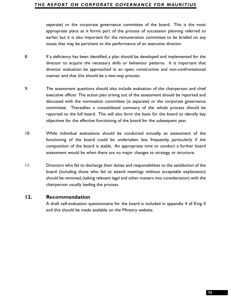appropriate place as it forms part of the process of succession planning referred to earlier, but it is also important for the remuneration committee to be briefed on any issues that may be pertinent to the performance of an executive director.

- 8. If a deficiency has been identified, a plan should be developed and implemented for the director to acquire the necessary skills or behaviour patterns. It is important that director evaluation be approached in an open, constructive and non-confrontational manner and that this should be a two-way process.
- **55**spared or the corporate governance committee of the board. This is the most<br>spaceproperate space as it forms part of the process of succession planning referred to<br>earlier, but it is a kso important for the remuneratio 9. The assessment questions should also include evaluation of the chairperson and chief executive officer. The action plan arising out of the assessment should be reported and discussed with the nomination committee (is separate) or the corporate governance committee. Thereafter, a consolidated summary of the whole process should be reported to the full board. This will also form the basis for the board to identify key objectives for the effective functioning of the board for the subsequent year.
- 10. While individual evaluations should be conducted annually, an assessment of the functioning of the board could be undertaken less frequently, particularly if the composition of the board is stable. An appropriate time to conduct a further board assessment would be when there are no major changes to strategy or structure.
- 11. Directors who fail to discharge their duties and responsibilities to the satisfaction of the board (including those who fail to attend meetings without acceptable explanation) should be removed, (taking relevant legal and other matters into consideration) with the chairperson usually leading the process.

## **12. Recommendation**

A draft self-evaluation questionnaire for the board is included in appendix 4 of King II and this should be made available on the Ministry website.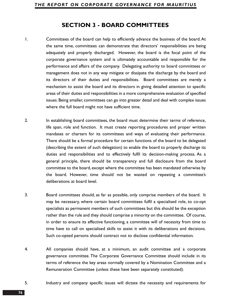# **SECTION 3 - BOARD COMMITTEES**

- 1. Committees of the board can help to efficiently advance the business of the board.At the same time, committees can demonstrate that directors' responsibilities are being adequately and properly discharged. However, the board is the focal point of the corporate governance system and is ultimately accountable and responsible for the performance and affairs of the company. Delegating authority to board committees or management does not in any way mitigate or dissipate the discharge by the board and its directors of their duties and responsibilities. Board committees are merely a mechanism to assist the board and its directors in giving detailed attention to specific areas of their duties and responsibilities in a more comprehensive evaluation of specified issues. Being smaller, committees can go into greater detail and deal with complex issues where the full board might not have sufficient time.
- 2. In establishing board committees, the board must determine their terms of reference, life span, role and function. It must create reporting procedures and proper written mandates or charters for its committees and ways of evaluating their performance. There should be a formal procedure for certain functions of the board to be delegated (describing the extent of such delegation) to enable the board to properly discharge its duties and responsibilities and to effectively fulfil its decision-making process. As a general principle, there should be transparency and full disclosure from the board committee to the board, except where the committee has been mandated otherwise by the board. However, time should not be wasted on repeating a committee's deliberations at board level.
- 3. Board committees should, as far as possible, only comprise members of the board. It may be necessary, where certain board committees fulfil a specialised role, to co-opt specialists as permanent members of such committees but this should be the exception rather than the rule and they should comprise a minority on the committee. Of course, in order to ensure its effective functioning, a committee will of necessity from time to time have to call on specialised skills to assist it with its deliberations and decisions. Such co-opted persons should contract not to disclose confidential information.
- 4. All companies should have, at a minimum, an audit committee and a corporate governance committee. The Corporate Governance Committee should include in its terms of reference the key areas normally covered by a Nomination Committee and a Remuneration Committee (unless these have been separately constituted).
- 5. Industry and company specific issues will dictate the necessity and requirements for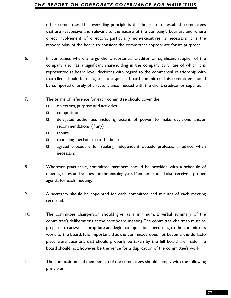that are responsive and relevant to the nature of the company's business and where direct involvement of directors, particularly non-executives, is necessary. It is the responsibility of the board to consider the committees appropriate for its purposes.

- 6. In companies where a large client, substantial creditor or significant supplier of the company also has a significant shareholding in the company by virtue of which it is represented at board level, decisions with regard to the commercial relationship with that client should be delegated to a specific board committee.This committee should be composed entirely of directors unconnected with the client, creditor or supplier.
- 7. The terms of reference for each committee should cover the:
	- $\Box$  objectives, purpose and activities
	- **Q** composition
	- delegated authorities including extent of power to make decisions and/or recommendations (if any)
	- □ tenure
	- **Q** reporting mechanism to the board
	- **a** agreed procedure for seeking independent outside professional advice when necessary.
- 8. Wherever practicable, committee members should be provided with a schedule of meeting dates and venues for the ensuing year. Members should also receive a proper agenda for each meeting.
- 9. A secretary should be appointed for each committee and minutes of each meeting recorded.
- **70ther committees. The overriding principle is that boards must establish committees<br>that are responsive and relevant to the nature of the company's business and where<br>direct involvement of directors, particularly non-exe** 10. The committee chairperson should give, as a minimum, a verbal summary of the committee's deliberations at the next board meeting.The committee chairman must be prepared to answer appropriate and legitimate questions pertaining to the committee's work to the board. It is important that the committee does not become the de facto place were decisions that should properly be taken by the full board are made The board should not, however, be the venue for a duplication of the committee's work.
- 11. The composition and membership of the committees should comply with the following principles: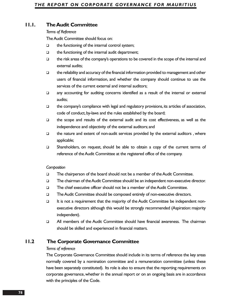## **11.1. The Audit Committee**

#### *Terms of Reference*

The Audit Committee should focus on:

- $\Box$  the functioning of the internal control system;
- $\Box$  the functioning of the internal audit department;
- $\Box$  the risk areas of the company's operations to be covered in the scope of the internal and external audits;
- $\Box$  the reliability and accuracy of the financial information provided to management and other users of financial information, and whether the company should continue to use the services of the current external and internal auditors;
- any accounting for auditing concerns identified as a result of the internal or external audits;
- $\Box$  the company's compliance with legal and regulatory provisions, its articles of association, code of conduct, by-laws and the rules established by the board;
- $\Box$  the scope and results of the external audit and its cost effectiveness, as well as the independence and objectivity of the external auditors; and
- $\Box$  the nature and extent of non-audit services provided by the external auditors, where applicable;
- Shareholders, on request, should be able to obtain a copy of the current terms of reference of the Audit Committee at the registered office of the company.

### *Composition*

- □ The chairperson of the board should not be a member of the Audit Committee.
- The chairman of the Audit Committee should be an independent non-executive director.
- The chief executive officer should not be a member of the Audit Committee.
- The Audit Committee should be composed entirely of non-executive directors.
- $\Box$  It is not a requirement that the majority of the Audit Committee be independent nonexecutive directors although this would be strongly recommended (Aspiration: majority independent).
- All members of the Audit Committee should have financial awareness. The chairman should be skilled and experienced in financial matters.

# **11.2 The Corporate Governance Committee**

## *Terms of reference*

The Corporate Governance Committee should include in its terms of reference the key areas normally covered by a nomination committee and a remuneration committee (unless these have been separately constituted). Its role is also to ensure that the reporting requirements on corporate governance, whether in the annual report or on an ongoing basis are in accordance with the principles of the Code.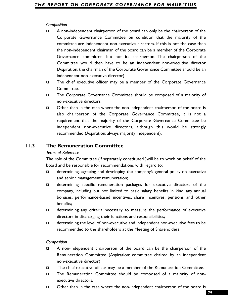- Composition<br>
2. A non-independent chairperson of the board can only be the chairperson of the<br>
Composite Governance Committee and condition that the majority of the<br>
committees are independent thairman of the based can be A non-independent chairperson of the board can only be the chairperson of the Corporate Governance Committee on condition that the majority of the committee are independent non-executive directors. If this is not the case then the non-independent chairman of the board can be a member of the Corporate Governance committee, but not its chairperson. The chairperson of the Committee would then have to be an independent non-executive director (Aspiration: the chairman of the Corporate Governance Committee should be an independent non-executive director).
- The chief executive officer may be a member of the Corporate Governance Committee.
- □ The Corporate Governance Committee should be composed of a majority of non-executive directors.
- $\Box$  Other than in the case where the non-independent chairperson of the board is also chairperson of the Corporate Governance Committee, it is not a requirement that the majority of the Corporate Governance Committee be independent non-executive directors, although this would be strongly recommended (Aspiration: always majority independent).

## **11.3 The Remuneration Committee**

### *Terms of Reference*

The role of the Committee (if separately constituted )will be to work on behalf of the board and be responsible for recommendations with regard to:

- determining, agreeing and developing the company's general policy on executive and senior management remuneration;
- determining specific remuneration packages for executive directors of the company, including but not limited to basic salary, benefits in kind, any annual bonuses, performance-based incentives, share incentives, pensions and other benefits;
- determining any criteria necessary to measure the performance of executive directors in discharging their functions and responsibilities;
- $\Box$  determining the level of non-executive and independent non-executive fees to be recommended to the shareholders at the Meeting of Shareholders.

### *Composition*

- A non-independent chairperson of the board can be the chairperson of the Remuneration Committee (Aspiration: committee chaired by an independent non-executive director)
- The chief executive officer may be a member of the Remuneration Committee.
- The Remuneration Committee should be composed of a majority of nonexecutive directors.
- Other than in the case where the non-independent chairperson of the board is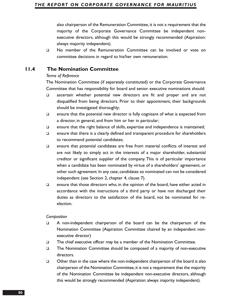also chairperson of the Remuneration Committee, it is not a requirement that the majority of the Corporate Governance Committee be independent nonexecutive directors, although this would be strongly recommended (Aspiration: always majority independent).

 No member of the Remuneration Committee can be involved or vote on committee decisions in regard to his/her own remuneration.

# **11.4 The Nomination Committee**

### *Terms of Reference*

The Nomination Committee (if separately constituted) or the Corporate Governance Committee that has responsibility for board and senior executive nominations should:

- ascertain whether potential new directors are fit and proper and are not disqualified from being directors. Prior to their appointment, their backgrounds should be investigated thoroughly;
- $\Box$  ensure that the potential new director is fully cognisant of what is expected from a director, in general, and from him or her in particular;
- $\Box$  ensure that the right balance of skills, expertise and independence is maintained;
- $\square$  ensure that there is a clearly defined and transparent procedure for shareholders to recommend potential candidates;
- $\Box$  ensure that potential candidates are free from material conflicts of interest and are not likely to simply act in the interests of a major shareholder, substantial creditor or significant supplier of the company. This is of particular importance when a candidate has been nominated by virtue of a shareholders' agreement, or other such agreement. In any case, candidates so nominated can not be considered independent (see Section 2, chapter 4, clause 7).
- $\Box$  ensure that those directors who, in the opinion of the board, have either acted in accordance with the instructions of a third party or have not discharged their duties as directors to the satisfaction of the board, not be nominated for reelection.

### *Composition*

- A non-independent chairperson of the board can be the chairperson of the Nomination Committee (Aspiration: Committee chaired by an independent nonexecutive director)
- □ The chief executive officer may be a member of the Nomination Committee.
- □ The Nomination Committee should be composed of a majority of non-executive directors.
- □ Other than in the case where the non-independent chairperson of the board is also chairperson of the Nomination Committee,it is not a requirement that the majority of the Nomination Committee be independent non-executive directors, although this would be strongly recommended (Aspiration: always majority independent).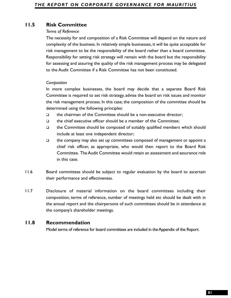## *Terms of Reference*

**FI.S Risk Committee**<br>
The necessity for stand composition of a Risk Committee will depend on the nature and<br>
The necessity for and composition of a Risk Committee will depend on the nature and<br>
complexity of the bisiness, The necessity for and composition of a Risk Committee will depend on the nature and complexity of the business. In relatively simple businesses, it will be quite acceptable for risk management to be the responsibility of the board rather than a board committee. Responsibility for setting risk strategy will remain with the board but the responsibility for assessing and assuring the quality of the risk management process may be delegated to the Audit Committee if a Risk Committee has not been constituted.

## *Composition*

In more complex businesses, the board may decide that a separate Board Risk Committee is required to set risk strategy, advise the board on risk issues and monitor the risk management process. In this case, the composition of the committee should be determined using the following principles:

- $\Box$  the chairman of the Committee should be a non-executive director;
- $\Box$  the chief executive officer should be a member of the Committee:
- $\Box$  the Committee should be composed of suitably qualified members which should include at least one independent director;
- $\Box$  the company may also set up committees composed of management or appoint a chief risk officer, as appropriate, who would then report to the Board Risk Committee. The Audit Committee would retain an assessment and assurance role in this case.
- 11.6 Board committees should be subject to regular evaluation by the board to ascertain their performance and effectiveness.
- 11.7 Disclosure of material information on the board committees including their composition, terms of reference, number of meetings held etc should be dealt with in the annual report and the chairpersons of such committees should be in attendance at the company's shareholder meetings.

## **11.8 Recommendation**

Model terms of reference for board committees are included in the Appendix of the Report.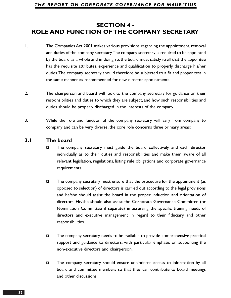# **SECTION 4 - ROLE AND FUNCTION OF THE COMPANY SECRETARY**

- 1. The Companies Act 2001 makes various provisions regarding the appointment, removal and duties of the company secretary.The company secretary is required to be appointed by the board as a whole and in doing so, the board must satisfy itself that the appointee has the requisite attributes, experience and qualification to properly discharge his/her duties.The company secretary should therefore be subjected to a fit and proper test in the same manner as recommended for new director appointments.
- 2. The chairperson and board will look to the company secretary for guidance on their responsibilities and duties to which they are subject, and how such responsibilities and duties should be properly discharged in the interests of the company.
- 3. While the role and function of the company secretary will vary from company to company and can be very diverse, the core role concerns three primary areas:

## **3.1 The board**

- $\Box$  The company secretary must guide the board collectively, and each director individually, as to their duties and responsibilities and make them aware of all relevant legislation, regulations, listing rule obligations and corporate governance requirements.
- $\Box$  The company secretary must ensure that the procedure for the appointment (as opposed to selection) of directors is carried out according to the legal provisions and he/she should assist the board in the proper induction and orientation of directors. He/she should also assist the Corporate Governance Committee (or Nomination Committee if separate) in assessing the specific training needs of directors and executive management in regard to their fiduciary and other responsibilities.
- $\square$  The company secretary needs to be available to provide comprehensive practical support and guidance to directors, with particular emphasis on supporting the non-executive directors and chairperson.
- The company secretary should ensure unhindered access to information by all board and committee members so that they can contribute to board meetings and other discussions.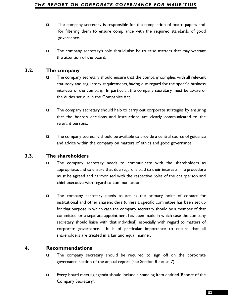- for filtering them to ensure compliance with the required standards of good governance.
- $\Box$  The company secretary's role should also be to raise matters that may warrant the attention of the board.

# **3.2. The company**

- $\Box$  The company secretary should ensure that the company complies with all relevant statutory and regulatory requirements, having due regard for the specific business interests of the company. In particular, the company secretary must be aware of the duties set out in the Companies Act.
- $\Box$  The company secretary should help to carry out corporate strategies by ensuring that the board's decisions and instructions are clearly communicated to the relevant persons.
- $\Box$  The company secretary should be available to provide a central source of guidance and advice within the company on matters of ethics and good governance.

# **3.3. The shareholders**

- The company secretary needs to communicate with the shareholders as appropriate, and to ensure that due regard is paid to their interests.The procedure must be agreed and harmonised with the respective roles of the chairperson and chief executive with regard to communication.
- **33** The company secretary is responsible for the compilation of board papers and<br>to relinently them to ensure compliance with the required sandards of good<br>governance.<br> **1** The company secretary's role should also be to  $\Box$  The company secretary needs to act as the primary point of contact for institutional and other shareholders (unless a specific committee has been set up for that purpose in which case the company secretary should be a member of that committee, or a separate appointment has been made in which case the company secretary should liaise with that individual), especially with regard to matters of corporate governance. It is of particular importance to ensure that all shareholders are treated in a fair and equal manner.

# **4. Recommendations**

- $\Box$  The company secretary should be required to sign off on the corporate governance section of the annual report (see Section 8 clause 7).
- Every board meeting agenda should include a standing item entitled 'Report of the Company Secretary'.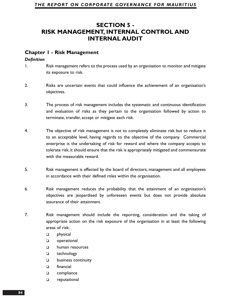# **SECTION 5 - RISK MANAGEMENT, INTERNAL CONTROL AND INTERNAL AUDIT**

## **Chapter 1 - Risk Management**

## *Definition*

- 1. Risk management refers to the process used by an organisation to monitor and mitigate its exposure to risk.
- 2. Risks are uncertain events that could influence the achievement of an organisation's objectives.
- 3. The process of risk management includes the systematic and continuous identification and evaluation of risks as they pertain to the organisation followed by action to terminate, transfer, accept or mitigate each risk.
- 4. The objective of risk management is not to completely eliminate risk but to reduce it to an acceptable level, having regards to the objective of the company. Commercial enterprise is the undertaking of risk for reward and where the company accepts to tolerate risk, it should ensure that the risk is appropriately mitigated and commensurate with the measurable reward.
- 5. Risk management is effected by the board of directors, management and all employees in accordance with their defined roles within the organisation.
- 6. Risk management reduces the probability that the attainment of an organisation's objectives are jeopardised by unforeseen events but does not provide absolute assurance of their attainment.
- 7. Risk management should include the reporting, consideration and the taking of appropriate action on the risk exposure of the organisation in at least the following areas of risk:
	- **physical**
	- **Q** operational
	- human resources
	- □ technology
	- **D** business continuity
	- □ financial
	- □ compliance
	- □ reputational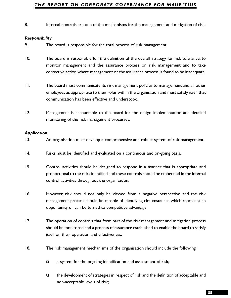### *Responsibility*

9. The board is responsible for the total process of risk management.

- **8.** Internal controls are one of the mechanisms for the management and mitigation of risk.<br>**Responsibility**<br>**7.** The board is responsible for the cical process of risk management<br>**10.** The board is responsible for the def 10. The board is responsible for the definition of the overall strategy for risk tolerance, to monitor management and the assurance process on risk management and to take corrective action where management or the assurance process is found to be inadequate.
- 11. The board must communicate its risk management policies to management and all other employees as appropriate to their roles within the organisation and must satisfy itself that communication has been effective and understood.
- 12. Management is accountable to the board for the design implementation and detailed monitoring of the risk management processes.

### *Application*

- 13. An organisation must develop a comprehensive and robust system of risk management.
- 14. Risks must be identified and evaluated on a continuous and on-going basis.
- 15. Control activities should be designed to respond in a manner that is appropriate and proportional to the risks identified and these controls should be embedded in the internal control activities throughout the organisation.
- 16. However, risk should not only be viewed from a negative perspective and the risk management process should be capable of identifying circumstances which represent an opportunity or can be turned to competitive advantage.
- 17. The operation of controls that form part of the risk management and mitigation process should be monitored and a process of assurance established to enable the board to satisfy itself on their operation and effectiveness.
- 18. The risk management mechanisms of the organisation should include the following:
	- $\Box$  a system for the ongoing identification and assessment of risk;
	- $\Box$  the development of strategies in respect of risk and the definition of acceptable and non-acceptable levels of risk;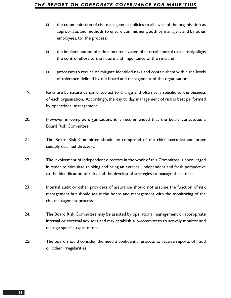- $\Box$  the communication of risk management policies to all levels of the organisation as appropriate, and methods to ensure commitment, both by managers and by other employees, to the process;
- $\Box$  the implementation of a documented system of internal control that closely aligns the control effort to the nature and importance of the risk; and
- $\Box$  processes to reduce or mitigate identified risks and contain them within the levels of tolerance defined by the board and management of the organisation.
- 19. Risks are by nature dynamic, subject to change and often very specific to the business of each organisation. Accordingly, the day to day management of risk is best performed by operational management.
- 20. However, in complex organisations it is recommended that the board constitutes a Board Risk Committee.
- 21. The Board Risk Committee should be composed of the chief executive and other suitably qualified directors.
- 22. The involvement of independent directors in the work of this Committee is encouraged in order to stimulate thinking and bring an external, independent and fresh perspective to the identification of risks and the develop of strategies to manage these risks.
- 23. Internal audit or other providers of assurance should not assume the function of risk management but should assist the board and management with the monitoring of the risk management process.
- 24. The Board Risk Committee may be assisted by operational management or appropriate internal or external advisors and may establish sub-committees to actively monitor and manage specific types of risk.
- 25. The board should consider the need a confidential process to receive reports of fraud or other irregularities.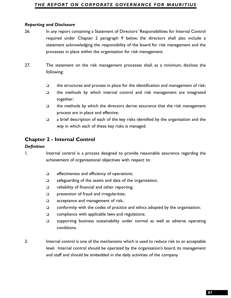- **Reporting and Disclosure**<br> **87Reporting and Disclosure**<br> **87Configure and Disclosure**<br> **87Example 1018 Confect 2** paragregine 9 below, the directory changement and the<br>
statement acknowledging the responsibility of 26. In any report containing a Statement of Directors' Responsibilities for Internal Control required under Chapter 2 paragraph 9 below, the directors shall also include a statement acknowledging the responsibility of the board for risk management and the processes in place within the organisation for risk management.
- 27. The statement on the risk management processes shall, as a minimum, disclose the following:
	- $\Box$  the structures and process in place for the identification and management of risk;
	- $\Box$  the methods by which internal control and risk management are integrated together;
	- $\Box$  the methods by which the directors derive assurance that the risk management process are in place and effective;
	- $\Box$  a brief description of each of the key risks identified by the organisation and the way in which each of these key risks is managed.

# **Chapter 2 - Internal Control**

### *Definition*

1. Internal control is a process designed to provide reasonable assurance regarding the achievement of organisational objectives with respect to:

- $\Box$  effectiveness and efficiency of operations;
- $\square$  safeguarding of the assets and data of the organisation;
- $\Box$  reliability of financial and other reporting;
- **prevention of fraud and irregularities;**
- □ acceptance and management of risk;
- $\Box$  conformity with the codes of practice and ethics adopted by the organisation;
- $\Box$  compliance with applicable laws and regulations;
- $\square$  supporting business sustainability under normal as well as adverse operating conditions.
- 2. Internal control is one of the mechanisms which is used to reduce risk to an acceptable level. Internal control should be operated by the organisation's board, its management and staff and should be embedded in the daily activities of the company.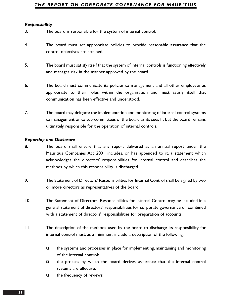### *Responsibility*

- 3. The board is responsible for the system of internal control.
- 4. The board must set appropriate policies to provide reasonable assurance that the control objectives are attained.
- 5. The board must satisfy itself that the system of internal controls is functioning effectively and manages risk in the manner approved by the board.
- 6. The board must communicate its policies to management and all other employees as appropriate to their roles within the organisation and must satisfy itself that communication has been effective and understood.
- 7. The board may delegate the implementation and monitoring of internal control systems to management or to sub-committees of the board as its sees fit but the board remains ultimately responsible for the operation of internal controls.

#### *Reporting and Disclosure*

- 8. The board shall ensure that any report delivered as an annual report under the Mauritius Companies Act 2001 includes, or has appended to it, a statement which acknowledges the directors' responsibilities for internal control and describes the methods by which this responsibility is discharged.
- 9. The Statement of Directors' Responsibilities for Internal Control shall be signed by two or more directors as representatives of the board.
- 10. The Statement of Directors' Responsibilities for Internal Control may be included in a general statement of directors' responsibilities for corporate governance or combined with a statement of directors' responsibilities for preparation of accounts.
- 11. The description of the methods used by the board to discharge its responsibility for internal control must, as a minimum, include a description of the following:
	- $\Box$  the systems and processes in place for implementing, maintaining and monitoring of the internal controls;
	- $\Box$  the process by which the board derives assurance that the internal control systems are effective;
	- $\Box$  the frequency of reviews;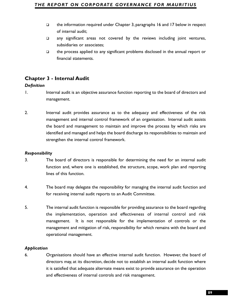- of internal audit;
- $\square$  any significant areas not covered by the reviews including joint ventures, subsidiaries or associates;
- $\Box$  the process applied to any significant problems disclosed in the annual report or financial statements.

# **Chapter 3 - Internal Audit**

## *Definition*

- 1. Internal audit is an objective assurance function reporting to the board of directors and management.
- **1** the information required under Chapter 3, paragraphs 16 and 17 below in respect<br>
29 any significanc areas not covered by the reviews including joint ventures,<br> **39** subsidiantes or associates;<br> **49** the process spelied 2. Internal audit provides assurance as to the adequacy and effectiveness of the risk management and internal control framework of an organisation. Internal audit assists the board and management to maintain and improve the process by which risks are identified and managed and helps the board discharge its responsibilities to maintain and strengthen the internal control framework.

## *Responsibility*

- 3. The board of directors is responsible for determining the need for an internal audit function and, where one is established, the structure, scope, work plan and reporting lines of this function.
- 4. The board may delegate the responsibility for managing the internal audit function and for receiving internal audit reports to an Audit Committee.
- 5. The internal audit function is responsible for providing assurance to the board regarding the implementation, operation and effectiveness of internal control and risk management. It is not responsible for the implementation of controls or the management and mitigation of risk, responsibility for which remains with the board and operational management.

## *Application*

6. Organisations should have an effective internal audit function. However, the board of directors may, at its discretion, decide not to establish an internal audit function where it is satisfied that adequate alternate means exist to provide assurance on the operation and effectiveness of internal controls and risk management.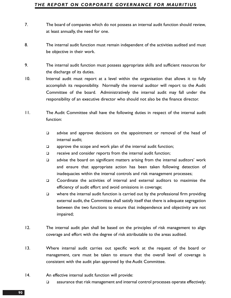- 7. The board of companies which do not possess an internal audit function should review, at least annually, the need for one.
- 8. The internal audit function must remain independent of the activities audited and must be objective in their work.
- 9. The internal audit function must possess appropriate skills and sufficient resources for the discharge of its duties.
- 10. Internal audit must report at a level within the organisation that allows it to fully accomplish its responsibility. Normally the internal auditor will report to the Audit Committee of the board. Administratively the internal audit may fall under the responsibility of an executive director who should not also be the finance director.
- 11. The Audit Committee shall have the following duties in respect of the internal audit function:
	- $\Box$  advise and approve decisions on the appointment or removal of the head of internal audit;
	- $\Box$  approve the scope and work plan of the internal audit function;
	- $\Box$  receive and consider reports from the internal audit function;
	- $\Box$  advise the board on significant matters arising from the internal auditors' work and ensure that appropriate action has been taken following detection of inadequacies within the internal controls and risk management processes;
	- Coordinate the activities of internal and external auditors to maximise the efficiency of audit effort and avoid omissions in coverage;
	- $\Box$  where the internal audit function is carried out by the professional firm providing external audit, the Committee shall satisfy itself that there is adequate segregation between the two functions to ensure that independence and objectivity are not impaired;
- 12. The internal audit plan shall be based on the principles of risk management to align coverage and effort with the degree of risk attributable to the areas audited.
- 13. Where internal audit carries out specific work at the request of the board or management, care must be taken to ensure that the overall level of coverage is consistent with the audit plan approved by the Audit Committee.
- 14. An effective internal audit function will provide:
	- $\Box$  assurance that risk management and internal control processes operate effectively;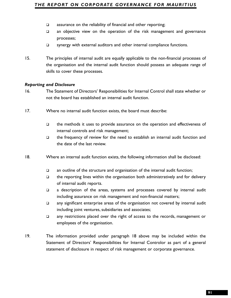- 
- an objective view on the operation of the risk management and governance processes;
- □ synergy with external auditors and other internal compliance functions.
- 15. The principles of internal audit are equally applicable to the non-financial processes of the organisation and the internal audit function should possess an adequate range of skills to cover these processes.

### *Reporting and Disclosure*

- 16. The Statement of Directors' Responsibilities for Internal Control shall state whether or not the board has established an internal audit function.
- 17. Where no internal audit function exists, the board must describe:
	- $\square$  the methods it uses to provide assurance on the operation and effectiveness of internal controls and risk management;
	- $\Box$  the frequency of review for the need to establish an internal audit function and the date of the last review.
- 18. Where an internal audit function exists, the following information shall be disclosed:
	- an outline of the structure and organisation of the internal audit function;
	- $\Box$  the reporting lines within the organisation both administratively and for delivery of internal audit reports.
	- a description of the areas, systems and processes covered by internal audit including assurance on risk management and non-financial matters;
	- any significant enterprise areas of the organisation not covered by internal audit including joint ventures, subsidiaries and associates;
	- any restrictions placed over the right of access to the records, management or employees of the organisation.
- **91** assurance on the reliability of financial and other reporting;<br> **91** assurance on the operation of the risk management and governance<br>
processes:<br> **91** an objective view on the operation and other internal compliance 19. The information provided under paragraph 18 above may be included within the Statement of Directors' Responsibilities for Internal Controlor as part of a general statement of disclosure in respect of risk management or corporate governance.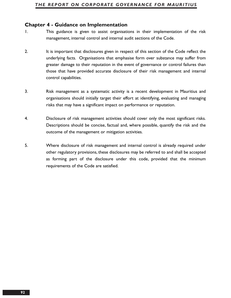## **Chapter 4 - Guidance on Implementation**

- 1. This guidance is given to assist organisations in their implementation of the risk management, internal control and internal audit sections of the Code.
- 2. It is important that disclosures given in respect of this section of the Code reflect the underlying facts. Organisations that emphasise form over substance may suffer from greater damage to their reputation in the event of governance or control failures than those that have provided accurate disclosure of their risk management and internal control capabilities.
- 3. Risk management as a systematic activity is a recent development in Mauritius and organisations should initially target their effort at identifying, evaluating and managing risks that may have a significant impact on performance or reputation.
- 4. Disclosure of risk management activities should cover only the most significant risks. Descriptions should be concise, factual and, where possible, quantify the risk and the outcome of the management or mitigation activities.
- 5. Where disclosure of risk management and internal control is already required under other regulatory provisions, these disclosures may be referred to and shall be accepted as forming part of the disclosure under this code, provided that the minimum requirements of the Code are satisfied.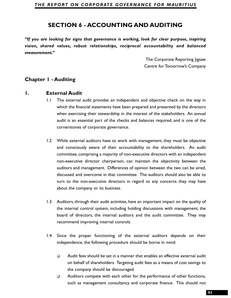*"If you are looking for signs that governance is working, look for clear purpose, inspiring vision, shared values, robust relationships, reciprocal accountability and balanced measurement."*

> The Corporate Reporting Jigsaw Centre for Tomorrow's Company

# **Chapter 1 - Auditing**

## **1. External Audit**

- 1.1 The external audit provides an independent and objective check on the way in which the financial statements have been prepared and presented by the directors when exercising their stewardship in the interest of the stakeholders. An annual audit is an essential part of the checks and balances required, and is one of the cornerstones of corporate governance.
- **SECTION 6 ACCOUNTING AND AUDITING**<br> **Section** for signs that governance is working, look for clear purpose, inspiring<br> **For the state of the state of the state of the state purpose, inspiring<br>
The Corporate Report at th** 1.2 While external auditors have to work with management, they must be objective and consciously aware of their accountability to the shareholders. An audit committee, comprising a majority of non-executive directors with an independent non-executive director chairperson, can maintain the objectivity between the auditors and management. Differences of opinion between the two can be aired, discussed and overcome in that committee. The auditors should also be able to turn to the non-executive directors in regard to any concerns they may have about the company or its business.
- 1.3 Auditors, through their audit activities, have an important impact on the quality of the internal control system, including holding discussions with management, the board of directors, the internal auditors and the audit committee. They may recommend improving internal controls.
- 1.4 Since the proper functioning of the external auditors depends on their independence, the following procedure should be borne in mind:
	- $\Box$  Audit fees should be set in a manner that enables an effective external audit on behalf of shareholders. Targeting audit fees as a means of cost savings to the company should be discouraged.
	- $\Box$  Auditors compete with each other for the performance of other functions, such as management consultancy and corporate finance. This should not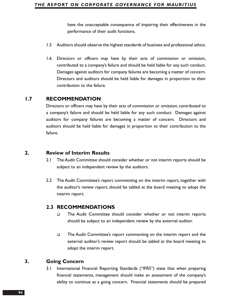have the unacceptable consequence of impairing their effectiveness in the performance of their audit functions.

- 1.5 Auditors should observe the highest standards of business and professional ethics.
- 1.6 Directors or officers may have by their acts of commission or omission, contributed to a company's failure and should be held liable for any such conduct. Damages against auditors for company failures are becoming a matter of concern. Directors and auditors should be held liable for damages in proportion to their contribution to the failure.

# **1.7 RECOMMENDATION**

Directors or officers may have by their acts of commission or omission, contributed to a company's failure and should be held liable for any such conduct. Damages against auditors for company failures are becoming a matter of concern. Directors and auditors should be held liable for damages in proportion to their contribution to the failure.

## **2. Review of Interim Results**

- 2.1 The Audit Committee should consider whether or not interim reports should be subject to an independent review by the auditors.
- 2.2 The Audit Committee's report commenting on the interim report, together with the auditor's review report, should be tabled at the board meeting to adopt the interim report.

## **2.3 RECOMMENDATIONS**

- The Audit Committee should consider whether or not interim reports should be subject to an independent review by the external auditor.
- The Audit Committee's report commenting on the interim report and the external auditor's review report should be tabled at the board meeting to adopt the interim report.

# **3. Going Concern**

3.1 International Financial Reporting Standards ("IFRS") state that when preparing financial statements, management should make an assessment of the company's ability to continue as a going concern. Financial statements should be prepared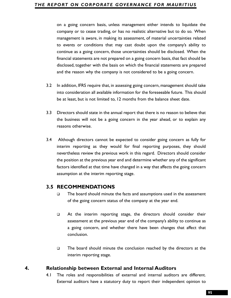on a going concern basis, unless management either intends to liquidate the<br>orompany or to cease trading, or has no realistic alternative but to do so. When<br>management is aware, in making is assessment, of material uncerta company or to cease trading, or has no realistic alternative but to do so. When management is aware, in making its assessment, of material uncertainties related to events or conditions that may cast doubt upon the company's ability to continue as a going concern, those uncertainties should be disclosed. When the financial statements are not prepared on a going concern basis, that fact should be disclosed, together with the basis on which the financial statements are prepared and the reason why the company is not considered to be a going concern.

- 3.2 In addition, IFRS require that, in assessing going concern, management should take into consideration all available information for the foreseeable future. This should be at least, but is not limited to, 12 months from the balance sheet date.
- 3.3 Directors should state in the annual report that there is no reason to believe that the business will not be a going concern in the year ahead, or to explain any reasons otherwise.
- 3.4 Although directors cannot be expected to consider going concern as fully for interim reporting as they would for final reporting purposes, they should nevertheless review the previous work in this regard. Directors should consider the position at the previous year end and determine whether any of the significant factors identified at that time have changed in a way that affects the going concern assumption at the interim reporting stage.

# **3.5 RECOMMENDATIONS**

- $\square$  The board should minute the facts and assumptions used in the assessment of the going concern status of the company at the year end.
- At the interim reporting stage, the directors should consider their assessment at the previous year end of the company's ability to continue as a going concern, and whether there have been changes that affect that conclusion.
- $\Box$  The board should minute the conclusion reached by the directors at the interim reporting stage.

## **4. Relationship between External and Internal Auditors**

4.1 The roles and responsibilities of external and internal auditors are different. External auditors have a statutory duty to report their independent opinion to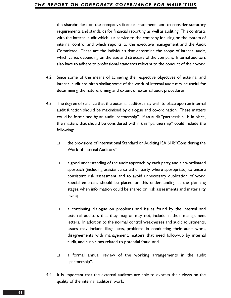the shareholders on the company's financial statements and to consider statutory requirements and standards for financial reporting,as well as auditing. This contrasts with the internal audit which is a service to the company focusing on the system of internal control and which reports to the executive management and the Audit Committee. These are the individuals that determine the scope of internal audit, which varies depending on the size and structure of the company. Internal auditors also have to adhere to professional standards relevant to the conduct of their work.

- 4.2 Since some of the means of achieving the respective objectives of external and internal audit are often similar, some of the work of internal audit may be useful for determining the nature, timing and extent of external audit procedures.
- 4.3 The degree of reliance that the external auditors may wish to place upon an internal audit function should be maximised by dialogue and co-ordination. These matters could be formalised by an audit "partnership". If an audit "partnership" is in place, the matters that should be considered within this "partnership" could include the following:
	- the provisions of International Standard on Auditing ISA 610:"Considering the Work of Internal Auditors";
	- a good understanding of the audit approach by each party, and a co-ordinated approach (including assistance to either party where appropriate) to ensure consistent risk assessment and to avoid unnecessary duplication of work. Special emphasis should be placed on this understanding at the planning stages, when information could be shared on risk assessments and materiality levels;
	- a continuing dialogue on problems and issues found by the internal and external auditors that they may, or may not, include in their management letters. In addition to the normal control weaknesses and audit adjustments, issues may include illegal acts, problems in conducting their audit work, disagreements with management, matters that need follow-up by internal audit, and suspicions related to potential fraud; and
	- a formal annual review of the working arrangements in the audit "partnership".
- 4.4 It is important that the external auditors are able to express their views on the quality of the internal auditors' work.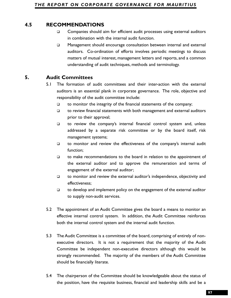- Companies should aim for efficient audit processes using external auditors in combination with the internal audit function.
- Management should encourage consultation between internal and external auditors. Co-ordination of efforts involves periodic meetings to discuss matters of mutual interest, management letters and reports, and a common understanding of audit techniques, methods and terminology.

# **5. Audit Committees**

- 5.1 The formation of audit committees and their inter-action with the external auditors is an essential plank in corporate governance. The role, objective and responsibility of the audit committee include:
	- $\Box$  to monitor the integrity of the financial statements of the company;
	- $\Box$  to review financial statements with both management and external auditors prior to their approval;
	- $\Box$  to review the company's internal financial control system and, unless addressed by a separate risk committee or by the board itself, risk management systems;
	- $\Box$  to monitor and review the effectiveness of the company's internal audit function;
	- $\Box$  to make recommendations to the board in relation to the appointment of the external auditor and to approve the remuneration and terms of engagement of the external auditor;
	- $\Box$  to monitor and review the external auditor's independence, objectivity and effectiveness;
	- $\Box$  to develop and implement policy on the engagement of the external auditor to supply non-audit services.
- 5.2 The appointment of an Audit Committee gives the board a means to monitor an effective internal control system. In addition, the Audit Committee reinforces both the internal control system and the internal audit function.
- 4.5 RECOMMENDATIONS<br> **974.6 COMMENT CONSECT COMMENT CONSECT COMMENT CONSECT COMMENT CONSECT CONSECT CONSECT CONSECT CONSECT CONSECT CONSECT CONSECT CONSECT CONSECT CONSECT CONSECT CONSECT CONSECT CONSECT CONSECT CONSECT CO** 5.3 The Audit Committee is a committee of the board, comprising of entirely of nonexecutive directors. It is not a requirement that the majority of the Audit Committee be independent non-executive directors although this would be strongly recommended. The majority of the members of the Audit Committee should be financially literate.
	- 5.4 The chairperson of the Committee should be knowledgeable about the status of the position, have the requisite business, financial and leadership skills and be a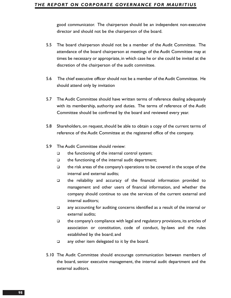good communicator. The chairperson should be an independent non-executive director and should not be the chairperson of the board.

- 5.5 The board chairperson should not be a member of the Audit Committee. The attendance of the board chairperson at meetings of the Audit Committee may at times be necessary or appropriate, in which case he or she could be invited at the discretion of the chairperson of the audit committee.
- 5.6 The chief executive officer should not be a member of the Audit Committee. He should attend only by invitation
- 5.7 The Audit Committee should have written terms of reference dealing adequately with its membership, authority and duties. The terms of reference of the Audit Committee should be confirmed by the board and reviewed every year.
- 5.8 Shareholders, on request, should be able to obtain a copy of the current terms of reference of the Audit Committee at the registered office of the company.
- 5.9 The Audit Committee should review:
	- $\Box$  the functioning of the internal control system;
	- $\Box$  the functioning of the internal audit department;
	- $\Box$  the risk areas of the company's operations to be covered in the scope of the internal and external audits;
	- the reliability and accuracy of the financial information provided to management and other users of financial information, and whether the company should continue to use the services of the current external and internal auditors;
	- any accounting for auditing concerns identified as a result of the internal or external audits;
	- $\Box$  the company's compliance with legal and regulatory provisions, its articles of association or constitution, code of conduct, by-laws and the rules established by the board; and
	- $\Box$  any other item delegated to it by the board.
- 5.10 The Audit Committee should encourage communication between members of the board, senior executive management, the internal audit department and the external auditors.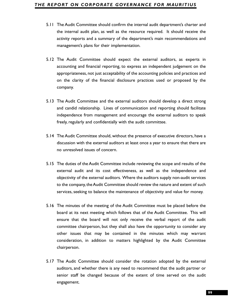- the internal audit plan, as well as the resource required. It should receive the activity reports and a summary of the department's main recommendations and management's plans for their implementation.
- 5.12 The Audit Committee should expect the external auditors, as experts in accounting and financial reporting, to express an independent judgement on the appropriateness, not just acceptability of the accounting policies and practices and on the clarity of the financial disclosure practices used or proposed by the company.
- 5.13 The Audit Committee and the external auditors should develop a direct strong and candid relationship. Lines of communication and reporting should facilitate independence from management and encourage the external auditors to speak freely, regularly and confidentially with the audit committee.
- 5.14 The Audit Committee should, without the presence of executive directors, have a discussion with the external auditors at least once a year to ensure that there are no unresolved issues of concern.
- 5.15 The duties of the Audit Committee include reviewing the scope and results of the external audit and its cost effectiveness, as well as the independence and objectivity of the external auditors. Where the auditors supply non-audit services to the company, the Audit Committee should review the nature and extent of such services, seeking to balance the maintenance of objectivity and value for money.
- **5.11 The Audic Committee should online three internal audit department's charter and the streets and the streets and the streets and the streets and the streets and analysing reports and a summary of the department's main** 5.16 The minutes of the meeting of the Audit Committee must be placed before the board at its next meeting which follows that of the Audit Committee. This will ensure that the board will not only receive the verbal report of the audit committee chairperson, but they shall also have the opportunity to consider any other issues that may be contained in the minutes which may warrant consideration, in addition to matters highlighted by the Audit Committee chairperson.
- 5.17 The Audit Committee should consider the rotation adopted by the external auditors, and whether there is any need to recommend that the audit partner or senior staff be changed because of the extent of time served on the audit engagement.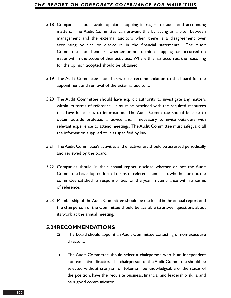- 5.18 Companies should avoid opinion shopping in regard to audit and accounting matters. The Audit Committee can prevent this by acting as arbiter between management and the external auditors when there is a disagreement over accounting policies or disclosure in the financial statements. The Audit Committee should enquire whether or not opinion shopping has occurred on issues within the scope of their activities. Where this has occurred, the reasoning for the opinion adopted should be obtained.
- 5.19 The Audit Committee should draw up a recommendation to the board for the appointment and removal of the external auditors.
- 5.20 The Audit Committee should have explicit authority to investigate any matters within its terms of reference. It must be provided with the required resources that have full access to information. The Audit Committee should be able to obtain outside professional advice and, if necessary, to invite outsiders with relevant experience to attend meetings. The Audit Committee must safeguard all the information supplied to it as specified by law.
- 5.21 The Audit Committee's activities and effectiveness should be assessed periodically and reviewed by the board.
- 5.22 Companies should, in their annual report, disclose whether or not the Audit Committee has adopted formal terms of reference and, if so, whether or not the committee satisfied its responsibilities for the year, in compliance with its terms of reference.
- 5.23 Membership of the Audit Committee should be disclosed in the annual report and the chairperson of the Committee should be available to answer questions about its work at the annual meeting.

## **5.24RECOMMENDATIONS**

- The board should appoint an Audit Committee consisting of non-executive directors.
- The Audit Committee should select a chairperson who is an independent non-executive director. The chairperson of the Audit Committee should be selected without cronyism or tokenism, be knowledgeable of the status of the position, have the requisite business, financial and leadership skills, and be a good communicator.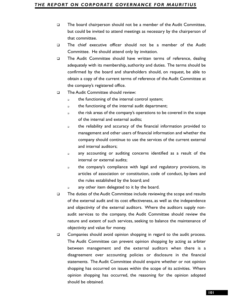- The board chairperson should not be a member of the Audit Committee, but could be invited to attend meetings as necessary by the chairperson of that committee.
- The chief executive officer should not be a member of the Audit Committee. He should attend only by invitation.
- The Audit Committee should have written terms of reference, dealing adequately with its membership, authority and duties. The terms should be confirmed by the board and shareholders should, on request, be able to obtain a copy of the current terms of reference of the Audit Committee at the company's registered office.
- □ The Audit Committee should review:
	- **the functioning of the internal control system;**
	- o the functioning of the internal audit department;
	- the risk areas of the company's operations to be covered in the scope of the internal and external audits;
	- the reliability and accuracy of the financial information provided to management and other users of financial information and whether the company should continue to use the services of the current external and internal auditors;
	- any accounting or auditing concerns identified as a result of the internal or external audits;
	- the company's compliance with legal and regulatory provisions, its articles of association or constitution, code of conduct, by-laws and the rules established by the board; and
	- a any other item delegated to it by the board.
- The duties of the Audit Committee include reviewing the scope and results of the external audit and its cost effectiveness, as well as the independence and objectivity of the external auditors. Where the auditors supply nonaudit services to the company, the Audit Committee should review the nature and extent of such services, seeking to balance the maintenance of objectivity and value for money.
- □ Companies should avoid opinion shopping in regard to the audit process. The Audit Committee can prevent opinion shopping by acting as arbiter between management and the external auditors when there is a disagreement over accounting policies or disclosure in the financial statements. The Audit Committee should enquire whether or not opinion shopping has occurred on issues within the scope of its activities. Where opinion shopping has occurred, the reasoning for the opinion adopted should be obtained.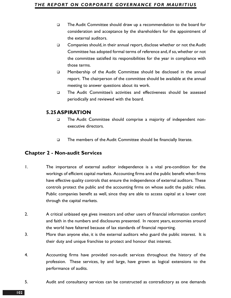- The Audit Committee should draw up a recommendation to the board for consideration and acceptance by the shareholders for the appointment of the external auditors.
- Companies should, in their annual report, disclose whether or not the Audit Committee has adopted formal terms of reference and, if so, whether or not the committee satisfied its responsibilities for the year in compliance with those terms.
- Membership of the Audit Committee should be disclosed in the annual report. The chairperson of the committee should be available at the annual meeting to answer questions about its work.
- The Audit Committee's activities and effectiveness should be assessed periodically and reviewed with the board.

# **5.25ASPIRATION**

- The Audit Committee should comprise a majority of independent nonexecutive directors.
- The members of the Audit Committee should be financially literate.

# **Chapter 2 - Non-audit Services**

- 1. The importance of external auditor independence is a vital pre-condition for the workings of efficient capital markets. Accounting firms and the public benefit when firms have effective quality controls that ensure the independence of external auditors. These controls protect the public and the accounting firms on whose audit the public relies. Public companies benefit as well, since they are able to access capital at a lower cost through the capital markets.
- 2. A critical unbiased eye gives investors and other users of financial information comfort and faith in the numbers and disclosures presented. In recent years, economies around the world have faltered because of lax standards of financial reporting.
- 3. More than anyone else, it is the external auditors who guard the public interest. It is their duty and unique franchise to protect and honour that interest.
- 4. Accounting firms have provided non-audit services throughout the history of the profession. These services, by and large, have grown as logical extensions to the performance of audits.
- 5. Audit and consultancy services can be constructed as contradictory as one demands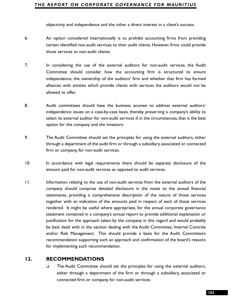- 6. An option considered internationally is to prohibit accounting firms from providing certain identified non-audit services to their audit clients. However, firms could provide those services to non-audit clients.
- 7. In considering the use of the external auditors for non-audit services, the Audit Committee should consider how the accounting firm is structured to ensure independence, the ownership of the auditors' firm and whether that firm has formed alliances with entities which provide clients with services the auditors would not be allowed to offer.
- 8. Audit committees should have the business acumen to address external auditors' independence issues on a case-by-case basis, thereby preserving a company's ability to select its external auditor for non-audit services if, in the circumstances, that is the best option for the company and the investors.
- 9. The Audit Committee should set the principles for using the external auditors, either through a department of the audit firm or through a subsidiary, associated or connected firm or company, for non-audit services.
- 10. In accordance with legal requirements there should be separate disclosure of the amount paid for non-audit services as opposed to audit services.
- **Coloctivity and independence and the other a direct interest in a client's success.**<br>An option considered internationally is to prohibit accounting firms from providing<br>exeral identified non-audit services to their audit 11. Information relating to the use of non-audit services from the external auditors of the company should comprise detailed disclosure in the notes to the annual financial statements, providing a comprehensive description of the nature of those services together with an indication of the amounts paid in respect of each of those services rendered. It might be useful where appropriate, for the annual corporate governance statement contained in a company's annual report to provide additional explanation or justification for the approach taken by the company in this regard and would probably be best dealt with in the section dealing with the Audit Committee, Internal Controls and/or Risk Management. This should provide a basis for the Audit Committee's recommendation supporting such an approach and confirmation of the board's reasons for implementing such recommendation.

# **12. RECOMMENDATIONS**

 The Audit Committee should set the principles for using the external auditors, either through a department of the firm or through a subsidiary, associated or connected firm or company, for non-audit services.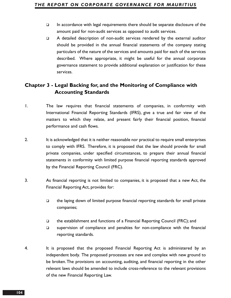- $\Box$  In accordance with legal requirements there should be separate disclosure of the amount paid for non-audit services as opposed to audit services.
- A detailed description of non-audit services rendered by the external auditor should be provided in the annual financial statements of the company stating particulars of the nature of the services and amounts paid for each of the services described. Where appropriate, it might be useful for the annual corporate governance statement to provide additional explanation or justification for these services.

# **Chapter 3 - Legal Backing for, and the Monitoring of Compliance with Accounting Standards**

- 1. The law requires that financial statements of companies, in conformity with International Financial Reporting Standards (IFRS), give a true and fair view of the matters to which they relate, and present fairly their financial position, financial performance and cash flows.
- 2. It is acknowledged that it is neither reasonable nor practical to require small enterprises to comply with IFRS. Therefore, it is proposed that the law should provide for small private companies, under specified circumstances, to prepare their annual financial statements in conformity with limited purpose financial reporting standards approved by the Financial Reporting Council (FRC).
- 3. As financial reporting is not limited to companies, it is proposed that a new Act, the Financial Reporting Act, provides for:
	- $\Box$  the laying down of limited purpose financial reporting standards for small private companies;
	- the establishment and functions of a Financial Reporting Council (FRC); and
	- $\square$  supervision of compliance and penalties for non-compliance with the financial reporting standards.
- 4. It is proposed that the proposed Financial Reporting Act is administered by an independent body. The proposed processes are new and complex with new ground to be broken.The provisions on accounting, auditing, and financial reporting in the other relevant laws should be amended to include cross-reference to the relevant provisions of the new Financial Reporting Law.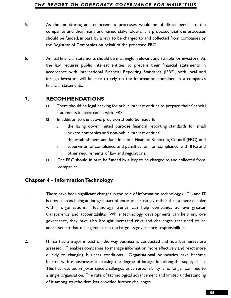- companies and their many and varied stakeholders, it is proposed that the processes should be funded, in part, by a levy to be charged to and collected from companies by the Registrar of Companies on behalf of the proposed FRC.
- 6. Annual financial statements should be meaningful, relevant and reliable for investors. As the law requires public interest entities to prepare their financial statements in accordance with International Financial Reporting Standards (IFRS), both local and foreign investors will be able to rely on the information contained in a company's financial statements.

# **7. RECOMMENDATIONS**

- $\square$  There should be legal backing for public interest entities to prepare their financial statements in accordance with IFRS.
- $\Box$  In addition to the above, provision should be made for:
	- the laying down limited purpose financial reporting standards for small private companies and non-public interest entities;
	- the establishment and functions of a Financial Reporting Council (FRC); and
	- supervision of compliance, and penalties for non-compliance, with IFRS and other requirements of law and regulations.
- $\Box$  The FRC should, in part, be funded by a levy to be charged to and collected from companies.

# **Chapter 4 - Information Technology**

- 1. There have been significant changes in the role of information technology ("IT") and IT is now seen as being an integral part of enterprise strategy rather than a mere enabler within organisations. Technology trends can help companies achieve greater transparency and accountability. While technology developments can help improve governance, they have also brought increased risks and challenges that need to be addressed so that management can discharge its governance responsibilities.
- **5.** As the monitoring and enforcement processes would be of direct benefit to the monitoring and enforcement constrained be function in part, by a lot of the monitoring the monitoring in the monitoring in the monitoring 2. IT has had a major impact on the way business is conducted and how businesses are assessed. IT enables companies to manage information more effectively and react more quickly to changing business conditions. Organisational boundaries have become blurred with e-businesses increasing the degree of integration along the supply chain. This has resulted in governance challenges since responsibility is no longer confined to a single organisation. The rate of technological advancement and limited understanding of it among stakeholders has provided further challenges.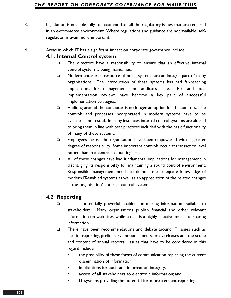- 3. Legislation is not able fully to accommodate all the regulatory issues that are required in an e-commerce environment. Where regulations and guidance are not available, selfregulation is even more important.
- 4. Areas in which IT has a significant impact on corporate governance include:

## **4.1. Internal Control system**

- $\square$  The directors have a responsibility to ensure that an effective internal control system is being maintained.
- Modern enterprise resource planning systems are an integral part of many organisations. The introduction of these systems has had far-reaching implications for management and auditors alike. Pre and post implementation reviews have become a key part of successful implementation strategies.
- $\Box$  Auditing around the computer is no longer an option for the auditors. The controls and processes incorporated in modern systems have to be evaluated and tested. In many instances internal control systems are altered to bring them in line with best practices included with the basic functionality of many of these systems.
- $\Box$  Employees across the organisation have been empowered with a greater degree of responsibility. Some important controls occur at transaction level rather than in a central accounting area.
- All of these changes have had fundamental implications for management in discharging its responsibility for maintaining a sound control environment. Responsible management needs to demonstrate adequate knowledge of modern IT-enabled systems as well as an appreciation of the related changes in the organisation's internal control system.

# **4.2 Reporting**

- $\Box$  IT is a potentially powerful enabler for making information available to stakeholders. Many organisations publish financial and other relevant information on web sites, while e-mail is a highly effective means of sharing information.
- There have been recommendations and debate around IT issues such as interim reporting, preliminary announcements, press releases and the scope and content of annual reports. Issues that have to be considered in this regard include:
	- the possibility of these forms of communication replacing the current dissemination of information;
	- implications for audit and information integrity;
	- access of all stakeholders to electronic information; and
	- IT systems providing the potential for more frequent reporting.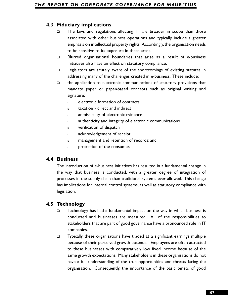- The laws and regulations affecting IT are broader in scope than those associated with other business operations and typically include a greater emphasis on intellectual property rights. Accordingly, the organisation needs to be sensitive to its exposure in these areas.
- Blurred organisational boundaries that arise as a result of e-business initiatives also have an effect on statutory compliance.
- Legislators are acutely aware of the shortcomings of existing statutes in addressing many of the challenges created in e-business. These include:
- $\Box$  the application to electronic communications of statutory provisions that mandate paper or paper-based concepts such as original writing and signature;
	- **a** electronic formation of contracts
	- taxation direct and indirect
	- admissibility of electronic evidence
	- a authenticity and integrity of electronic communications
	- **p** verification of dispatch
	- acknowledgement of receipt
	- **n** management and retention of records; and
	- **protection of the consumer.**

## **4.4 Business**

The introduction of e-business initiatives has resulted in a fundamental change in the way that business is conducted, with a greater degree of integration of processes in the supply chain than traditional systems ever allowed. This change has implications for internal control systems, as well as statutory compliance with legislation.

## **4.5 Technology**

- $\Box$  Technology has had a fundamental impact on the way in which business is conducted and businesses are measured. All of the responsibilities to stakeholders that are part of good governance have a pronounced role in IT companies.
- 4.3 **Fiduciary implications**<br> **1078 The laws and regulations affecting TT** are broader in scope than choose<br>
associated with other business operations and opplically include a greater<br>
emphasion intellectual property rig Typically these organisations have traded at a significant earnings multiple because of their perceived growth potential. Employees are often attracted to these businesses with comparatively low fixed income because of the same growth expectations. Many stakeholders in these organisations do not have a full understanding of the true opportunities and threats facing the organisation. Consequently, the importance of the basic tenets of good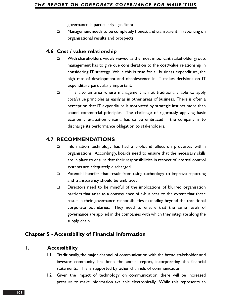governance is particularly significant.

 $\Box$  Management needs to be completely honest and transparent in reporting on organisational results and prospects.

## **4.6 Cost / value relationship**

- $\square$  With shareholders widely viewed as the most important stakeholder group, management has to give due consideration to the cost/value relationship in considering IT strategy. While this is true for all business expenditure, the high rate of development and obsolescence in IT makes decisions on IT expenditure particularly important.
- $\Box$  IT is also an area where management is not traditionally able to apply cost/value principles as easily as in other areas of business. There is often a perception that IT expenditure is motivated by strategic instinct more than sound commercial principles. The challenge of rigorously applying basic economic evaluation criteria has to be embraced if the company is to discharge its performance obligation to stakeholders.

## **4.7 RECOMMENDATIONS**

- Information technology has had a profound effect on processes within organisations. Accordingly, boards need to ensure that the necessary skills are in place to ensure that their responsibilities in respect of internal control systems are adequately discharged.
- $\Box$  Potential benefits that result from using technology to improve reporting and transparency should be embraced.
- Directors need to be mindful of the implications of blurred organisation barriers that arise as a consequence of e-business, to the extent that these result in their governance responsibilities extending beyond the traditional corporate boundaries. They need to ensure that the same levels of governance are applied in the companies with which they integrate along the supply chain.

## **Chapter 5 - Accessibility of Financial Information**

## **1. Accessibility**

- 1.1 Traditionally, the major channel of communication with the broad stakeholder and investor community has been the annual report, incorporating the financial statements. This is supported by other channels of communication.
- 1.2 Given the impact of technology on communication, there will be increased pressure to make information available electronically. While this represents an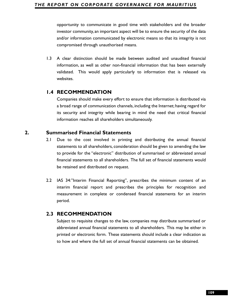investor community, an important aspect will be to ensure the security of the data and/or information communicated by electronic means so that its integrity is not compromised through unauthorised means.

1.3 A clear distinction should be made between audited and unaudited financial information, as well as other non-financial information that has been externally validated. This would apply particularly to information that is released via websites.

## **1.4 RECOMMENDATION**

Companies should make every effort to ensure that information is distributed via a broad range of communication channels, including the Internet; having regard for its security and integrity while bearing in mind the need that critical financial information reaches all shareholders simultaneously.

## **2. Summarised Financial Statements**

- **109** communicate in good time with stakeholders and the broader properting to communicate in good time with the broader information communicated by electronic means so that its integrity is not compromised through unautho 2.1 Due to the cost involved in printing and distributing the annual financial statements to all shareholders, consideration should be given to amending the law to provide for the "electronic" distribution of summarised or abbreviated annual financial statements to all shareholders. The full set of financial statements would be retained and distributed on request.
- 2.2 IAS 34:"Interim Financial Reporting", prescribes the minimum content of an interim financial report and prescribes the principles for recognition and measurement in complete or condensed financial statements for an interim period.

## **2.3 RECOMMENDATION**

Subject to requisite changes to the law, companies may distribute summarised or abbreviated annual financial statements to all shareholders. This may be either in printed or electronic form. These statements should include a clear indication as to how and where the full set of annual financial statements can be obtained.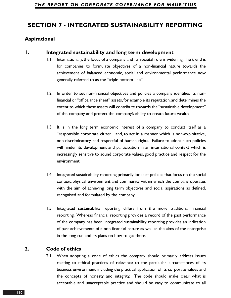# **SECTION 7 - INTEGRATED SUSTAINABILITY REPORTING**

## **Aspirational**

## **1. Integrated sustainability and long term development**

- 1.1 Internationally, the focus of a company and its societal role is widening.The trend is for companies to formulate objectives of a non-financial nature towards the achievement of balanced economic, social and environmental performance now generally referred to as the "triple-bottom-line".
- 1.2 In order to set non-financial objectives and policies a company identifies its nonfinancial or "off balance sheet" assets,for example its reputation,and determines the extent to which these assets will contribute towards the "sustainable development" of the company, and protect the company's ability to create future wealth.
- 1.3 It is in the long term economic interest of a company to conduct itself as a "responsible corporate citizen", and, to act in a manner which is non-exploitative, non-discriminatory and respectful of human rights. Failure to adopt such policies will hinder its development and participation in an international context which is increasingly sensitive to sound corporate values, good practice and respect for the environment.
- 1.4 Integrated sustainability reporting primarily looks at policies that focus on the social context, physical environment and community within which the company operates with the aim of achieving long term objectives and social aspirations as defined, recognised and formulated by the company.
- 1.5 Integrated sustainability reporting differs from the more traditional financial reporting. Whereas financial reporting provides a record of the past performance of the company has been, integrated sustainability reporting provides an indication of past achievements of a non-financial nature as well as the aims of the enterprise in the long run and its plans on how to get there.

# **2. Code of ethics**

2.1 When adopting a code of ethics the company should primarily address issues relating to ethical practices of relevance to the particular circumstances of its business environment, including the practical application of its corporate values and the concepts of honesty and integrity. The code should make clear what is acceptable and unacceptable practice and should be easy to communicate to all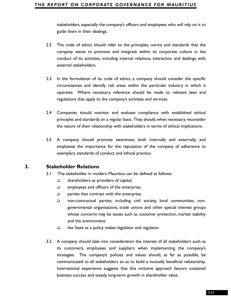guide them in their dealings.

- 2.2 The code of ethics should refer to the principles, norms and standards that the company wants to promote and integrate within its corporate culture in the conduct of its activities, including internal relations, interaction and dealings with external stakeholders.
- 2.3 In the formulation of its code of ethics, a company should consider the specific circumstances and identify risk areas within the particular industry in which it operates. Where necessary, reference should be made to relevant laws and regulations that apply to the company's activities and services.
- 2.4 Companies should monitor and evaluate compliance with established ethical principles and standards on a regular basis. They should, when necessary, reconsider the nature of their relationship with stakeholders in terms of ethical implications.
- 2.5 A company should promote awareness, both internally and externally, and emphasise the importance for the reputation of the company of adherence to exemplary standards of conduct and ethical practice.

## **3. Stakeholder Relations**

- 3.1 The stakeholder in modern Mauritius can be defined as follows:
	- $\Box$  shareholders as providers of capital;
	- $\Box$  employees and officers of the enterprise;
	- $\Box$  parties that contract with the enterprise;
	- non-contractual parties, including civil society, local communities, nongovernmental organisations, trade unions and other special interest groups whose concerns may be issues such as customer protection, market stability and the environment;
	- $\Box$  the State as a policy maker, legislator and regulator.
- **113**stakeholders, especially the company's officers and employees who will rely on it to<br>
115 relief them in their dealings.<br>
117 company wants to promote and integrate within its corporate culture in the<br>
110 company wan 3.2 A company should take into consideration the interest of all stakeholders such as its customers, employees and suppliers when implementing the company's strategies. The company's policies and values should, as far as possible, be communicated to all stakeholders so as to build a mutually beneficial relationship. International experience suggests that this inclusive approach favours sustained business success and steady, long-term growth in shareholder value.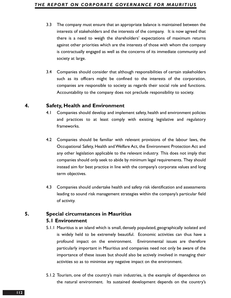- 3.3 The company must ensure that an appropriate balance is maintained between the interests of stakeholders and the interests of the company. It is now agreed that there is a need to weigh the shareholders' expectations of maximum returns against other priorities which are the interests of those with whom the company is contractually engaged as well as the concerns of its immediate community and society at large.
- 3.4 Companies should consider that although responsibilities of certain stakeholders such as its officers might be confined to the interests of the corporation, companies are responsible to society as regards their social role and functions. Accountability to the company does not preclude responsibility to society.

## **4. Safety, Health and Environment**

- 4.1 Companies should develop and implement safety, health and environment policies and practices to at least comply with existing legislative and regulatory frameworks.
- 4.2 Companies should be familiar with relevant provisions of the labour laws, the Occupational Safety, Health and Welfare Act, the Environment Protection Act and any other legislation applicable to the relevant industry. This does not imply that companies should only seek to abide by minimum legal requirements. They should instead aim for best practice in line with the company's corporate values and long term objectives.
- 4.3 Companies should undertake health and safety risk identification and assessments leading to sound risk management strategies within the company's particular field of activity.

## **5. Special circumstances in Mauritius 5.1 Environment**

- 5.1.1 Mauritius is an island which is small, densely populated, geographically isolated and is widely held to be extremely beautiful. Economic activities can thus have a profound impact on the environment. Environmental issues are therefore particularly important in Mauritius and companies need not only be aware of the importance of these issues but should also be actively involved in managing their activities so as to minimise any negative impact on the environment.
- 5.1.2 Tourism, one of the country's main industries, is the example of dependence on the natural environment. Its sustained development depends on the country's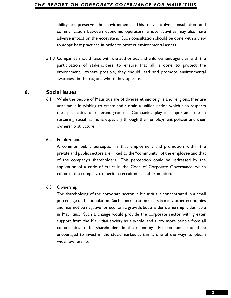#### *THE REPORT ON CORPORATE GOVERNANCE FOR MAURITIUS*

communication between economic operators, whose activities may also have adverse impact on the ecosystem. Such consultation should be done with a view to adopt best practices in order to protect environmental assets.

5.1.3 Companies should liaise with the authorities and enforcement agencies, with the participation of stakeholders, to ensure that all is done to protect the environment. Where possible, they should lead and promote environmental awareness in the regions where they operate.

## **6. Social issues**

6.1 While the people of Mauritius are of diverse ethnic origins and religions, they are unanimous in wishing to create and sustain a unified nation which also respects the specificities of different groups. Companies play an important role in sustaining social harmony, especially through their employment policies and their ownership structure.

#### 6.2 Employment

A common public perception is that employment and promotion within the private and public sectors are linked to the "community" of the employee and that of the company's shareholders. This perception could be redressed by the application of a code of ethics in the Code of Corporate Governance, which commits the company to merit in recruitment and promotion.

#### 6.3 Ownership

**12**Bility to preserve the environment. This may involve consultation and<br>communication between economic operators, whose activities may also have<br>adverse impact on the ecosystem. Such consultation should be done with a vi The shareholding of the corporate sector in Mauritius is concentrated in a small percentage of the population. Such concentration exists in many other economies and may not be negative for economic growth, but a wider ownership is desirable in Mauritius. Such a change would provide the corporate sector with greater support from the Mauritian society as a whole, and allow more people from all communities to be shareholders in the economy. Pension funds should be encouraged to invest in the stock market as this is one of the ways to obtain wider ownership.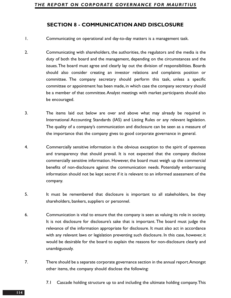## **SECTION 8 - COMMUNICATION AND DISCLOSURE**

1. Communicating on operational and day-to-day matters is a management task.

- 2. Communicating with shareholders, the authorities, the regulators and the media is the duty of both the board and the management, depending on the circumstances and the issues.The board must agree and clearly lay out the division of responsibilities. Boards should also consider creating an investor relations and complaints position or committee. The company secretary should perform this task, unless a specific committee or appointment has been made, in which case the company secretary should be a member of that committee.Analyst meetings with market participants should also be encouraged.
- 3. The items laid out below are over and above what may already be required in International Accounting Standards (IAS) and Listing Rules or any relevant legislation. The quality of a company's communication and disclosure can be seen as a measure of the importance that the company gives to good corporate governance in general.
- 4. Commercially sensitive information is the obvious exception to the spirit of openness and transparency that should prevail. It is not expected that the company disclose commercially sensitive information. However, the board must weigh up the commercial benefits of non-disclosure against the communication needs. Potentially embarrassing information should not be kept secret if it is relevant to an informed assessment of the company.
- 5. It must be remembered that disclosure is important to all stakeholders, be they shareholders, bankers, suppliers or personnel.
- 6. Communication is vital to ensure that the company is seen as valuing its role in society. It is not disclosure for disclosure's sake that is important. The board must judge the relevance of the information appropriate for disclosure. It must also act in accordance with any relevant laws or legislation preventing such disclosure. In this case, however, it would be desirable for the board to explain the reasons for non-disclosure clearly and unambiguously.
- 7. There should be a separate corporate governance section in the annual report.Amongst other items, the company should disclose the following:
	- 7.1 Cascade holding structure up to and including the ultimate holding company.This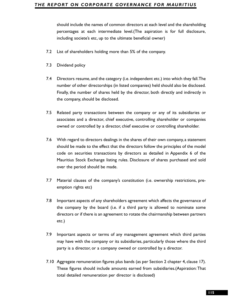percentages at each intermediate level.(The aspiration is for full disclosure, including societe's etc, up to the ultimate beneficial owner)

- 7.2 List of shareholders holding more than 5% of the company.
- 7.3 Dividend policy
- 7.4 Directors resume, and the category (i.e. independent etc.) into which they fall.The number of other directorships (in listed companies) held should also be disclosed. Finally, the number of shares held by the director, both directly and indirectly in the company, should be disclosed.
- 7.5 Related party transactions between the company or any of its subsidiaries or associates and a director, chief executive, controlling shareholder or companies owned or controlled by a director, chief executive or controlling shareholder.
- 31500ld include the names of common directors at each loved and the shareholding<br>the order and the names of common directors at a hord loved and the shareholding<br>neluding societe's etc., up to the ultimate Beneficial owne 7.6 With regard to directors dealings in the shares of their own company, a statement should be made to the effect that the directors follow the principles of the model code on securities transactions by directors as detailed in Appendix 6 of the Mauritius Stock Exchange listing rules. Disclosure of shares purchased and sold over the period should be made.
- 7.7 Material clauses of the company's constitution (i.e. ownership restrictions, preemption rights etc)
- 7.8 Important aspects of any shareholders agreement which affects the governance of the company by the board (i.e. if a third party is allowed to nominate some directors or if there is an agreement to rotate the chairmanship between partners etc.)
- 7.9 Important aspects or terms of any management agreement which third parties may have with the company or its subsidiaries, particularly those where the third party is a director, or a company owned or controlled by a director.
- 7.10 Aggregate remuneration figures plus bands (as per Section 2 chapter 4, clause 17). These figures should include amounts earned from subsidiaries.(Aspiration:That total detailed remuneration per director is disclosed)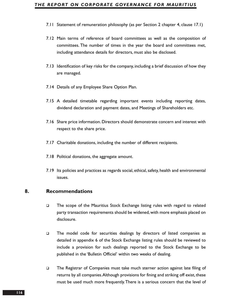#### *THE REPORT ON CORPORATE GOVERNANCE FOR MAURITIUS*

- 7.11 Statement of remuneration philosophy (as per Section 2 chapter 4, clause 17.1)
- 7.12 Main terms of reference of board committees as well as the composition of committees. The number of times in the year the board and committees met, including attendance details for directors, must also be disclosed.
- 7.13 Identification of key risks for the company, including a brief discussion of how they are managed.
- 7.14 Details of any Employee Share Option Plan.
- 7.15 A detailed timetable regarding important events including reporting dates, dividend declaration and payment dates, and Meetings of Shareholders etc.
- 7.16 Share price information. Directors should demonstrate concern and interest with respect to the share price.
- 7.17 Charitable donations, including the number of different recipients.
- 7.18 Political donations, the aggregate amount.
- 7.19 Its policies and practices as regards social, ethical, safety, health and environmental issues.

## **8. Recommendations**

- The scope of the Mauritius Stock Exchange listing rules with regard to related party transaction requirements should be widened, with more emphasis placed on disclosure.
- The model code for securities dealings by directors of listed companies as detailed in appendix 6 of the Stock Exchange listing rules should be reviewed to include a provision for such dealings reported to the Stock Exchange to be published in the 'Bulletin Officiel' within two weeks of dealing.
- The Registrar of Companies must take much sterner action against late filing of returns by all companies.Although provisions for fining and striking off exist, these must be used much more frequently.There is a serious concern that the level of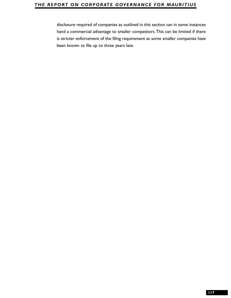## *THE REPORT ON CORPORATE GOVERNANCE FOR MAURITIUS*

disclosure required of companies as outlined in this section can in some instances<br>that a commercial advantage to smaller compettors. This can be limited if there<br>is stricter enforcement of the filing requirement as some s hand a commercial advantage to smaller competitors.This can be limited if there is stricter enforcement of the filing requirement as some smaller companies have been known to file up to three years late.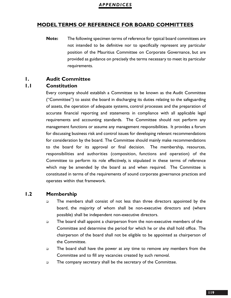## **MODEL TERMS OF REFERENCE FOR BOARD COMMITTEES**

**Note:** The following specimen terms of reference for typical board committees are not intended to be definitive nor to specifically represent any particular position of the Mauritius Committee on Corporate Governance, but are provided as guidance on precisely the terms necessary to meet its particular requirements.

## **1. Audit Committee**

## **1.1 Constitution**

Every company should establish a Committee to be known as the Audit Committee ("Committee") to assist the board in discharging its duties relating to the safeguarding of assets, the operation of adequate systems, control processes and the preparation of accurate financial reporting and statements in compliance with all applicable legal requirements and accounting standards. The Committee should not perform any management functions or assume any management responsibilities. It provides a forum for discussing business risk and control issues for developing relevant recommendations for consideration by the board. The Committee should mainly make recommendations to the board for its approval or final decision. The membership, resources, responsibilities and authorities (composition, functions and operation) of the Committee to perform its role effectively, is stipulated in these terms of reference which may be amended by the board as and when required. The Committee is constituted in terms of the requirements of sound corporate governance practices and operates within that framework.

## **1.2 Membership**

- $\Box$  The members shall consist of not less than three directors appointed by the board, the majority of whom shall be non-executive directors and (where possible) shall be independent non-executive directors.
- The board shall appoint a chairperson from the non-executive members of the Committee and determine the period for which he or she shall hold office. The chairperson of the board shall not be eligible to be appointed as chairperson of the Committee.
- $\Box$  The board shall have the power at any time to remove any members from the Committee and to fill any vacancies created by such removal.
- $\Box$  The company secretary shall be the secretary of the Committee.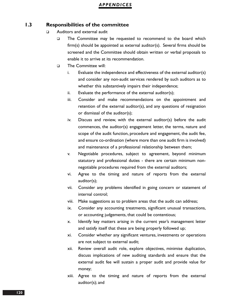## **1.3 Responsibilities of the committee**

- □ Auditors and external audit
	- The Committee may be requested to recommend to the board which firm(s) should be appointed as external auditor(s). Several firms should be screened and the Committee should obtain written or verbal proposals to enable it to arrive at its recommendation.
	- The Committee will:
		- i. Evaluate the independence and effectiveness of the external auditor(s) and consider any non-audit services rendered by such auditors as to whether this substantively impairs their independence;
		- ii. Evaluate the performance of the external auditor(s);
		- iii. Consider and make recommendations on the appointment and retention of the external auditor(s), and any questions of resignation or dismissal of the auditor(s);
		- iv. Discuss and review, with the external auditor(s) before the audit commences, the auditor(s) engagement letter, the terms, nature and scope of the audit function, procedure and engagement, the audit fee, and ensure co-ordination (where more than one audit firm is involved) and maintenance of a professional relationship between them;
		- v. Negotiable procedures, subject to agreement, beyond minimum statutory and professional duties - there are certain minimum nonnegotiable procedures required from the external auditors;
		- vi. Agree to the timing and nature of reports from the external auditor(s);
		- vii. Consider any problems identified in going concern or statement of internal control;
		- viii. Make suggestions as to problem areas that the audit can address;
		- ix. Consider any accounting treatments, significant unusual transactions, or accounting judgements, that could be contentious;
		- x. Identify key matters arising in the current year's management letter and satisfy itself that these are being properly followed up;
		- xi. Consider whether any significant ventures, investments or operations are not subject to external audit;
		- xii. Review overall audit role, explore objectives, minimise duplication, discuss implications of new auditing standards and ensure that the external audit fee will sustain a proper audit and provide value for money;
		- xiii. Agree to the timing and nature of reports from the external auditor(s); and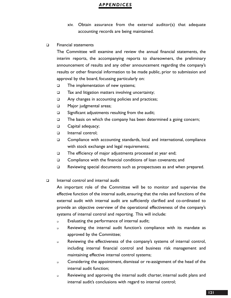- xiv. Obtain assurance from the external auditor(s) that adequate accounting records are being maintained.
- D Financial statements

The Committee will examine and review the annual financial statements, the interim reports, the accompanying reports to shareowners, the preliminary announcement of results and any other announcement regarding the company's results or other financial information to be made public, prior to submission and approval by the board, focussing particularly on:

- $\Box$  The implementation of new systems;
- $\square$  Tax and litigation matters involving uncertainty;
- Any changes in accounting policies and practices;
- **D** Major judgmental areas;
- $\square$  Significant adjustments resulting from the audit;
- $\Box$  The basis on which the company has been determined a going concern;
- **Q** Capital adequacy;
- Internal control:
- Compliance with accounting standards, local and international, compliance with stock exchange and legal requirements;
- □ The efficiency of major adjustments processed at year end;
- □ Compliance with the financial conditions of loan covenants; and
- Reviewing special documents such as prospectuses as and when prepared.
- $\Box$  Internal control and internal audit

An important role of the Committee will be to monitor and supervise the effective function of the internal audit, ensuring that the roles and functions of the external audit with internal audit are sufficiently clarified and co-ordinated to provide an objective overview of the operational effectiveness of the company's systems of internal control and reporting. This will include:

- **Evaluating the performance of internal audit;**
- Reviewing the internal audit function's compliance with its mandate as approved by the Committee;
- Reviewing the effectiveness of the company's systems of internal control, including internal financial control and business risk management and maintaining effective internal control systems;
- **Considering the appointment, dismissal or re-assignment of the head of the** internal audit function;
- Reviewing and approving the internal audit charter, internal audit plans and internal audit's conclusions with regard to internal control;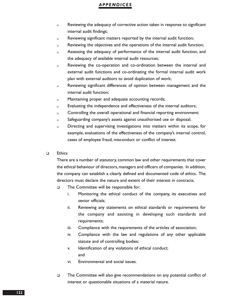- Reviewing the adequacy of corrective action taken in response to significant internal audit findings;
- Reviewing significant matters reported by the internal audit function;
- Reviewing the objectives and the operations of the internal audit function;
- Assessing the adequacy of performance of the internal audit function, and the adequacy of available internal audit resources;
- Reviewing the co-operation and co-ordination between the internal and external audit functions and co-ordinating the formal internal audit work plan with external auditors to avoid duplication of work;
- Reviewing significant differences of opinion between management and the internal audit function;
- **Example 20 Maintaining proper and adequate accounting records;**
- Evaluating the independence and effectiveness of the internal auditors;
- Controlling the overall operational and financial reporting environment;
- Safeguarding company's assets against unauthorised use or disposal;
- Directing and supervising investigations into matters within its scope, for example, evaluations of the effectiveness of the company's internal control, cases of employee fraud, misconduct or conflict of interest.
- $\Box$  Ethics

There are a number of statutory, common law and other requirements that cover the ethical behaviour of directors,managers and officers of companies. In addition, the company can establish a clearly defined and documented code of ethics. The directors must declare the nature and extent of their interest in contracts.

- □ The Committee will be responsible for:
	- i. Monitoring the ethical conduct of the company, its executives and senior officials;
	- ii. Reviewing any statements on ethical standards or requirements for the company and assisting in developing such standards and requirements;
	- iii. Compliance with the requirements of the articles of association;
	- iv. Compliance with the law and regulations of any other applicable statute and of controlling bodies;
	- v. Identification of any violations of ethical conduct; and
	- vi. Environmental and social issues.
- The Committee will also give recommendations on any potential conflict of interest or questionable situations of a material nature.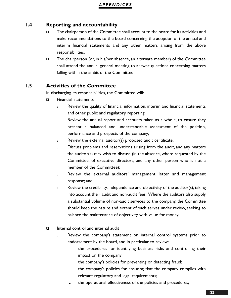## **1.4 Reporting and accountability**

- □ The chairperson of the Committee shall account to the board for its activities and make recommendations to the board concerning the adoption of the annual and interim financial statements and any other matters arising from the above responsibilities.
- $\Box$  The chairperson (or, in his/her absence, an alternate member) of the Committee shall attend the annual general meeting to answer questions concerning matters falling within the ambit of the Committee.

## **1.5 Activities of the Committee**

In discharging its responsibilities, the Committee will:

- **D** Financial statements
	- Review the quality of financial information, interim and financial statements and other public and regulatory reporting;
	- Review the annual report and accounts taken as a whole, to ensure they present a balanced and understandable assessment of the position, performance and prospects of the company;
	- Review the external auditor(s) proposed audit certificate;
	- Discuss problems and reservations arising from the audit, and any matters the auditor(s) may wish to discuss (in the absence, where requested by the Committee, of executive directors, and any other person who is not a member of the Committee);
	- Review the external auditors' management letter and management response; and
	- Review the credibility, independence and objectivity of the auditor(s), taking into account their audit and non-audit fees. Where the auditors also supply a substantial volume of non-audit services to the company, the Committee should keep the nature and extent of such serves under review, seeking to balance the maintenance of objectivity with value for money.
- $\Box$  Internal control and internal audit
	- Review the company's statement on internal control systems prior to endorsement by the board, and in particular to review:
		- i. the procedures for identifying business risks and controlling their impact on the company;
		- ii. the company's policies for preventing or detecting fraud;
		- iii. the company's policies for ensuring that the company complies with relevant regulatory and legal requirements;
		- iv. the operational effectiveness of the policies and procedures;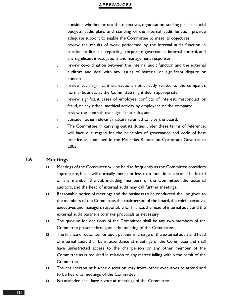- consider whether or not the objectives, organisation, staffing plans, financial budgets, audit plans and standing of the internal audit function provide adequate support to enable the Committee to meet its objectives;
- review the results of work performed by the internal audit function in relation to financial reporting, corporate governance, internal control, and any significant investigations and management responses;
- review co-ordination between the internal audit function and the external auditors and deal with any issues of material or significant dispute or concern;
- review such significant transactions not directly related to the company's normal business as the Committee might deem appropriate;
- review significant cases of employee conflicts of interest, misconduct or fraud, or any other unethical activity by employees or the company;
- **n** review the controls over significant risks; and
- consider other relevant matters referred to it by the board.
- $\Box$  The Committee, in carrying out its duties under these terms of reference, will have due regard for the principles of governance and code of best practice as contained in the Mauritius Report on Corporate Governance 2003.

## **1.6 Meetings**

- $\Box$  Meetings of the Committee will be held as frequently as the Committee considers appropriate, but it will normally meet not less than four times a year. The board or any member thereof, including members of the Committee, the external auditors, and the head of internal audit may call further meetings.
- **Example 10 Reasonable notice of meetings and the business to be conducted shall be given to** the members of the Committee, the chairperson of the board, the chief executive, executives and managers responsible for finance, the head of internal audit and the external audit partners to make proposals as necessary.
- $\Box$  The quorum for decisions of the Committee shall be any two members of the Committee present throughout the meeting of the Committee.
- $\Box$  The finance director, senior audit partner in charge of the external audit and head of internal audit shall be in attendance at meetings of the Committee and shall have unrestricted access to the chairperson or any other member of the Committee as is required in relation to any matter falling within the remit of the Committee.
- $\square$  The chairperson, at his/her discretion, may invite other executives to attend and to be heard at meetings of the Committee.
- □ No attendee shall have a vote at meetings of the Committee.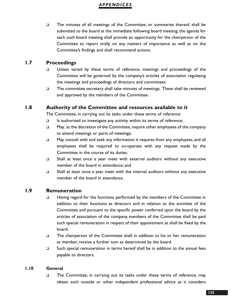□ The minutes of all meetings of the Committee, or summaries thereof, shall be submitted to the board at the immediate following board meeting, the agenda for each such board meeting shall provide an opportunity for the chairperson of the Committee to report orally on any matters of importance as well as on the Committee's findings and shall recommend actions.

## **1.7 Proceedings**

- □ Unless varied by these terms of reference, meetings and proceedings of the Committee will be governed by the company's articles of association regulating the meetings and proceedings of directors and committees.
- $\square$  The committee secretary shall take minutes of meetings. These shall be reviewed and approved by the members of the Committee.

## **1.8 Authority of the Committee and resources available to it**

The Committee, in carrying out its tasks under these terms of reference:

- $\Box$  Is authorised to investigate any activity within its terms of reference;
- □ May, at the discretion of the Committee, require other employees of the company to attend meetings or parts of meetings;
- □ May consult with and seek any information it requires from any employees, and all employees shall be required to co-operate with any request made by the Committee in the course of its duties;
- Shall at least once a year meet with external auditors without any executive member of the board in attendance; and
- $\square$  Shall at least once a year meet with the internal auditors without any executive member of the board in attendance.

## **1.9 Remuneration**

- □ Having regard for the functions performed by the members of the Committee in addition to their functions as directors and in relation to the activities of the Committee and pursuant to the specific power conferred upon the board by the articles of association of the company, members of the Committee shall be paid such special remuneration in respect of their appointment as shall be fixed by the board.
- The chairperson of the Committee shall, in addition to his or her remuneration as member, receive a further sum as determined by the board.
- $\square$  Such special remuneration in terms hereof shall be in addition to the annual fees payable to directors.

#### **1.10 General**

□ The Committee, in carrying out its tasks under these terms of reference, may obtain such outside or other independent professional advice as it considers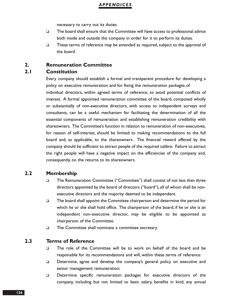necessary to carry out its duties.

- $\square$  The board shall ensure that the Committee will have access to professional advice both inside and outside the company in order for it to perform its duties.
- $\square$  These terms of reference may be amended as required, subject to the approval of the board.

## **2. Remuneration Committee**

## **2.1 Constitution**

Every company should establish a formal and transparent procedure for developing a policy on executive remuneration and for fixing the remuneration packages of individual directors, within agreed terms of reference, to avoid potential conflicts of interest. A formal appointed remuneration committee of the board, composed wholly or substantially of non-executive directors, with access to independent surveys and consultants, can be a useful mechanism for facilitating the determination of all the essential components of remuneration and establishing remuneration credibility with shareowners. The Committee's function in relation to remuneration of non-executives, for reason of self-interest, should be limited to making recommendations to the full board and, as applicable, to the shareowners. The financial reward offered by the company should be sufficient to attract people of the required calibre. Failure to attract the right people will have a negative impact on the efficiencies of the company and, consequently, on the returns to its shareowners.

### **2.2 Membership**

- □ The Remuneration Committee ("Committee") shall consist of not less than three directors appointed by the board of directors ("board"), all of whom shall be nonexecutive directors and the majority deemed to be independent.
- The board shall appoint the Committee chairperson and determine the period for which he or she shall hold office. The chairperson of the board, if he or she is an independent non-executive director, may be eligible to be appointed as chairperson of the Committee.
- **The Committee shall nominate a committee secretary.**

## **2.3 Terms of Reference**

- The role of the Committee will be to work on behalf of the board and be responsible for its recommendations and will, within these terms of reference:
- Determine, agree and develop the company's general policy on executive and senior management remuneration;
- Determine specific remuneration packages for executive directors of the company, including but not limited to basic salary, benefits in kind, any annual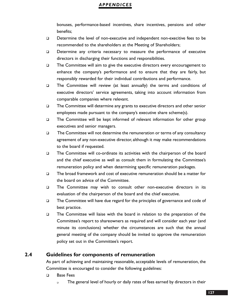bonuses, performance-based incentives, share incentives, pensions and other benefits;

- Determine the level of non-executive and independent non-execitive fees to be recommended to the shareholders at the Meeting of Shareholders;
- Determine any criteria necessary to measure the performance of executive directors in discharging their functions and responsibilities.
- The Committee will aim to give the executive directors every encouragement to enhance the company's performance and to ensure that they are fairly, but responsibly rewarded for their individual contributions and performance.
- The Committee will review (at least annually) the terms and conditions of executive directors' service agreements, taking into account information from comparable companies where relevant.
- The Committee will determine any grants to executive directors and other senior employees made pursuant to the company's executive share scheme(s).
- $\Box$  The Committee will be kept informed of relevant information for other group executives and senior managers.
- $\Box$  The Committee will not determine the remuneration or terms of any consultancy agreement of any non-executive director, although it may make recommendations to the board if requested.
- The Committee will co-ordinate its activities with the chairperson of the board and the chief executive as well as consult them in formulating the Committee's remuneration policy and when determining specific remuneration packages.
- $\Box$  The broad framework and cost of executive remuneration should be a matter for the board on advice of the Committee.
- The Committee may wish to consult other non-executive directors in its evaluation of the chairperson of the board and the chief executive.
- $\Box$  The Committee will have due regard for the principles of governance and code of best practice.
- The Committee will liaise with the board in relation to the preparation of the Committee's report to shareowners as required and will consider each year (and minute its conclusions) whether the circumstances are such that the annual general meeting of the company should be invited to approve the remuneration policy set out in the Committee's report.

## **2.4 Guidelines for components of remuneration**

As part of achieving and maintaining reasonable, acceptable levels of remuneration, the Committee is encouraged to consider the following guidelines:

- D Base Fees
	- The general level of hourly or daily rates of fees earned by directors in their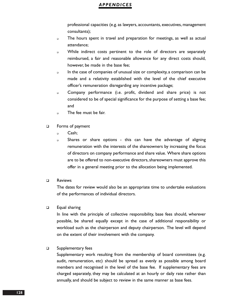professional capacities (e.g. as lawyers, accountants, executives, management consultants);

- The hours spent in travel and preparation for meetings, as well as actual attendance;
- **Nille** indirect costs pertinent to the role of directors are separately reimbursed, a fair and reasonable allowance for any direct costs should, however, be made in the base fee;
- In the case of companies of unusual size or complexity, a comparison can be made and a relativity established with the level of the chief executive officer's remuneration disregarding any incentive package;
- Company performance (i.e. profit, dividend and share price) is not considered to be of special significance for the purpose of setting a base fee; and
- n The fee must be fair.
- **D** Forms of payment
	- Cash;
	- Shares or share options this can have the advantage of aligning remuneration with the interests of the shareowners by increasing the focus of directors on company performance and share value. Where share options are to be offered to non-executive directors, shareowners must approve this offer in a general meeting prior to the allocation being implemented.
- D Reviews

The dates for review would also be an appropriate time to undertake evaluations of the performances of individual directors.

Equal sharing

In line with the principle of collective responsibility, base fees should, wherever possible, be shared equally except in the case of additional responsibility or workload such as the chairperson and deputy chairperson. The level will depend on the extent of their involvement with the company.

#### □ Supplementary fees

Supplementary work resulting from the membership of board committees (e.g. audit, remuneration, etc) should be spread as evenly as possible among board members and recognised in the level of the base fee. If supplementary fees are charged separately, they may be calculated at an hourly or daily rate rather than annually, and should be subject to review in the same manner as base fees.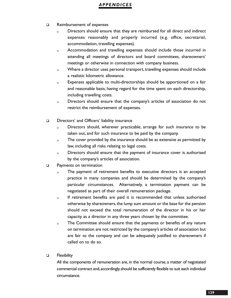- □ Reimbursement of expenses
	- Directors should ensure that they are reimbursed for all direct and indirect expenses reasonably and properly incurred (e.g. office, secretarial, accommodation, travelling expenses).
	- Accommodation and travelling expenses should include those incurred in attending all meetings of directors and board committees, shareowners' meetings or otherwise in connection with company business.
	- Where a director uses personal transport, travelling expenses should include a realistic kilometric allowance.
	- Expenses applicable to multi-directorships should be apportioned on a fair and reasonable basis, having regard for the time spent on each directorship, including travelling costs.
	- Directors should ensure that the company's articles of association do not restrict the reimbursement of expenses.
- □ Directors' and Officers' liability insurance
	- Directors should, wherever practicable, arrange for such insurance to be taken out, and for such insurance to be paid by the company.
	- The cover provided by the insurance should be as extensive as permitted by law, including all risks relating to legal costs.
	- Directors should ensure that the payment of insurance cover is authorised by the company's articles of association.
- **D** Payments on termination
	- The payment of retirement benefits to executive directors is an accepted practice in many companies and should be determined by the company's particular circumstances. Alternatively, a termination payment can be negotiated as part of their overall remuneration package.
	- If retirement benefits are paid it is recommended that unless authorised otherwise by shareowners, the lump sum amount or the base for the pension should not exceed the total remuneration of the director in his or her capacity as a director in any three years chosen by the committee.
	- The Committee should ensure that the payments or benefits of any nature on termination are not restricted by the company's articles of association but are fair to the company and can be adequately justified to shareowners if called on to do so.
- **D** Flexibility

All the components of remuneration are, in the normal course, a matter of negotiated commercial contract and,accordingly,should be sufficiently flexible to suit each individual circumstance.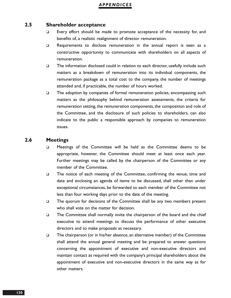#### **2.5 Shareholder acceptance**

- □ Every effort should be made to promote acceptance of the necessity for, and benefits of, a realistic realignment of director remuneration.
- □ Requirements to disclose remuneration in the annual report is seen as a constructive opportunity to communicate with shareholders on all aspects of remuneration.
- $\square$  The information disclosed could in relation to each director, usefully include such matters as a breakdown of remuneration into its individual components, the remuneration package as a total cost to the company, the number of meetings attended and, if practicable, the number of hours worked.
- The adoption by companies of formal remuneration policies, encompassing such matters as the philosophy behind remuneration assessments, the criteria for remuneration setting, the remuneration components, the composition and role of the Committee, and the disclosure of such policies to shareholders, can also indicate to the public a responsible approach by companies to remuneration issues.

#### **2.6 Meetings**

- D Meetings of the Committee will be held as the Committee deems to be appropriate, however, the Committee should meet at least once each year. Further meetings may be called by the chairperson of the Committee or any member of the Committee.
- The notice of each meeting of the Committee, confirming the venue, time and date and enclosing an agenda of items to be discussed, shall other than under exceptional circumstances, be forwarded to each member of the Committee not less than four working days prior to the date of the meeting.
- $\Box$  The quorum for decisions of the Committee shall be any two members present who shall vote on the matter for decision.
- $\square$  The Committee shall normally invite the chairperson of the board and the chief executive to attend meetings to discuss the performance of other executive directors and to make proposals as necessary.
- $\Box$  The chairperson (or in his/her absence, an alternative member) of the Committee shall attend the annual general meeting and be prepared to answer questions concerning the appointment of executive and non-executive directors and maintain contact as required with the company's principal shareholders about the appointment of executive and non-executive directors in the same way as for other matters.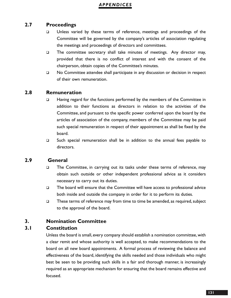## **2.7 Proceedings**

- □ Unless varied by these terms of reference, meetings and proceedings of the Committee will be governed by the company's articles of association regulating the meetings and proceedings of directors and committees.
- The committee secretary shall take minutes of meetings. Any director may, provided that there is no conflict of interest and with the consent of the chairperson, obtain copies of the Committee's minutes.
- □ No Committee attendee shall participate in any discussion or decision in respect of their own remuneration.

## **2.8 Remuneration**

- □ Having regard for the functions performed by the members of the Committee in addition to their functions as directors in relation to the activities of the Committee, and pursuant to the specific power conferred upon the board by the articles of association of the company, members of the Committee may be paid such special remuneration in respect of their appointment as shall be fixed by the board.
- Such special remuneration shall be in addition to the annual fees payable to directors.

## **2.9 General**

- □ The Committee, in carrying out its tasks under these terms of reference, may obtain such outside or other independent professional advice as it considers necessary to carry out its duties.
- $\Box$  The board will ensure that the Committee will have access to professional advice both inside and outside the company in order for it to perform its duties.
- $\square$  These terms of reference may from time to time be amended, as required, subject to the approval of the board.

## **3. Nomination Committee**

## **3.1 Constitution**

Unless the board is small, every company should establish a nomination committee, with a clear remit and whose authority is well accepted, to make recommendations to the board on all new board appointments. A formal process of reviewing the balance and effectiveness of the board, identifying the skills needed and those individuals who might best be seen to be providing such skills in a fair and thorough manner, is increasingly required as an appropriate mechanism for ensuring that the board remains effective and focused.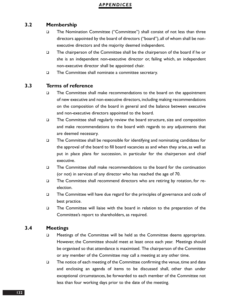## **3.2 Membership**

- □ The Nomination Committee ("Committee") shall consist of not less than three directors appointed by the board of directors ("board"), all of whom shall be nonexecutive directors and the majority deemed independent.
- The chairperson of the Committee shall be the chairperson of the board if he or she is an independent non-executive director or, failing which, an independent non-executive director shall be appointed chair.
- □ The Committee shall nominate a committee secretary.

#### **3.3 Terms of reference**

- □ The Committee shall make recommendations to the board on the appointment of new executive and non-executive directors, including making recommendations on the composition of the board in general and the balance between executive and non-executive directors appointed to the board.
- $\Box$  The Committee shall regularly review the board structure, size and composition and make recommendations to the board with regards to any adjustments that are deemed necessary.
- $\Box$  The Committee shall be responsible for identifying and nominating candidates for the approval of the board to fill board vacancies as and when they arise, as well as put in place plans for succession, in particular for the chairperson and chief executive.
- The Committee shall make recommendations to the board for the continuation (or not) in services of any director who has reached the age of 70.
- $\Box$  The Committee shall recommend directors who are retiring by rotation, for reelection.
- □ The Committee will have due regard for the principles of governance and code of best practice.
- The Committee will liaise with the board in relation to the preparation of the Committee's report to shareholders, as required.

#### **3.4 Meetings**

- **If the Committee will be held as the Committee deems appropriate.** However, the Committee should meet at least once each year. Meetings should be organised so that attendance is maximised. The chairperson of the Committee or any member of the Committee may call a meeting at any other time.
- $\Box$  The notice of each meeting of the Committee confirming the venue, time and date and enclosing an agenda of items to be discussed shall, other than under exceptional circumstances, be forwarded to each member of the Committee not less than four working days prior to the date of the meeting.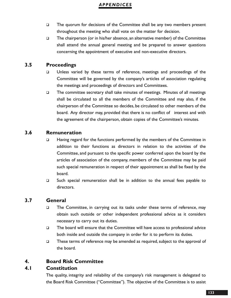- $\Box$  The quorum for decisions of the Committee shall be any two members present throughout the meeting who shall vote on the matter for decision.
- $\Box$  The chairperson (or in his/her absence, an alternative member) of the Committee shall attend the annual general meeting and be prepared to answer questions concerning the appointment of executive and non-executive directors.

## **3.5 Proceedings**

- Unless varied by these terms of reference, meetings and proceedings of the Committee will be governed by the company's articles of association regulating the meetings and proceedings of directors and Committees.
- $\Box$  The committee secretary shall take minutes of meetings. Minutes of all meetings shall be circulated to all the members of the Committee and may also, if the chairperson of the Committee so decides, be circulated to other members of the board. Any director may, provided that there is no conflict of interest and with the agreement of the chairperson, obtain copies of the Committee's minutes.

## **3.6 Remuneration**

- Having regard for the functions performed by the members of the Committee in addition to their functions as directors in relation to the activities of the Committee, and pursuant to the specific power conferred upon the board by the articles of association of the company, members of the Committee may be paid such special remuneration in respect of their appointment as shall be fixed by the board.
- □ Such special remuneration shall be in addition to the annual fees payable to directors.

## **3.7 General**

- The Committee, in carrying out its tasks under these terms of reference, may obtain such outside or other independent professional advice as it considers necessary to carry out its duties.
- □ The board will ensure that the Committee will have access to professional advice both inside and outside the company in order for it to perform its duties.
- $\square$  These terms of reference may be amended as required, subject to the approval of the board.

## **4. Board Risk Committee**

## **4.1 Constitution**

The quality, integrity and reliability of the company's risk management is delegated to the Board Risk Committee ("Committee"). The objective of the Committee is to assist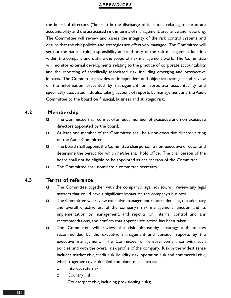the board of directors ("board") in the discharge of its duties relating to corporate accountability and the associated risk in terms of management, assurance and reporting. The Committee will review and assess the integrity of the risk control systems and ensure that the risk policies and strategies are effectively managed. The Committee will set out the nature, role, responsibility and authority of the risk management function within the company and outline the scope of risk management work. The Committee will monitor external developments relating to the practice of corporate accountability and the reporting of specifically associated risk, including emerging and prospective impacts. The Committee provides an independent and objective oversight and review of the information presented by management on corporate accountability and specifically associated risk, also taking account of reports by management and the Audit Committee to the board on financial, business and strategic risk.

## **4.2 Membership**

- The Committee shall consist of an equal number of executive and non-executive directors appointed by the board.
- □ At least one member of the Committee shall be a non-executive director sitting on the Audit Committee.
- The board shall appoint the Committee chairperson, a non-executive director, and determine the period for which he/she shall hold office. The chairperson of the board shall not be eligible to be appointed as chairperson of the Committee.
- The Committee shall nominate a committee secretary.

## **4.3 Terms of reference**

- The Committee together with the company's legal advisor, will review any legal matters that could have a significant impact on the company's business.
- $\Box$  The Committee will review executive management reports detailing the adequacy and overall effectiveness of the company's risk management function and its implementation by management, and reports on internal control and any recommendations, and confirm that appropriate action has been taken.
- $\square$  The Committee will review the risk philosophy, strategy and policies recommended by the executive management and consider reports by the executive management. The Committee will ensure compliance with such policies, and with the overall risk profile of the company. Risk in the widest sense includes market risk, credit risk, liquidity risk, operation risk and commercial risk, which together cover detailed combined risks such as:
	- D Interest rate risk:
	- **Q** Country risk;
	- □ Counterpart risk, including provisioning risks;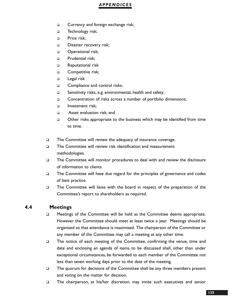- **Currency and foreign exchange risk;**
- D Technology risk;
- D Price risk:
- Disaster recovery risk;
- **D** Operational risk;
- **D** Prudential risk:
- **Example 2** Reputational risk
- **D** Competitive risk;
- D Legal risk
- □ Compliance and control risks;
- □ Sensitivity risks, e.g. environmental, health and safety;
- □ Concentration of risks across a number of portfolio dimensions;
- Investment risk;
- Asset evaluation risk; and
- Other risks appropriate to the business which may be identified from time to time.
- □ The Committee will review the adequacy of insurance coverage.
- The Committee will review risk identification and measurement methodologies.
- The Committee will monitor procedures to deal with and review the disclosure of information to clients.
- $\Box$  The Committee will have due regard for the principles of governance and codes of best practice.
- The Committee will liaise with the board in respect of the preparation of the Committee's report to shareholders as required.

#### **4.4 Meetings**

- **I** Meetings of the Committee will be held as the Committee deems appropriate. However the Committee should meet at least twice a year. Meetings should be organised so that attendance is maximised. The chairperson of the Committee or any member of the Committee may call a meeting at any other time.
- The notice of each meeting of the Committee, confirming the venue, time and date and enclosing an agenda of items to be discussed shall, other than under exceptional circumstances, be forwarded to each member of the Committee not less than seven working days prior to the date of the meeting.
- $\Box$  The quorum for decisions of the Committee shall be any three members present and voting on the matter for decision.
- The chairperson, at his/her discretion, may invite such executives and senior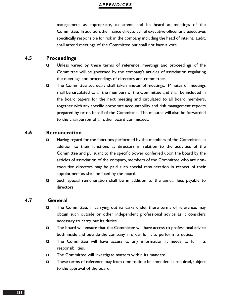management as appropriate, to attend and be heard at meetings of the Committee. In addition, the finance director, chief executive officer and executives specifically responsible for risk in the company, including the head of internal audit, shall attend meetings of the Committee but shall not have a vote.

## **4.5 Proceedings**

- □ Unless varied by these terms of reference, meetings and proceedings of the Committee will be governed by the company's articles of association regulating the meetings and proceedings of directors and committees.
- The Committee secretary shall take minutes of meetings. Minutes of meetings shall be circulated to all the members of the Committee and shall be included in the board papers for the next meeting and circulated to all board members, together with any specific corporate accountability and risk management reports prepared by or on behalf of the Committee. The minutes will also be forwarded to the chairperson of all other board committees.

#### **4.6 Remuneration**

- □ Having regard for the functions performed by the members of the Committee, in addition to their functions as directors in relation to the activities of the Committee and pursuant to the specific power conferred upon the board by the articles of association of the company, members of the Committee who are nonexecutive directors may be paid such special remuneration in respect of their appointment as shall be fixed by the board.
- □ Such special remuneration shall be in addition to the annual fees payable to directors.

#### **4.7 General**

- □ The Committee, in carrying out its tasks under these terms of reference, may obtain such outside or other independent professional advice as it considers necessary to carry out its duties.
- □ The board will ensure that the Committee will have access to professional advice both inside and outside the company in order for it to perform its duties.
- The Committee will have access to any information it needs to fulfil its responsibilities.
- The Committee will investigate matters within its mandate.
- $\Box$  These terms of reference may from time to time be amended as required, subject to the approval of the board.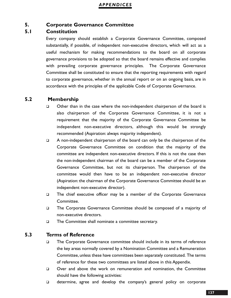#### **5. Corporate Governance Committee**

## **5.1 Constitution**

Every company should establish a Corporate Governance Committee, composed substantially, if possible, of independent non-executive directors, which will act as a useful mechanism for making recommendations to the board on all corporate governance provisions to be adopted so that the board remains effective and complies with prevailing corporate governance principles. The Corporate Governance Committee shall be constituted to ensure that the reporting requirements with regard to corporate governance, whether in the annual report or on an ongoing basis, are in accordance with the principles of the applicable Code of Corporate Governance.

## **5.2 Membership**

- □ Other than in the case where the non-independent chairperson of the board is also chairperson of the Corporate Governance Committee, it is not a requirement that the majority of the Corporate Governance Committee be independent non-executive directors, although this would be strongly recommended (Aspiration: always majority independent).
- $\Box$  A non-independent chairperson of the board can only be the chairperson of the Corporate Governance Committee on condition that the majority of the committee are independent non-executive directors. If this is not the case then the non-independent chairman of the board can be a member of the Corporate Governance Committee, but not its chairperson. The chairperson of the committee would then have to be an independent non-executive director (Aspiration: the chairman of the Corporate Governance Committee should be an independent non-executive director).
- □ The chief executive officer may be a member of the Corporate Governance Committee.
- The Corporate Governance Committee should be composed of a majority of non-executive directors.
- □ The Committee shall nominate a committee secretary.

## **5.3 Terms of Reference**

- The Corporate Governance committee should include in its terms of reference the key areas normally covered by a Nomination Committee and a Remuneration Committee, unless these have committees been separately constituted. The terms of reference for these two committees are listed above in this Appendix.
- Over and above the work on remuneration and nomination, the Committee should have the following activities:
- determine, agree and develop the company's general policy on corporate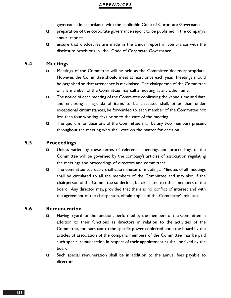governance in accordance with the applicable Code of Corporate Governance;

- $\Box$  preparation of the corporate governance report to be published in the company's annual report;
- $\Box$  ensure that disclosures are made in the annual report in compliance with the disclosure provisions in the Code of Corporate Governance.

## **5.4 Meetings**

- Meetings of the Committee will be held as the Committee deems appropriate. However, the Committee should meet at least once each year. Meetings should be organised so that attendance is maximised. The chairperson of the Committee or any member of the Committee may call a meeting at any other time.
- □ The notice of each meeting of the Committee confirming the venue, time and date and enclosing an agenda of items to be discussed shall, other than under exceptional circumstances, be forwarded to each member of the Committee not less than four working days prior to the date of the meeting.
- $\Box$  The quorum for decisions of the Committee shall be any two members present throughout the meeting who shall vote on the matter for decision.

## **5.5 Proceedings**

- Unless varied by these terms of reference, meetings and proceedings of the Committee will be governed by the company's articles of association regulating the meetings and proceedings of directors and committees.
- $\square$  The committee secretary shall take minutes of meetings. Minutes of all meetings shall be circulated to all the members of the Committee and may also, if the chairperson of the Committee so decides, be circulated to other members of the board. Any director may, provided that there is no conflict of interest and with the agreement of the chairperson, obtain copies of the Committee's minutes.

## **5.6 Remuneration**

- □ Having regard for the functions performed by the members of the Committee in addition to their functions as directors in relation to the activities of the Committee, and pursuant to the specific power conferred upon the board by the articles of association of the company, members of the Committee may be paid such special remuneration in respect of their appointment as shall be fixed by the board.
- $\Box$  Such special remuneration shall be in addition to the annual fees payable to directors.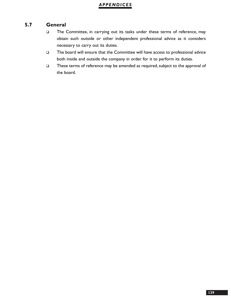## **5.7 General**

- The Committee, in carrying out its tasks under these terms of reference, may obtain such outside or other independent professional advice as it considers necessary to carry out its duties.
- The board will ensure that the Committee will have access to professional advice both inside and outside the company in order for it to perform its duties.
- These terms of reference may be amended as required, subject to the approval of the board.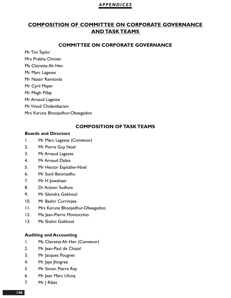# **COMPOSITION OF COMMITTEE ON CORPORATE GOVERNANCE AND TASK TEAMS**

#### **COMMITTEE ON CORPORATE GOVERNANCE**

Mr Tim Taylor

Mrs Prabha Chinien Ms Clairette Ah Hen

Mr Marc Lagesse

Mr Nassir Ramtoola

Mr Cyril Mayer Mr Megh Pillay

Mr Arnaud Lagesse

Mr Vinod Chidambaram

Mrs Karuna Bhoojedhur-Obeegadoo

## **COMPOSITION OF TASK TEAMS**

#### **Boards and Directors**

- 1. Mr Marc Lagesse (Convenor)
- 2. Mr Pierre Guy Noel
- 3. Mr Arnaud Lagesse
- 4. Mr Arnaud Dalais
- 5. Mr Hector Espitalier-Noel
- 6. Mr Sunil Benimadhu
- 7. Mr H Jowaheer
- 8. Dr Arjoon Sudhoo
- 9. Mr Silendra Gokhool
- 10. Mr Bashir Currimjee
- 11. Mrs Karuna Bhoojedhur-Obeegadoo
- 12. Me Jean-Pierre Montocchio
- 13. Ms Shalini Gokhool

## **Auditing and Accounting**

- 1. Ms Clairette Ah Hen (Convenor)
- 2. Mr Jean-Paul de Chazal
- 3. Mr Jacques Pougnet
- 4. Mr Jaye Jhingree
- 5. Mr Simon Pierre Rey
- 6. Mr Jean Marc Ulcoq
- 7. Mr J Ribet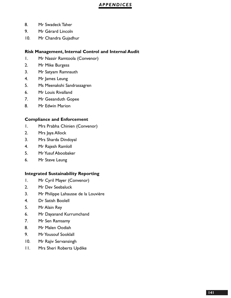- 8. Mr Swadeck Taher
- 9. Mr Gérard Lincoln
- 10. Mr Chandra Gujadhur

#### **Risk Management, Internal Control and Internal Audit**

- 1. Mr Nassir Ramtoola (Convenor)
- 2. Mr Mike Burgess
- 3. Mr Satyam Ramnauth
- 4. Mr James Leung
- 5. Ms Meenakshi Sandrassagren
- 6. Mr Louis Rivalland
- 7. Mr Geeanduth Gopee
- 8. Mr Edwin Marion

#### **Compliance and Enforcement**

- 1. Mrs Prabha Chinien (Convenor)
- 2. Mrs Jaya Allock
- 3. Mrs Sharda Dindoyal
- 4. Mr Rajesh Ramloll
- 5. Mr Yusuf Aboobaker
- 6. Mr Steve Leung

#### **Integrated Sustainability Reporting**

- 1. Mr Cyril Mayer (Convenor)
- 2. Mr Dev Seebaluck
- 3. Mr Philippe Lahausse de la Louvière
- 4. Dr Satish Boolell
- 5. Mr Alain Rey
- 6. Mr Dayanand Kurrumchand
- 7. Mr Sen Ramsamy
- 8. Mr Malen Oodiah
- 9. Mr Yousouf Sooklall
- 10. Mr Rajiv Servansingh
- 11. Mrs Sheri Roberts Updike